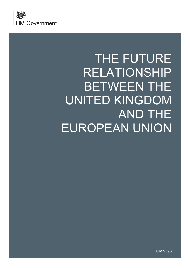

# THE FUTURE RELATIONSHIP BETWEEN THE UNITED KINGDOM AND THE EUROPEAN UNION

Cm 9593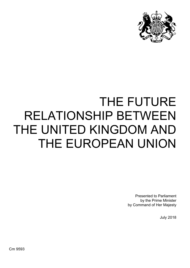

# THE FUTURE RELATIONSHIP BETWEEN THE UNITED KINGDOM AND THE EUROPEAN UNION

Presented to Parliament by the Prime Minister by Command of Her Majesty

July 2018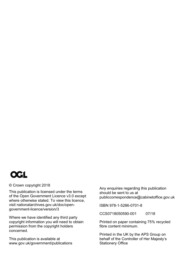

© Crown copyright 2018

This publication is licensed under the terms of the Open Government Licence v3.0 except where otherwise stated. To view this licence, visit [nationalarchives.gov.uk/doc/open](http://nationalarchives.gov.uk/doc/open-government-licence/version/3/)[government-licence/version/3](http://nationalarchives.gov.uk/doc/open-government-licence/version/3/)

Where we have identified any third party copyright information you will need to obtain permission from the copyright holders concerned.

This publication is available at [www.gov.uk/government/publications](http://www.gov.uk/government/publications) Any enquiries regarding this publication should be sent to us at [publiccorrespondence@cabinetoffice.gov.uk](mailto:publiccorrespondence@cabinetoffice.gov.uk)

ISBN 978-1-5286-0701-8

CCS0718050590-001 07/18

Printed on paper containing 75% recycled fibre content minimum.

Printed in the UK by the APS Group on behalf of the Controller of Her Majesty's Stationery Office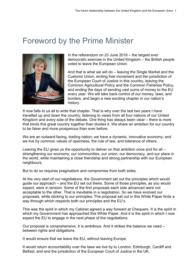# Foreword by the Prime Minister



In the referendum on 23 June 2016 – the largest ever democratic exercise in the United Kingdom – the British people voted to leave the European Union.

And that is what we will do – leaving the Single Market and the Customs Union, ending free movement and the jurisdiction of the European Court of Justice in this country, leaving the Common Agricultural Policy and the Common Fisheries Policy, and ending the days of sending vast sums of money to the EU every year. We will take back control of our money, laws, and borders, and begin a new exciting chapter in our nation's history.

It now falls to us all to write that chapter. That is why over the last two years I have travelled up and down the country, listening to views from all four nations of our United Kingdom and every side of the debate. One thing has always been clear – there is more that binds this great country together than divides it. We share an ambition for our country to be fairer and more prosperous than ever before.

We are an outward-facing, trading nation; we have a dynamic, innovative economy; and we live by common values of openness, the rule of law, and tolerance of others.

Leaving the EU gives us the opportunity to deliver on that ambition once and for all – strengthening our economy, our communities, our union, our democracy, and our place in the world, while maintaining a close friendship and strong partnership with our European neighbours.

But to do so requires pragmatism and compromise from both sides.

At the very start of our negotiations, the Government set out the principles which would guide our approach – and the EU set out theirs. Some of those principles, as you would expect, were in tension. Some of the first proposals each side advanced were not acceptable to the other. That is inevitable in a negotiation. So we have evolved our proposals, while sticking to our principles. The proposal set out in this White Paper finds a way through which respects both our principles and the EU's.

This was the spirit in which my Cabinet agreed a way forward at Chequers. It is the spirit in which my Government has approached this White Paper. And it is the spirit in which I now expect the EU to engage in the next phase of the negotiations.

Our proposal is comprehensive. It is ambitious. And it strikes the balance we need – between rights and obligations.

It would ensure that we leave the EU, without leaving Europe.

It would return accountability over the laws we live by to London, Edinburgh, Cardiff and Belfast, and end the jurisdiction of the European Court of Justice in the UK.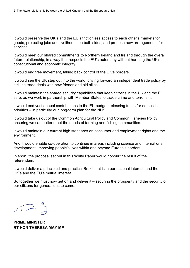It would preserve the UK's and the EU's frictionless access to each other's markets for goods, protecting jobs and livelihoods on both sides, and propose new arrangements for services.

It would meet our shared commitments to Northern Ireland and Ireland through the overall future relationship, in a way that respects the EU's autonomy without harming the UK's constitutional and economic integrity.

It would end free movement, taking back control of the UK's borders.

It would see the UK step out into the world, driving forward an independent trade policy by striking trade deals with new friends and old allies.

It would maintain the shared security capabilities that keep citizens in the UK and the EU safe, as we work in partnership with Member States to tackle crime and terrorism.

It would end vast annual contributions to the EU budget, releasing funds for domestic priorities – in particular our long-term plan for the NHS.

It would take us out of the Common Agricultural Policy and Common Fisheries Policy, ensuring we can better meet the needs of farming and fishing communities.

It would maintain our current high standards on consumer and employment rights and the environment.

And it would enable co-operation to continue in areas including science and international development, improving people's lives within and beyond Europe's borders.

In short, the proposal set out in this White Paper would honour the result of the referendum.

It would deliver a principled and practical Brexit that is in our national interest, and the UK's and the EU's mutual interest.

So together we must now get on and deliver it – securing the prosperity and the security of our citizens for generations to come.

**PRIME MINISTER RT HON THERESA MAY MP**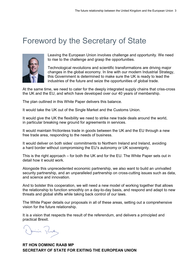# Foreword by the Secretary of State



Leaving the European Union involves challenge and opportunity. We need to rise to the challenge and grasp the opportunities.

Technological revolutions and scientific transformations are driving major changes in the global economy. In line with our modern Industrial Strategy, this Government is determined to make sure the UK is ready to lead the industries of the future and seize the opportunities of global trade.

At the same time, we need to cater for the deeply integrated supply chains that criss-cross the UK and the EU, and which have developed over our 40 years of membership.

The plan outlined in this White Paper delivers this balance.

It would take the UK out of the Single Market and the Customs Union.

It would give the UK the flexibility we need to strike new trade deals around the world, in particular breaking new ground for agreements in services.

It would maintain frictionless trade in goods between the UK and the EU through a new free trade area, responding to the needs of business.

It would deliver on both sides' commitments to Northern Ireland and Ireland, avoiding a hard border without compromising the EU's autonomy or UK sovereignty.

This is the right approach – for both the UK and for the EU. The White Paper sets out in detail how it would work.

Alongside this unprecedented economic partnership, we also want to build an unrivalled security partnership, and an unparalleled partnership on cross-cutting issues such as data, and science and innovation.

And to bolster this cooperation, we will need a new model of working together that allows the relationship to function smoothly on a day-to-day basis, and respond and adapt to new threats and global shifts while taking back control of our laws.

The White Paper details our proposals in all of these areas, setting out a comprehensive vision for the future relationship.

It is a vision that respects the result of the referendum, and delivers a principled and practical Brexit.

Janin Road

**RT HON DOMINIC RAAB MP SECRETARY OF STATE FOR EXITING THE EUROPEAN UNION**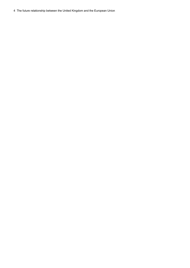The future relationship between the United Kingdom and the European Union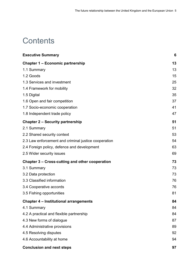# **Contents**

| <b>Executive Summary</b>                             | 6  |
|------------------------------------------------------|----|
| <b>Chapter 1 - Economic partnership</b>              | 13 |
| 1.1 Summary                                          | 13 |
| 1.2 Goods                                            | 15 |
| 1.3 Services and investment                          | 25 |
| 1.4 Framework for mobility                           | 32 |
| 1.5 Digital                                          | 35 |
| 1.6 Open and fair competition                        | 37 |
| 1.7 Socio-economic cooperation                       | 41 |
| 1.8 Independent trade policy                         | 47 |
| <b>Chapter 2 – Security partnership</b>              | 51 |
| 2.1 Summary                                          | 51 |
| 2.2 Shared security context                          | 53 |
| 2.3 Law enforcement and criminal justice cooperation | 54 |
| 2.4 Foreign policy, defence and development          | 63 |
| 2.5 Wider security issues                            | 69 |
| Chapter 3 – Cross-cutting and other cooperation      | 73 |
| 3.1 Summary                                          | 73 |
| 3.2 Data protection                                  | 73 |
| 3.3 Classified information                           | 76 |
| 3.4 Cooperative accords                              | 76 |
| 3.5 Fishing opportunities                            | 81 |
| <b>Chapter 4 - Institutional arrangements</b>        | 84 |
| 4.1 Summary                                          | 84 |
| 4.2 A practical and flexible partnership             | 84 |
| 4.3 New forms of dialogue                            | 87 |
| 4.4 Administrative provisions                        | 89 |
| 4.5 Resolving disputes                               | 92 |
| 4.6 Accountability at home                           | 94 |
| <b>Conclusion and next steps</b>                     | 97 |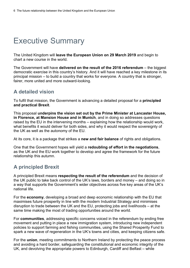# Executive Summary

The United Kingdom will **leave the European Union on 29 March 2019** and begin to chart a new course in the world.

The Government will have **delivered on the result of the 2016 referendum** – the biggest democratic exercise in this country's history. And it will have reached a key milestone in its principal mission – to build a country that works for everyone. A country that is stronger, fairer, more united and more outward-looking.

# **A detailed vision**

To fulfil that mission, the Government is advancing a detailed proposal for a **principled and practical Brexit**.

This proposal **underpins the vision set out by the Prime Minister at Lancaster House, in Florence, at Mansion House and in Munich**, and in doing so addresses questions raised by the EU in the intervening months – explaining how the relationship would work, what benefits it would deliver for both sides, and why it would respect the sovereignty of the UK as well as the autonomy of the EU.

At its core, it is a package that strikes a **new and fair balance** of rights and obligations.

One that the Government hopes will yield a **redoubling of effort in the negotiations**, as the UK and the EU work together to develop and agree the framework for the future relationship this autumn.

# **A principled Brexit**

A principled Brexit means **respecting the result of the referendum** and the decision of the UK public to take back control of the UK's laws, borders and money – and doing so in a way that supports the Government's wider objectives across five key areas of the UK's national life.

For the **economy**, developing a broad and deep economic relationship with the EU that maximises future prosperity in line with the modern Industrial Strategy and minimises disruption to trade between the UK and the EU, protecting jobs and livelihoods – at the same time making the most of trading opportunities around the world.

For **communities**, addressing specific concerns voiced in the referendum by ending free movement and putting in place a new immigration system, introducing new independent policies to support farming and fishing communities, using the Shared Prosperity Fund to spark a new wave of regeneration in the UK's towns and cities, and keeping citizens safe.

For the **union**, meeting commitments to Northern Ireland by protecting the peace process and avoiding a hard border, safeguarding the constitutional and economic integrity of the UK, and devolving the appropriate powers to Edinburgh, Cardiff and Belfast – while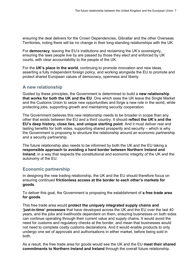ensuring the deal delivers for the Crown Dependencies, Gibraltar and the other Overseas Territories, noting there will be no change in their long-standing relationships with the UK.

For **democracy**, leaving the EU's institutions and reclaiming the UK's sovereignty, ensuring the laws people live by are passed by those they elect and enforced by UK courts, with clear accountability to the people of the UK.

For the **UK's place in the world**, continuing to promote innovation and new ideas, asserting a fully independent foreign policy, and working alongside the EU to promote and protect shared European values of democracy, openness and liberty.

#### **A new relationship**

Guided by these principles, the Government is determined to build a **new relationship that works for both the UK and the EU**. One which sees the UK leave the Single Market and the Customs Union to seize new opportunities and forge a new role in the world, while protecting jobs, supporting growth and maintaining security cooperation.

The Government believes this new relationship needs to be broader in scope than any other that exists between the EU and a third country. It should **reflect the UK's and the EU's deep history, close ties, and unique starting point**. And it must deliver real and lasting benefits for both sides, supporting shared prosperity and security – which is why the Government is proposing to structure the relationship around an economic partnership and a security partnership.

The future relationship also needs to be informed by both the UK and the EU taking a **responsible approach to avoiding a hard border between Northern Ireland and Ireland**, in a way that respects the constitutional and economic integrity of the UK and the autonomy of the EU.

#### **Economic partnership**

In designing the new trading relationship, the UK and the EU should therefore focus on ensuring continued **frictionless access at the border to each other's markets for goods**.

To deliver this goal, the Government is proposing the establishment of **a free trade area for goods**.

This free trade area would **protect the uniquely integrated supply chains and 'just-in-time' processes** that have developed across the UK and the EU over the last 40 years, and the jobs and livelihoods dependent on them, ensuring businesses on both sides can continue operating through their current value and supply chains. It would avoid the need for customs and regulatory checks at the border, and mean that businesses would not need to complete costly customs declarations. And it would enable products to only undergo one set of approvals and authorisations in either market, before being sold in both.

As a result, the free trade area for goods would see the UK and the EU **meet their shared commitments to Northern Ireland and Ireland** through the overall future relationship.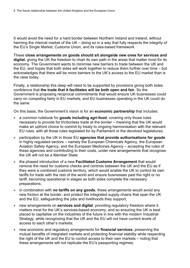It would avoid the need for a hard border between Northern Ireland and Ireland, without harming the internal market of the UK – doing so in a way that fully respects the integrity of the EU's Single Market, Customs Union, and its rules-based framework.

These **close arrangements on goods should sit alongside new ones for services and digital**, giving the UK the freedom to chart its own path in the areas that matter most for its economy. The Government wants to minimise new barriers to trade between the UK and the EU, and hopes that both sides will work together to reduce them further over time – but acknowledges that there will be more barriers to the UK's access to the EU market than is the case today.

Finally, a relationship this deep will need to be supported by provisions giving both sides confidence that **the trade that it facilitates will be both open and fair.** So the Government is proposing reciprocal commitments that would ensure UK businesses could carry on competing fairly in EU markets, and EU businesses operating in the UK could do the same.

On this basis, the Government's vision is for an **economic partnership** that includes:

- a common rulebook for **goods including agri-food**, covering only those rules necessary to provide for frictionless trade at the border – meaning that the UK would make an upfront choice to commit by treaty to ongoing harmonisation with the relevant EU rules, with all those rules legislated for by Parliament or the devolved legislatures;
- participation by the UK in those EU **agencies that provide authorisations for goods** in highly regulated sectors – namely the European Chemicals Agency, the European Aviation Safety Agency, and the European Medicines Agency – accepting the rules of these agencies and contributing to their costs, under new arrangements that recognise the UK will not be a Member State;
- the phased introduction of a new **Facilitated Customs Arrangement** that would remove the need for customs checks and controls between the UK and the EU as if they were a combined customs territory, which would enable the UK to control its own tariffs for trade with the rest of the world and ensure businesses paid the right or no tariff, becoming operational in stages as both sides complete the necessary preparations;
- in combination with **no tariffs on any goods**, these arrangements would avoid any new friction at the border, and protect the integrated supply chains that span the UK and the EU, safeguarding the jobs and livelihoods they support;
- new arrangements on **services and digital**, providing regulatory freedom where it matters most for the UK's services-based economy, and so ensuring the UK is best placed to capitalise on the industries of the future in line with the modern Industrial Strategy, while recognising that the UK and the EU will not have current levels of access to each other's markets;
- new economic and regulatory arrangements for **financial services**, preserving the mutual benefits of integrated markets and protecting financial stability while respecting the right of the UK and the EU to control access to their own markets – noting that these arrangements will not replicate the EU's passporting regimes;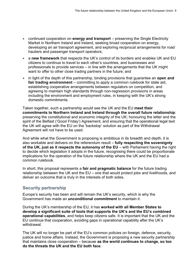- continued cooperation on **energy and transport** preserving the Single Electricity Market in Northern Ireland and Ireland, seeking broad cooperation on energy, developing an air transport agreement, and exploring reciprocal arrangements for road hauliers and passenger transport operators;
- a **new framework** that respects the UK's control of its borders and enables UK and EU citizens to continue to travel to each other's countries, and businesses and professionals to provide services – in line with the arrangements that the UK might want to offer to other close trading partners in the future; and
- in light of the depth of this partnership, binding provisions that guarantee an **open and fair trading environment** – committing to apply a common rulebook for state aid, establishing cooperative arrangements between regulators on competition, and agreeing to maintain high standards through non-regression provisions in areas including the environment and employment rules, in keeping with the UK's strong domestic commitments.

Taken together, such a partnership would see the UK and the EU **meet their commitments to Northern Ireland and Ireland through the overall future relationship**: preserving the constitutional and economic integrity of the UK; honouring the letter and the spirit of the Belfast ('Good Friday') Agreement; and ensuring that the operational legal text the UK will agree with the EU on the 'backstop' solution as part of the Withdrawal Agreement will not have to be used.

And while what the Government is proposing is ambitious in its breadth and depth, it is also workable and delivers on the referendum result – **fully respecting the sovereignty of the UK, just as it respects the autonomy of the EU** – with Parliament having the right to decide which legislation it adopts in the future, recognising there could be proportionate implications for the operation of the future relationship where the UK and the EU had a common rulebook.

In short, this proposal represents a **fair and pragmatic balance** for the future trading relationship between the UK and the EU – one that would protect jobs and livelihoods, and deliver an outcome that is truly in the interests of both sides.

#### **Security partnership**

Europe's security has been and will remain the UK's security, which is why the Government has made an **unconditional commitment** to maintain it.

During the UK's membership of the EU, it has **worked with all Member States to develop a significant suite of tools that supports the UK's and the EU's combined operational capabilities**, and helps keep citizens safe. It is important that the UK and the EU continue that cooperation, avoiding gaps in operational capability after the UK's withdrawal.

The UK will no longer be part of the EU's common policies on foreign, defence, security, justice and home affairs. Instead, the Government is proposing a new security partnership that maintains close cooperation – because **as the world continues to change, so too do the threats the UK and the EU both face**.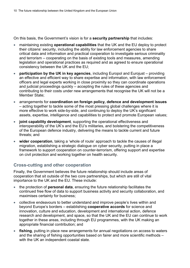On this basis, the Government's vision is for a **security partnership** that includes:

- maintaining existing **operational capabilities** that the UK and the EU deploy to protect their citizens' security, including the ability for law enforcement agencies to share critical data and information and practical cooperation to investigate serious criminality and terrorism – cooperating on the basis of existing tools and measures, amending legislation and operational practices as required and as agreed to ensure operational consistency between the UK and the EU;
- **participation by the UK in key agencies**, including Europol and Eurojust providing an effective and efficient way to share expertise and information, with law enforcement officers and legal experts working in close proximity so they can coordinate operations and judicial proceedings quickly – accepting the rules of these agencies and contributing to their costs under new arrangements that recognise the UK will not be a Member State;
- arrangements for **coordination on foreign policy, defence and development issues** – acting together to tackle some of the most pressing global challenges where it is more effective to work side-by-side, and continuing to deploy the UK's significant assets, expertise, intelligence and capabilities to protect and promote European values;
- **joint capability development**, supporting the operational effectiveness and interoperability of the UK's and the EU's militaries, and bolstering the competitiveness of the European defence industry, delivering the means to tackle current and future threats; and
- **wider cooperation**, taking a 'whole of route' approach to tackle the causes of illegal migration, establishing a strategic dialogue on cyber security, putting in place a framework to support cooperation on counter-terrorism, offering support and expertise on civil protection and working together on health security.

#### **Cross-cutting and other cooperation**

Finally, the Government believes the future relationship should include areas of cooperation that sit outside of the two core partnerships, but which are still of vital importance to the UK and the EU. These include:

- the protection of **personal data**, ensuring the future relationship facilitates the continued free flow of data to support business activity and security collaboration, and maximises certainty for business;
- collective endeavours to better understand and improve people's lives within and beyond Europe's borders – establishing **cooperative accords** for science and innovation, culture and education, development and international action, defence research and development, and space, so that the UK and the EU can continue to work together in these areas, including through EU programmes, with the UK making an appropriate financial contribution; and
- **fishing**, putting in place new arrangements for annual negotiations on access to waters and the sharing of fishing opportunities based on fairer and more scientific methods – with the UK an independent coastal state.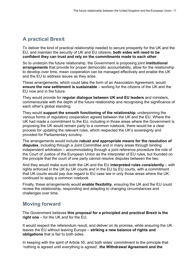### **A practical Brexit**

To deliver the kind of practical relationship needed to secure prosperity for the UK and the EU, and maintain the security of UK and EU citizens, **both sides will need to be confident they can trust and rely on the commitments made to each other**.

So to underpin the future relationship, the Government is proposing joint **institutional arrangements** that provide for proper democratic accountability, allow for the relationship to develop over time, mean cooperation can be managed effectively and enable the UK and the EU to address issues as they arise.

These arrangements, which could take the form of an Association Agreement, would **ensure the new settlement is sustainable** – working for the citizens of the UK and the EU now and in the future.

They would provide for **regular dialogue between UK and EU leaders** and ministers, commensurate with the depth of the future relationship and recognising the significance of each other's global standing.

They would **support the smooth functioning of the relationship**, underpinning the various forms of regulatory cooperation agreed between the UK and the EU. Where the UK had made a commitment to the EU, including in those areas where the Government is proposing the UK would remain party to a common rulebook, there would be a clear process for updating the relevant rules, which respected the UK's sovereignty and provided for Parliamentary scrutiny.

The arrangements would include **robust and appropriate means for the resolution of disputes**, including through a Joint Committee and in many areas through binding independent arbitration – accommodating through a joint reference procedure the role of the Court of Justice of the European Union as the interpreter of EU rules, but founded on the principle that the court of one party cannot resolve disputes between the two.

And they would make sure both the UK and the EU **interpreted rules consistently** – with rights enforced in the UK by UK courts and in the EU by EU courts, with a commitment that UK courts would pay due regard to EU case law in only those areas where the UK continued to apply a common rulebook.

Finally, these arrangements would **enable flexibility**, ensuring the UK and the EU could review the relationship, responding and adapting to changing circumstances and challenges over time.

### **Moving forward**

The Government believes **this proposal for a principled and practical Brexit is the right one** – for the UK and for the EU.

It would respect the referendum result, and deliver on its promise, while ensuring the UK leaves the EU without leaving Europe – **striking a new balance of rights and obligations** that is fair to both sides.

In keeping with the spirit of Article 50, and both sides' commitment to the principle that 'nothing is agreed until everything is agreed', **the Withdrawal Agreement and the**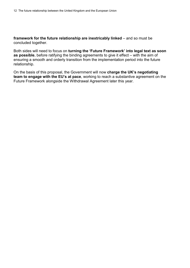**framework for the future relationship are inextricably linked** – and so must be concluded together.

Both sides will need to focus on **turning the 'Future Framework' into legal text as soon as possible**, before ratifying the binding agreements to give it effect – with the aim of ensuring a smooth and orderly transition from the implementation period into the future relationship.

On the basis of this proposal, the Government will now **charge the UK's negotiating team to engage with the EU's at pace**, working to reach a substantive agreement on the Future Framework alongside the Withdrawal Agreement later this year.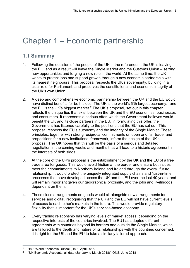# Chapter 1 – Economic partnership

### **1.1 Summary**

- 1. Following the decision of the people of the UK in the referendum, the UK is leaving the EU, and as a result will leave the Single Market and the Customs Union – seizing new opportunities and forging a new role in the world. At the same time, the UK wants to protect jobs and support growth through a new economic partnership with its nearest neighbours. This proposal respects the UK's sovereignty, building in a clear role for Parliament, and preserves the constitutional and economic integrity of the UK's own Union.
- 2. A deep and comprehensive economic partnership between the UK and the EU would have distinct benefits for both sides. The UK is the world's fifth largest economy,<sup>[1](#page-16-0)</sup> and the EU is the UK's biggest market.<sup>2</sup> The UK's proposal, set out in this chapter, reflects the unique ties that exist between the UK and the EU economies, businesses and consumers. It represents a serious offer, which the Government believes would benefit the UK and its close partners in the EU. In formulating this offer, the Government has listened carefully to the positions that the EU has set out. This proposal respects the EU's autonomy and the integrity of the Single Market. These principles, together with strong reciprocal commitments on open and fair trade, and propositions for a new institutional framework, inform the design of the UK's proposal. The UK hopes that this will be the basis of a serious and detailed negotiation in the coming weeks and months that will lead to a historic agreement in the interests of both sides.
- 3. At the core of the UK's proposal is the establishment by the UK and the EU of a free trade area for goods. This would avoid friction at the border and ensure both sides meet their commitments to Northern Ireland and Ireland through the overall future relationship. It would protect the uniquely integrated supply chains and 'just-in-time' processes that have developed across the UK and the EU over the last 40 years, and will remain important given our geographical proximity, and the jobs and livelihoods dependent on them.
- 4. These close arrangements on goods would sit alongside new arrangements for services and digital, recognising that the UK and the EU will not have current levels of access to each other's markets in the future. This would provide regulatory flexibility that is important for the UK's services-based economy.
- 5. Every trading relationship has varying levels of market access, depending on the respective interests of the countries involved. The EU has adopted different agreements with countries beyond its borders and outside the Single Market, which are tailored to the depth and nature of its relationships with the countries concerned. It is right for the UK and the EU to take a similarly tailored approach.

<span id="page-16-0"></span><sup>1</sup> ['IMF World Economic Outlook',](https://www.imf.org/en/Publications/WEO/Issues/2018/03/20/world-economic-outlook-april-2018) IMF, April 2018

<span id="page-16-1"></span><sup>2</sup> ['UK Economic Accounts: all data \(January to March 2018\)',](https://www.ons.gov.uk/economy/nationalaccounts/uksectoraccounts/datasets/ukeconomicaccounts) ONS, June 2018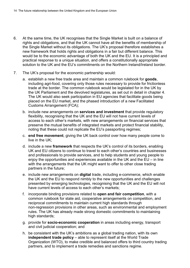- 6. At the same time, the UK recognises that the Single Market is built on a balance of rights and obligations, and that the UK cannot have all the benefits of membership of the Single Market without its obligations. The UK's proposal therefore establishes a new framework that holds rights and obligations in a fair but different balance. This would be to the economic advantage of both the UK and the EU. It is a principled and practical response to a unique situation, and offers a constitutionally appropriate solution to the UK and the EU's commitments on the Northern Ireland/Ireland border.
- 7. The UK's proposal for the economic partnership would:
	- a. establish a new free trade area and maintain a common rulebook for **goods**, including agri-food, covering only those rules necessary to provide for frictionless trade at the border. The common rulebook would be legislated for in the UK by the UK Parliament and the devolved legislatures, as set out in detail in chapter 4. The UK would also seek participation in EU agencies that facilitate goods being placed on the EU market, and the phased introduction of a new Facilitated Customs Arrangement (FCA);
	- b. include new arrangements on **services and investment** that provide regulatory flexibility, recognising that the UK and the EU will not have current levels of access to each other's markets, with new arrangements on financial services that preserve the mutual benefits of integrated markets and protect financial stability, noting that these could not replicate the EU's passporting regimes;
	- c. **end free movement**, giving the UK back control over how many people come to live in the UK;
	- d. include a new **framework** that respects the UK's control of its borders, enabling UK and EU citizens to continue to travel to each other's countries and businesses and professionals to provide services, and to help students and young people to enjoy the opportunities and experiences available in the UK and the EU – in line with the arrangements that the UK might want to offer to other close trading partners in the future;
	- e. include new arrangements on **digital** trade, including e-commerce, which enable the UK and the EU to respond nimbly to the new opportunities and challenges presented by emerging technologies, recognising that the UK and the EU will not have current levels of access to each other's markets;
	- f. incorporate binding provisions related to **open and fair competition**, with a common rulebook for state aid, cooperative arrangements on competition, and reciprocal commitments to maintain current high standards through non-regression provisions in other areas, such as environmental and employment rules. The UK has already made strong domestic commitments to maintaining high standards;
	- g. provide for **socio-economic cooperation** in areas including energy, transport and civil judicial cooperation; and
	- h. be consistent with the UK's ambitions as a global trading nation, with its own **independent trade policy** – able to represent itself at the World Trade Organization (WTO), to make credible and balanced offers to third country trading partners, and to implement a trade remedies and sanctions regime.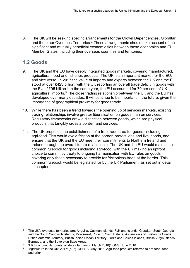8. The UK will be seeking specific arrangements for the Crown Dependencies, Gibraltar and the other Overseas Territories.<sup>[3](#page-18-0)</sup> These arrangements should take account of the significant and mutually beneficial economic ties between these economies and EU Member States, including their overseas countries and territories.

### **1.2 Goods**

- 9. The UK and the EU have deeply integrated goods markets, covering manufactured, agricultural, food and fisheries products. The UK is an important market for the EU, and vice versa. In 2017 the value of imports and exports between the UK and the EU stood at over £423 billion, with the UK reporting an overall trade deficit in goods with the EU of £95 billion.<sup>4</sup> In the same year, the EU accounted for 70 per cent of UK agricultural imports.<sup>5</sup> The close trading relationship between the UK and the EU has developed over many decades. It will continue to be important in the future, given the importance of geographical proximity for goods trade.
- 10. While there has been a trend towards the opening up of services markets, existing trading relationships involve greater liberalisation on goods than on services. Regulatory frameworks draw a distinction between goods, which are physical products that tangibly cross a border, and services.
- 11. The UK proposes the establishment of a free trade area for goods, including agri-food. This would avoid friction at the border, protect jobs and livelihoods, and ensure that the UK and the EU meet their commitments to Northern Ireland and Ireland through the overall future relationship. The UK and the EU would maintain a common rulebook for goods including agri-food, with the UK making an upfront choice to commit by treaty to ongoing harmonisation with EU rules on goods, covering only those necessary to provide for frictionless trade at the border. This common rulebook would be legislated for by the UK Parliament, as set out in detail in chapter 4.

<span id="page-18-0"></span><sup>&</sup>lt;sup>3</sup> The UK's overseas territories are: Anguilla, Cayman Islands, Falkland Islands, Gibraltar, South Georgia and the South Sandwich Islands, Montserrat, Pitcairn, Saint Helena, Ascension and Tristan da Cunha, British Antarctic Territory, British Indian Ocean Territory, Turks and Caicos Islands, British Virgin Islands, Bermuda, and the Sovereign Base Areas.

<span id="page-18-2"></span><span id="page-18-1"></span><sup>4</sup> ['UK Economic Accounts: all data \(January to March 2018\)',](https://www.ons.gov.uk/economy/nationalaccounts/uksectoraccounts/datasets/ukeconomicaccounts) ONS, June 2018

<sup>5</sup> ['Agriculture in the UK: 2017'](https://assets.publishing.service.gov.uk/government/uploads/system/uploads/attachment_data/file/712317/AUK-2017-31may18.pdf) (p97), DEFRA, May 2018. Agri-food products referred to are food, feed and drink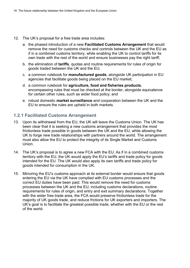- 12. The UK's proposal for a free trade area includes:
	- a. the phased introduction of a new **Facilitated Customs Arrangement** that would remove the need for customs checks and controls between the UK and the EU as if in a combined customs territory, while enabling the UK to control tariffs for its own trade with the rest of the world and ensure businesses pay the right tariff;
	- b. the elimination of **tariffs**, quotas and routine requirements for rules of origin for goods traded between the UK and the EU;
	- c. a common rulebook for **manufactured goods**, alongside UK participation in EU agencies that facilitate goods being placed on the EU market;
	- d. a common rulebook for **agriculture, food and fisheries products**, encompassing rules that must be checked at the border, alongside equivalence for certain other rules, such as wider food policy; and
	- e. robust domestic **market surveillance** and cooperation between the UK and the EU to ensure the rules are upheld in both markets.

#### **1.2.1 Facilitated Customs Arrangement**

- 13. Upon its withdrawal from the EU, the UK will leave the Customs Union. The UK has been clear that it is seeking a new customs arrangement that provides the most frictionless trade possible in goods between the UK and the EU, while allowing the UK to forge new trade relationships with partners around the world. The arrangement must also allow the EU to protect the integrity of its Single Market and Customs Union.
- 14. The UK's proposal is to agree a new FCA with the EU. As if in a combined customs territory with the EU, the UK would apply the EU's tariffs and trade policy for goods intended for the EU. The UK would also apply its own tariffs and trade policy for goods intended for consumption in the UK.
- 15. Mirroring the EU's customs approach at its external border would ensure that goods entering the EU via the UK have complied with EU customs processes and the correct EU duties have been paid. This would remove the need for customs processes between the UK and the EU, including customs declarations, routine requirements for rules of origin, and entry and exit summary declarations. Together with the wider free trade area, the FCA would preserve frictionless trade for the majority of UK goods trade, and reduce frictions for UK exporters and importers. The UK's goal is to facilitate the greatest possible trade, whether with the EU or the rest of the world.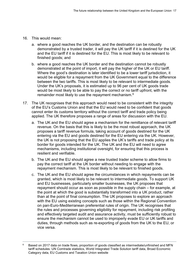- 16. This would mean:
	- a. where a good reaches the UK border, and the destination can be robustly demonstrated by a trusted trader, it will pay the UK tariff if it is destined for the UK and the EU tariff if it is destined for the EU. This is most likely to be relevant to finished goods; and
	- b. where a good reaches the UK border and the destination cannot be robustly demonstrated at the point of import, it will pay the higher of the UK or EU tariff. Where the good's destination is later identified to be a lower tariff jurisdiction, it would be eligible for a repayment from the UK Government equal to the difference between the two tariffs. This is most likely to be relevant to intermediate goods. Under the UK's proposals, it is estimated up to 96 per cent of UK goods trade would be most likely to be able to pay the correct or no tariff upfront, with the remainder most likely to use the repayment mechanism.<sup>[6](#page-20-0)</sup>
- 17. The UK recognises that this approach would need to be consistent with the integrity of the EU's Customs Union and that the EU would need to be confident that goods cannot enter its customs territory without the correct tariff and trade policy being applied. The UK therefore proposes a range of areas for discussion with the EU.
	- a. The UK and the EU should agree a mechanism for the remittance of relevant tariff revenue. On the basis that this is likely to be the most robust approach, the UK proposes a tariff revenue formula, taking account of goods destined for the UK entering via the EU and goods destined for the EU entering via the UK. However, the UK is not proposing that the EU applies the UK's tariffs and trade policy at its border for goods intended for the UK. The UK and the EU will need to agree mechanisms, including institutional oversight, for ensuring that this process is resilient and verifiable.
	- b. The UK and the EU should agree a new trusted trader scheme to allow firms to pay the correct tariff at the UK border without needing to engage with the repayment mechanism. This is most likely to be relevant to finished goods.
	- c. The UK and the EU should agree the circumstances in which repayments can be granted, which is most likely to be relevant to intermediate goods. To support UK and EU businesses, particularly smaller businesses, the UK proposes that repayment should occur as soon as possible in the supply chain – for example, at the point at which the good is substantially transformed into a UK product, rather than at the point of final consumption. The UK proposes to explore an approach with the EU using existing concepts such as those within the Regional Convention on pan-Euro-Mediterranean preferential rules of origin. The UK recognises that the rules and processes governing eligibility for repayment, including risk profiling and effectively targeted audit and assurance activity, must be sufficiently robust to ensure the mechanism cannot be used to improperly evade EU or UK tariffs and duties, through methods such as re-exporting of goods from the UK to the EU, or vice versa.

<span id="page-20-0"></span><sup>6</sup> Based on 2017 data on trade flows, proportion of goods classified as intermediate/unfinished and MFN tariff schedules. [UN Comtrade statistics,](https://comtrade.un.org/) [World Integrated Trade Solution tariff data,](https://wits.worldbank.org/wits/wits/witshelp/content/data_retrieval/p/intro/c2.types_of_tariffs.htm) [Broad Economic](https://unstats.un.org/unsd/tradekb/Knowledgebase/50089/Classification-by-Broad-Economic-Categories-Rev4)  [Category data,](https://unstats.un.org/unsd/tradekb/Knowledgebase/50089/Classification-by-Broad-Economic-Categories-Rev4) [EU Customs and Taxation Union website](https://ec.europa.eu/taxation_customs/home_en)  $\overline{a}$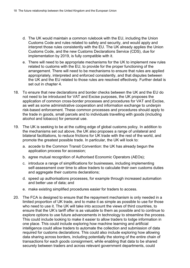- d. The UK would maintain a common rulebook with the EU, including the Union Customs Code and rules related to safety and security, and would apply and interpret those rules consistently with the EU. The UK already applies the Union Customs Code, and the new Customs Declarations Service (CDS), due for implementation by 2019, is fully compatible with it.
- e. There will need to be appropriate mechanisms for the UK to implement new rules related to customs with the EU, to provide for the proper functioning of the arrangement. There will need to be mechanisms to ensure that rules are applied appropriately, interpreted and enforced consistently, and that disputes between the UK and the EU related to those rules are resolved effectively. Further detail is set out in chapter 4.
- 18. To ensure that new declarations and border checks between the UK and the EU do not need to be introduced for VAT and Excise purposes, the UK proposes the application of common cross-border processes and procedures for VAT and Excise, as well as some administrative cooperation and information exchange to underpin risk-based enforcement. These common processes and procedures should apply to the trade in goods, small parcels and to individuals travelling with goods (including alcohol and tobacco) for personal use.
- 19. The UK is seeking to be at the cutting edge of global customs policy. In addition to the mechanisms set out above, the UK also proposes a range of unilateral and bilateral facilitations, to reduce frictions for UK trade with the rest of the world, and promote the greatest possible trade. In particular, the UK will look to:
	- a. accede to the Common Transit Convention: the UK has already begun the application process for accession;
	- b. agree mutual recognition of Authorised Economic Operators (AEOs);
	- c. introduce a range of simplifications for businesses, including implementing self-assessment over time to allow traders to calculate their own customs duties and aggregate their customs declarations;
	- d. speed up authorisations processes, for example through increased automation and better use of data; and
	- e. make existing simplified procedures easier for traders to access.
- 20. The FCA is designed to ensure that the repayment mechanism is only needed in a limited proportion of UK trade, and to make it as simple as possible to use for those who need to use it. The UK will take into account the views of third countries, to ensure that the UK's tariff offer is as valuable to them as possible and to continue to explore options to use future advancements in technology to streamline the process. This could include looking to make it easier to allow traders to lodge information in one place. This could include exploring how machine learning and artificial intelligence could allow traders to automate the collection and submission of data required for customs declarations. This could also include exploring how allowing data sharing across borders, including potentially the storing of the entire chain of transactions for each goods consignment, while enabling that data to be shared securely between traders and across relevant government departments, could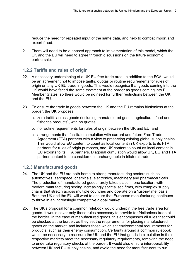reduce the need for repeated input of the same data, and help to combat import and export fraud.

21. There will need to be a phased approach to implementation of this model, which the UK and the EU will need to agree through discussions on the future economic partnership.

#### **1.2.2 Tariffs and rules of origin**

- 22. A necessary underpinning of a UK-EU free trade area, in addition to the FCA, would be an agreement not to impose tariffs, quotas or routine requirements for rules of origin on any UK-EU trade in goods. This would recognise that goods coming into the UK would have faced the same treatment at the border as goods coming into EU Member States, so there would be no need for further restrictions between the UK and the EU.
- 23. To ensure the trade in goods between the UK and the EU remains frictionless at the border, the UK proposes:
	- a. zero tariffs across goods (including manufactured goods, agricultural, food and fisheries products), with no quotas;
	- b. no routine requirements for rules of origin between the UK and EU; and
	- c. arrangements that facilitate cumulation with current and future Free Trade Agreement (FTA) partners with a view to preserving existing global supply chains. This would allow EU content to count as local content in UK exports to its FTA partners for rules of origin purposes, and UK content to count as local content in EU exports to its FTA partners. Diagonal cumulation would allow UK, EU and FTA partner content to be considered interchangeable in trilateral trade.

#### **1.2.3 Manufactured goods**

- 24. The UK and the EU are both home to strong manufacturing sectors such as automotives, aerospace, chemicals, electronics, machinery and pharmaceuticals. The production of manufactured goods rarely takes place in one location, with modern manufacturing seeing increasingly specialised firms, with complex supply chains that stretch across multiple countries and operate on a 'just-in-time' basis. Both the UK and the EU will want to ensure that European manufacturing continues to thrive in an increasingly competitive global market.
- 25. The UK's proposal for a common rulebook would underpin the free trade area for goods. It would cover only those rules necessary to provide for frictionless trade at the border. In the case of manufactured goods, this encompasses all rules that could be checked at the border, as they set the requirements for placing manufactured goods on the market, and includes those which set environmental requirements for products, such as their energy consumption. Certainty around a common rulebook would be necessary to reassure the UK and the EU that goods in circulation in their respective markets meet the necessary regulatory requirements, removing the need to undertake regulatory checks at the border. It would also ensure interoperability between UK and EU supply chains, and avoid the need for manufacturers to run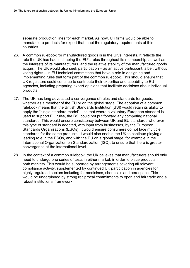separate production lines for each market. As now, UK firms would be able to manufacture products for export that meet the regulatory requirements of third countries.

- 26. A common rulebook for manufactured goods is in the UK's interests. It reflects the role the UK has had in shaping the EU's rules throughout its membership, as well as the interests of its manufacturers, and the relative stability of the manufactured goods acquis. The UK would also seek participation – as an active participant, albeit without voting rights – in EU technical committees that have a role in designing and implementing rules that form part of the common rulebook. This should ensure that UK regulators could continue to contribute their expertise and capability to EU agencies, including preparing expert opinions that facilitate decisions about individual products.
- 27. The UK has long advocated a convergence of rules and standards for goods, whether as a member of the EU or on the global stage. The adoption of a common rulebook means that the British Standards Institution (BSI) would retain its ability to apply the "single standard model" – so that where a voluntary European standard is used to support EU rules, the BSI could not put forward any competing national standards. This would ensure consistency between UK and EU standards wherever this type of standard is adopted, with input from businesses, by the European Standards Organisations (ESOs). It would ensure consumers do not face multiple standards for the same products. It would also enable the UK to continue playing a leading role in the ESOs, and with the EU on a global stage, for example in the International Organization on Standardization (ISO), to ensure that there is greater convergence at the international level.
- 28. In the context of a common rulebook, the UK believes that manufacturers should only need to undergo one series of tests in either market, in order to place products in both markets. This would be supported by arrangements covering all relevant compliance activity, supplemented by continued UK participation in agencies for highly regulated sectors including for medicines, chemicals and aerospace. This would be underpinned by strong reciprocal commitments to open and fair trade and a robust institutional framework.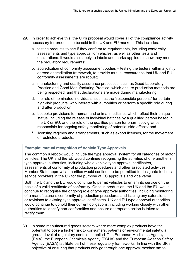- 29. In order to achieve this, the UK's proposal would cover all of the compliance activity necessary for products to be sold in the UK and EU markets. This includes:
	- a. testing products to see if they conform to requirements, including conformity assessments and type approval for vehicles, as well as other tests and declarations. It would also apply to labels and marks applied to show they meet the regulatory requirements;
	- b. accreditation of conformity assessment bodies testing the testers within a jointly agreed accreditation framework, to provide mutual reassurance that UK and EU conformity assessments are robust;
	- c. manufacturing and quality assurance processes, such as Good Laboratory Practice and Good Manufacturing Practice, which ensure production methods are being respected, and that declarations are made during manufacturing;
	- d. the role of nominated individuals, such as the "responsible persons" for certain high-risk products, who interact with authorities or perform a specific role during and after production;
	- e. bespoke provisions for human and animal medicines which reflect their unique status, including the release of individual batches by a qualified person based in the UK or EU, and the role of the qualified person for pharmacovigilance, responsible for ongoing safety monitoring of potential side effects; and
	- f. licensing regimes and arrangements, such as export licenses, for the movement of restricted products.

#### **Example: mutual recognition of Vehicle Type Approvals**

The common rulebook would include the type approval system for all categories of motor vehicles. The UK and the EU would continue recognising the activities of one another's type approval authorities, including whole vehicle type approval certificates, assessments of conformity of production procedures and other associated activities. Member State approval authorities would continue to be permitted to designate technical service providers in the UK for the purpose of EC approvals and vice versa.

Both the UK and the EU would continue to permit vehicles to enter into service on the basis of a valid certificate of conformity. Once in production, the UK and the EU would continue to recognise the ongoing role of type approval authorities, including monitoring of a manufacturer's conformity of production procedures and issuing any extensions or revisions to existing type approval certificates. UK and EU type approval authorities would continue to uphold their current obligations, including working closely with other authorities to identify non-conformities and ensure appropriate action is taken to rectify them.

30. In some manufactured goods sectors where more complex products have the potential to pose a higher risk to consumers, patients or environmental safety, a greater level of regulatory control is applied. The European Medicines Agency (EMA), the European Chemicals Agency (ECHA) and the European Aviation Safety Agency (EASA) facilitate part of these regulatory frameworks. In line with the UK's objective of ensuring that products only go through one approval mechanism to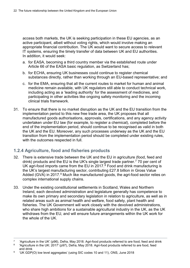access both markets, the UK is seeking participation in these EU agencies, as an active participant, albeit without voting rights, which would involve making an appropriate financial contribution. The UK would want to secure access to relevant IT systems, ensuring the timely transfer of data between UK and EU authorities. In addition, it would seek:

- a. for EASA, becoming a third country member via the established route under Article 66 of the EASA basic regulation, as Switzerland has;
- b. for ECHA, ensuring UK businesses could continue to register chemical substances directly, rather than working through an EU-based representative; and
- c. for the EMA, ensuring that all the current routes to market for human and animal medicine remain available, with UK regulators still able to conduct technical work, including acting as a 'leading authority' for the assessment of medicines, and participating in other activities like ongoing safety monitoring and the incoming clinical trials framework.
- 31. To ensure that there is no market disruption as the UK and the EU transition from the implementation period to this new free trade area, the UK proposes that all manufactured goods authorisations, approvals, certifications, and any agency activity undertaken under EU law (for example, to register a chemical), completed before the end of the implementation period, should continue to be recognised as valid in both the UK and the EU. Moreover, any such processes underway as the UK and the EU transition from the implementation period should be completed under existing rules, with the outcomes respected in full.

#### **1.2.4 Agriculture, food and fisheries products**

- 32. There is extensive trade between the UK and the EU in agriculture (food, feed and drink) products and the EU is the UK's single largest trade partner.<sup>[7](#page-25-0)</sup> 70 per cent of UK agri-food imports came from the EU in 2017. $8$  Food and drink manufacturing is the UK's largest manufacturing sector, contributing £27.8 billion in Gross Value Added (GVA) in 2017.<sup>[9](#page-25-2)</sup> Much like manufactured goods, the agri-food sector relies on complex international supply chains.
- 33. Under the existing constitutional settlements in Scotland, Wales and Northern Ireland, each devolved administration and legislature generally has competence to make its own primary and secondary legislation in relation to agriculture, as well as in related areas such as animal health and welfare, food safety, plant health and fisheries. The UK Government will work closely with the devolved administrations, who share high ambitions for a sustainable agricultural industry in the UK, as the UK withdraws from the EU, and will ensure future arrangements within the UK work for the whole of the UK.

<span id="page-25-1"></span><span id="page-25-0"></span><sup>&</sup>lt;sup>7</sup> ['Agriculture in the UK'](https://www.gov.uk/government/statistics/agriculture-in-the-united-kingdom-2017) (p96), Defra, May 2018. Agri-food products referred to are food, feed and drink<br><sup>8</sup> 'Agriculture in the UK: 2017' (p97), Defra, May 2018. Agri food products referred to are food, feed

[<sup>&#</sup>x27;Agriculture in the UK: 2017'](https://www.gov.uk/government/statistics/agriculture-in-the-united-kingdom-2017) (p97), Defra, May 2018. Agri-food products referred to are food, feed and drink

<span id="page-25-2"></span><sup>9</sup> ['UK GDP\(O\) low level aggregates'](https://www.ons.gov.uk/economy/grossdomesticproductgdp/datasets/ukgdpolowlevelaggregates) (using SIC codes 10 and 11), ONS, June 2018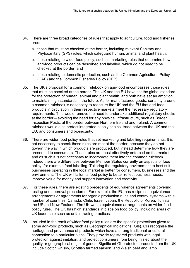- 34. There are three broad categories of rules that apply to agriculture, food and fisheries products:
	- a. those that must be checked at the border, including relevant Sanitary and Phytosanitary (SPS) rules, which safeguard human, animal and plant health;
	- b. those relating to wider food policy, such as marketing rules that determine how agri-food products can be described and labelled, which do not need to be checked at the border; and
	- c. those relating to domestic production, such as the Common Agricultural Policy (CAP) and the Common Fisheries Policy (CFP).
- 35. The UK's proposal for a common rulebook on agri-food encompasses those rules that must be checked at the border. The UK and the EU have set the global standard for the protection of human, animal and plant health, and both have set an ambition to maintain high standards in the future. As for manufactured goods, certainty around a common rulebook is necessary to reassure the UK and the EU that agri-food products in circulation in their respective markets meet the necessary regulatory requirements. This would remove the need to undertake additional regulatory checks at the border – avoiding the need for any physical infrastructure, such as Border Inspection Posts, at the border between Northern Ireland and Ireland. A common rulebook would also protect integrated supply chains, trade between the UK and the EU, and consumers and biosecurity.
- 36. There are wider food policy rules that set marketing and labelling requirements. It is not necessary to check these rules are met at the border, because they do not govern the way in which products are produced, but instead determine how they are presented to consumers. These rules are most effectively enforced on the market, and as such it is not necessary to incorporate them into the common rulebook. Indeed there are differences between Member States currently on aspects of food policy, for example food labelling. Tailoring the regulatory environment to best suit businesses operating in the local market is better for consumers, businesses and the environment. The UK will tailor its food policy to better reflect business needs, improve value for money and support innovation and creativity.
- 37. For these rules, there are existing precedents of equivalence agreements covering testing and approval procedures. For example, the EU has reciprocal equivalence arrangements or agreements for organic production rules and control systems with a number of countries: Canada, Chile, Israel, Japan, the Republic of Korea, Tunisia, the US and New Zealand. The UK wants equivalence arrangements on wider food policy rules. The UK has high standards in place on food policy, including areas of UK leadership such as unfair trading practices.
- 38. Included in the remit of wider food policy rules are the specific protections given to some agri-food products, such as Geographical Indications (GIs). GIs recognise the heritage and provenance of products which have a strong traditional or cultural connection to a particular place. They provide registered products with legal protection against imitation, and protect consumers from being misled about the quality or geographical origin of goods. Significant GI-protected products from the UK include Scotch whisky, Scottish farmed salmon, and Welsh beef and lamb.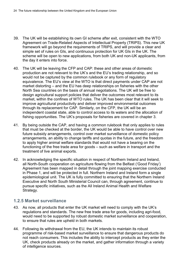- 39. The UK will be establishing its own GI scheme after exit, consistent with the WTO Agreement on Trade-Related Aspects of Intellectual Property (TRIPS). This new UK framework will go beyond the requirements of TRIPS, and will provide a clear and simple set of rules on GIs, and continuous protection for UK GIs in the UK. The scheme will be open to new applications, from both UK and non-UK applicants, from the day it enters into force.
- 40. The UK will be leaving the CFP and CAP: these and other areas of domestic production are not relevant to the UK's and the EU's trading relationship, and so would not be captured by the common rulebook or any form of regulatory equivalence. The EU's view at the WTO is that direct payments under CAP are not market distorting – and the EU has deep relationships on fisheries with the other North Sea countries on the basis of annual negotiations. The UK will be free to design agricultural support policies that deliver the outcomes most relevant to its market, within the confines of WTO rules. The UK has been clear that it will seek to improve agricultural productivity and deliver improved environmental outcomes through its replacement for CAP. Similarly, on the CFP, the UK will be an independent coastal state, able to control access to its waters and the allocation of fishing opportunities. The UK's proposals for fisheries are covered in chapter 3.
- 41. By being outside the CAP, and having a common rulebook that only applies to rules that must be checked at the border, the UK would be able to have control over new future subsidy arrangements, control over market surveillance of domestic policy arrangements, an ability to change tariffs and quotas in the future, and the freedom to apply higher animal welfare standards that would not have a bearing on the functioning of the free trade area for goods – such as welfare in transport and the treatment of live animal exports.
- 42. In acknowledging the specific situation in respect of Northern Ireland and Ireland, all North-South cooperation on agriculture flowing from the Belfast ('Good Friday') Agreement has been mapped in detail through the joint mapping exercise conducted in Phase 1, and will be protected in full. Northern Ireland and Ireland form a single epidemiological unit. The UK is fully committed to ensuring that the Northern Ireland Executive and North South Ministerial Council can, through agreement, continue to pursue specific initiatives, such as the All Ireland Animal Health and Welfare Strategy.

#### **1.2.5 Market surveillance**

- 43. As now, all products that enter the UK market will need to comply with the UK's regulations and standards. The new free trade area for goods, including agri-food, would need to be supported by robust domestic market surveillance and cooperation, to ensure that rules are upheld in both markets.
- 44. Following its withdrawal from the EU, the UK intends to maintain its robust programme of risk-based market surveillance to ensure that dangerous products do not reach consumers. This includes the ability to intercept products as they enter the UK, check products already on the market, and gather information through a variety of intelligence sources.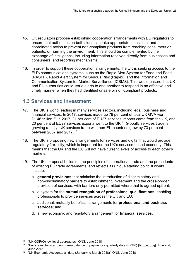- 45. UK regulators propose establishing cooperation arrangements with EU regulators to ensure that authorities on both sides can take appropriate, consistent and coordinated action to prevent non-compliant products from reaching consumers or patients, or harming the environment. This should be complemented by the exchange of intelligence, including information received directly from businesses and consumers, and reporting mechanisms.
- 46. In order to support these cooperation arrangements, the UK is seeking access to the EU's communications systems, such as the Rapid Alert System for Food and Feed (RASFF), Rapid Alert System for Serious Risk (Rapex), and the Information and Communication System for Market Surveillance (ICSMS). This would ensure that UK and EU authorities could issue alerts to one another to respond in an effective and timely manner when they had identified unsafe or non-compliant products.

### **1.3 Services and investment**

- 47. The UK is world leading in many services sectors, including legal, business and financial services. In 2017, services made up 79 per cent of total UK GVA worth £1.46 trillion.[10](#page-28-0) In 2017, 21 per cent of EU27 services imports came from the UK, and 20 per cent of EU27 services exports went to the UK.<sup>[11](#page-28-1)</sup> Globally services trade is growing rapidly; UK services trade with non-EU countries grew by 73 per cent between 2007 and 2017.[12](#page-28-2)
- 48. The UK is proposing new arrangements for services and digital that would provide regulatory flexibility, which is important for the UK's services-based economy. This means that the UK and the EU will not have current levels of access to each other's markets.
- 49. The UK's proposal builds on the principles of international trade and the precedents of existing EU trade agreements, and reflects its unique starting point. It would include:
	- a. **general provisions** that minimise the introduction of discriminatory and non-discriminatory barriers to establishment, investment and the cross-border provision of services, with barriers only permitted where that is agreed upfront;
	- b. a system for the **mutual recognition of professional qualifications**, enabling professionals to provide services across the UK and EU;
	- c. additional, mutually beneficial arrangements for **professional and business services**; and
	- d. a new economic and regulatory arrangement for **financial services**.

<span id="page-28-0"></span><sup>10</sup> ['UK GDP\(O\) low level aggregates',](https://www.ons.gov.uk/economy/grossdomesticproductgdp/datasets/ukgdpolowlevelaggregates) ONS, June 2018

<span id="page-28-1"></span><sup>11</sup> ['European Union and euro area balance of payments -](http://appsso.eurostat.ec.europa.eu/nui/show.do?query=BOOKMARK_DS-421428_QID_-12D9026D_UID_-3F171EB0&layout=PARTNER,L,X,0;STK_FLOW,L,Y,0;CURRENCY,L,Z,0;BOP_ITEM,L,Z,1;SECTOR10,L,Z,2;SECTPART,L,Z,3;S_ADJ,L,Z,4;GEO,L,Z,5;TIME,C,Z,6;INDICATORS,C,Z,7;&zSelection=DS-421428SECTOR10,S1;DS-421428S_ADJ,NSA;DS-421428GEO,EU27_2019;DS-421428CURRENCY,MIO_EUR;DS-421428INDICATORS,OBS_FLAG;DS-421428BOP_ITEM,S;DS-421428SECTPART,S1;DS-421428TIME,2017;&rankName1=SECTOR10_1_2_-1_2&rankName2=BOP-ITEM_1_2_-1_2&rankName3=CURRENCY_1_2_-1_2&rankName4=INDICATORS_1_2_-1_2&rankName5=SECTPART_1_2_-1_2&rankName6=S-ADJ_1_2_-1_2&rankName7=TIME_1_0_0_0&rankName8=GEO_1_2_0_1&rankName9=PARTNER_1_2_0_0&rankName10=STK-FLOW_1_2_0_1&rStp=&cStp=&rDCh=&cDCh=&rDM=true&cDM=true&footnes=false&empty=false&wai=false&time_mode=NONE&time_most_recent=false&lang=EN&cfo=%23%23%23%2C%23%23%23.%23%23%23) quarterly data (BPM6) [bop\_eu6\_q]', Eurostat, June 2018

<span id="page-28-2"></span><sup>12</sup> ['UK Economic Accounts: all data \(January to March 2018\)',](https://www.ons.gov.uk/economy/nationalaccounts/uksectoraccounts/datasets/ukeconomicaccounts) ONS, June 2018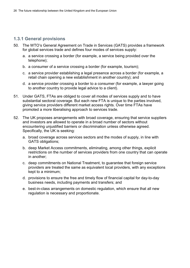#### **1.3.1 General provisions**

- 50. The WTO's General Agreement on Trade in Services (GATS) provides a framework for global services trade and defines four modes of services supply:
	- a. a service crossing a border (for example, a service being provided over the telephone);
	- b. a consumer of a service crossing a border (for example, tourism);
	- c. a service provider establishing a legal presence across a border (for example, a retail chain opening a new establishment in another country); and
	- d. a service provider crossing a border to a consumer (for example, a lawyer going to another country to provide legal advice to a client).
- 51. Under GATS, FTAs are obliged to cover all modes of services supply and to have substantial sectoral coverage. But each new FTA is unique to the parties involved, giving service providers different market access rights. Over time FTAs have promoted a more liberalising approach to services trade.
- 52. The UK proposes arrangements with broad coverage, ensuring that service suppliers and investors are allowed to operate in a broad number of sectors without encountering unjustified barriers or discrimination unless otherwise agreed. Specifically, the UK is seeking:
	- a. broad coverage across services sectors and the modes of supply, in line with GATS obligations;
	- b. deep Market Access commitments, eliminating, among other things, explicit restrictions on the number of services providers from one country that can operate in another;
	- c. deep commitments on National Treatment, to guarantee that foreign service providers are treated the same as equivalent local providers, with any exceptions kept to a minimum;
	- d. provisions to ensure the free and timely flow of financial capital for day-to-day business needs, including payments and transfers; and
	- e. best-in-class arrangements on domestic regulation, which ensure that all new regulation is necessary and proportionate.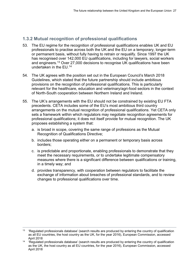#### **1.3.2 Mutual recognition of professional qualifications**

- 53. The EU regime for the recognition of professional qualifications enables UK and EU professionals to practise across both the UK and the EU on a temporary, longer-term or permanent basis, without fully having to retrain or requalify. Since 1997 the UK has recognised over 142,000 EU qualifications, including for lawyers, social workers and engineers.[13](#page-30-0) Over 27,000 decisions to recognise UK qualifications have been undertaken in the EU.[14](#page-30-1)
- 54. The UK agrees with the position set out in the European Council's March 2018 Guidelines, which stated that the future partnership should include ambitious provisions on the recognition of professional qualifications. This is particularly relevant for the healthcare, education and veterinary/agri-food sectors in the context of North-South cooperation between Northern Ireland and Ireland.
- 55. The UK's arrangements with the EU should not be constrained by existing EU FTA precedents. CETA includes some of the EU's most ambitious third country arrangements on the mutual recognition of professional qualifications. Yet CETA only sets a framework within which regulators may negotiate recognition agreements for professional qualifications; it does not itself provide for mutual recognition. The UK proposes establishing a system that:
	- a. is broad in scope, covering the same range of professions as the Mutual Recognition of Qualifications Directive;
	- b. includes those operating either on a permanent or temporary basis across borders;
	- c. is predictable and proportionate, enabling professionals to demonstrate that they meet the necessary requirements, or to undertake legitimate compensatory measures where there is a significant difference between qualifications or training, in a timely way; and
	- d. provides transparency, with cooperation between regulators to facilitate the exchange of information about breaches of professional standards, and to review changes to professional qualifications over time.

<span id="page-30-0"></span><sup>&</sup>lt;sup>13</sup> ['Regulated professionals database'](http://ec.europa.eu/growth/tools-databases/regprof/index.cfm?action=stat_overall&b_services=false) (search results are produced by entering the country of qualification as all EU countries, the host country as the UK, for the year 2016), European Commission, accessed April 2018

<span id="page-30-1"></span><sup>14</sup> ['Regulated professionals database'](http://ec.europa.eu/growth/tools-databases/regprof/index.cfm) (search results are produced by entering the country of qualification as the UK, the host country as all EU countries, for the year 2016), European Commission, accessed April 2018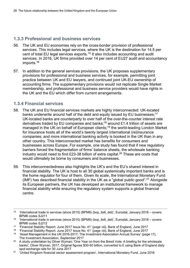#### **1.3.3 Professional and business services**

- 56. The UK and EU economies rely on the cross-border provision of professional services. This includes legal services, where the UK is the destination for 14.5 per cent of total EU legal services exports.[15](#page-31-0) It also includes accounting and audit services. In 2016, UK firms provided over 14 per cent of EU27 audit and accountancy imports.[16](#page-31-1)
- 57. In addition to the general services provisions, the UK proposes supplementary provisions for professional and business services, for example, permitting joint practice between UK and EU lawyers, and continued joint UK-EU ownership of accounting firms. The supplementary provisions would not replicate Single Market membership, and professional and business service providers would have rights in the UK and the EU which differ from current arrangements.

#### **1.3.4 Financial services**

- 58. The UK and EU financial services markets are highly interconnected: UK-located banks underwrite around half of the debt and equity issued by EU businesses;<sup>[17](#page-31-2)</sup> UK-located banks are counterparty to over half of the over-the-counter interest rate derivatives traded by EU companies and banks;[18](#page-31-3) around £1.4 trillion of assets are managed in the UK on behalf of European clients;<sup>[19](#page-31-4)</sup> the world-leading London Market for insurance hosts all of the world's twenty largest international (re)insurance companies; and more international banking activity is booked in the UK than in any other country. This interconnected market has benefits for consumers and businesses across Europe. For example, one study has found that if new regulatory barriers forced the fragmentation of firms' balance sheets, the wholesale banking industry would need to find £23-38 billion of extra capital.<sup>[20](#page-31-5)</sup> These are costs that would ultimately be borne by consumers and businesses.
- 59. This interconnectedness also highlights the UK's and the EU's shared interest in financial stability. The UK is host to all 30 global systemically important banks and is the home regulator for four of them. Given its scale, the International Monetary Fund (IMF) has described financial stability in the UK as a "global public good".<sup>[21](#page-31-6)</sup> Alongside its European partners, the UK has developed an institutional framework to manage financial stability while ensuring the regulatory system supports a global financial centre.

<span id="page-31-0"></span><sup>15</sup> ['International trade in services \(since 2010\) \(BPM6\) \(bop\\_its6\\_det\)',](http://ec.europa.eu/eurostat/data/database) Eurostat, January 2018 – covers BPM6 codes SJ211

<span id="page-31-1"></span><sup>&</sup>lt;sup>16</sup> ['International trade in services \(since 2010\) \(BPM6\) \(bop\\_its6\\_det\)',](http://ec.europa.eu/eurostat/data/database) Eurostat, January 2018 – covers BPM6 codes SJ212

<span id="page-31-2"></span><sup>&</sup>lt;sup>17</sup> ['Financial Stability Report: June 2017 Issue No. 41'](https://www.bankofengland.co.uk/-/media/boe/files/financial-stability-report/2017/june-2017.pdf?la=en&hash=EB9E61B5ABA0E05889E903AF041B855D79652644) (page viii), Bank of England, June 2017

<span id="page-31-3"></span><sup>18</sup> ['Financial Stability Report: June 2017 Issue No. 41'](https://www.bankofengland.co.uk/-/media/boe/files/financial-stability-report/2017/june-2017.pdf?la=en&hash=EB9E61B5ABA0E05889E903AF041B855D79652644) (page viii), Bank of England, June 2017

<span id="page-31-4"></span><sup>19</sup> ['Asset Management in the UK 2016-2017: The Investment Association Annual Survey'](https://www.theinvestmentassociation.org/assets/files/research/2017/20170914-ams2017.pdf) (page 17), The Investment Association, September 2017

<span id="page-31-5"></span><sup>&</sup>lt;sup>20</sup> A study undertaken by Oliver Wyman: 'One Year on from the Brexit Vote: A briefing for the wholesale [banks',](http://www.oliverwyman.com/content/dam/oliver-wyman/v2/publications/2017/aug/OW-Wholesale-Banking-Brexit-Briefing.pdf) Oliver Wyman, 2017. Original figures \$30-50 billion, converted to £ using Bank of England daily spot exchange rate for 30 June 2017

<span id="page-31-6"></span><sup>&</sup>lt;sup>21</sup> ['United Kingdom financial sector assessment program',](https://www.imf.org/external/pubs/ft/scr/2016/cr16167.pdf) International Monetary Fund, June 2016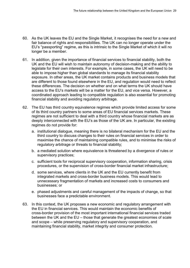- 60. As the UK leaves the EU and the Single Market, it recognises the need for a new and fair balance of rights and responsibilities. The UK can no longer operate under the EU's "passporting" regime, as this is intrinsic to the Single Market of which it will no longer be a member.
- 61. In addition, given the importance of financial services to financial stability, both the UK and the EU will wish to maintain autonomy of decision-making and the ability to legislate for their own interests. For example, in some cases, the UK will need to be able to impose higher than global standards to manage its financial stability exposure. In other areas, the UK market contains products and business models that are different to those found elsewhere in the EU, and regulation would need to reflect these differences. The decision on whether and on what terms the UK should have access to the EU's markets will be a matter for the EU, and vice versa. However, a coordinated approach leading to compatible regulation is also essential for promoting financial stability and avoiding regulatory arbitrage.
- 62. The EU has third country equivalence regimes which provide limited access for some of its third country partners to some areas of EU financial services markets. These regimes are not sufficient to deal with a third country whose financial markets are as deeply interconnected with the EU's as those of the UK are. In particular, the existing regimes do not provide for:
	- a. institutional dialogue, meaning there is no bilateral mechanism for the EU and the third country to discuss changes to their rules on financial services in order to maximise the chance of maintaining compatible rules, and to minimise the risks of regulatory arbitrage or threats to financial stability;
	- b. a mediated solution where equivalence is threatened by a divergence of rules or supervisory practices;
	- c. sufficient tools for reciprocal supervisory cooperation, information sharing, crisis procedures, or the supervision of cross-border financial market infrastructure;
	- d. some services, where clients in the UK and the EU currently benefit from integrated markets and cross-border business models. This would lead to unnecessary fragmentation of markets and increased costs to consumers and businesses; or
	- e. phased adjustments and careful management of the impacts of change, so that businesses face a predictable environment.
- 63. In this context, the UK proposes a new economic and regulatory arrangement with the EU in financial services. This would maintain the economic benefits of cross-border provision of the most important international financial services traded between the UK and the EU – those that generate the greatest economies of scale and scope – while preserving regulatory and supervisory cooperation, and maintaining financial stability, market integrity and consumer protection.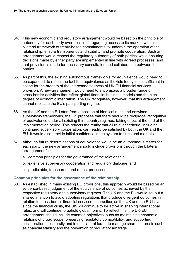- 64. This new economic and regulatory arrangement would be based on the principle of autonomy for each party over decisions regarding access to its market, with a bilateral framework of treaty-based commitments to underpin the operation of the relationship, ensure transparency and stability, and promote cooperation. Such an arrangement would respect the regulatory autonomy of both parties, while ensuring decisions made by either party are implemented in line with agreed processes, and that provision is made for necessary consultation and collaboration between the parties.
- 65. As part of this, the existing autonomous frameworks for equivalence would need to be expanded, to reflect the fact that equivalence as it exists today is not sufficient in scope for the breadth of the interconnectedness of UK-EU financial services provision. A new arrangement would need to encompass a broader range of cross-border activities that reflect global financial business models and the high degree of economic integration. The UK recognises, however, that this arrangement cannot replicate the EU's passporting regime.
- 66. As the UK and the EU start from a position of identical rules and entwined supervisory frameworks, the UK proposes that there should be reciprocal recognition of equivalence under all existing third country regimes, taking effect at the end of the implementation period. This reflects the reality that all relevant criteria, including continued supervisory cooperation, can readily be satisfied by both the UK and the EU. It would also provide initial confidence in the system to firms and markets.
- 67. Although future determinations of equivalence would be an autonomous matter for each party, the new arrangement should include provisions through the bilateral arrangement for:
	- a. common principles for the governance of the relationship;
	- b. extensive supervisory cooperation and regulatory dialogue; and
	- c. predictable, transparent and robust processes.

#### **Common principles for the governance of the relationship**

68. As established in many existing EU provisions, this approach would be based on an evidence-based judgement of the equivalence of outcomes achieved by the respective regulatory and supervisory regimes. The UK and the EU would set out a shared intention to avoid adopting regulations that produce divergent outcomes in relation to cross-border financial services. In practice, as the UK and the EU have since the financial crisis, the UK will continue to be active in shaping international rules, and will continue to uphold global norms. To reflect this, the UK-EU arrangement should include common objectives, such as maintaining economic relations of broad scope, preserving regulatory compatibility, and supporting collaboration – bilaterally and in multilateral fora – to manage shared interests such as financial stability and the prevention of regulatory arbitrage.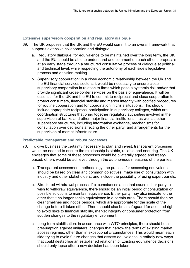#### **Extensive supervisory cooperation and regulatory dialogue**

- 69. The UK proposes that the UK and the EU would commit to an overall framework that supports extensive collaboration and dialogue.
	- a. Regulatory dialogue: for equivalence to be maintained over the long term, the UK and the EU should be able to understand and comment on each other's proposals at an early stage through a structured consultative process of dialogue at political and technical level, while respecting the autonomy of each side's legislative process and decision-making.
	- b. Supervisory cooperation: in a close economic relationship between the UK and the EU financial services sectors, it would be necessary to ensure close supervisory cooperation in relation to firms which pose a systemic risk and/or that provide significant cross-border services on the basis of equivalence. It will be essential for the UK and the EU to commit to reciprocal and close cooperation to protect consumers, financial stability and market integrity with codified procedures for routine cooperation and for coordination in crisis situations. This should include appropriate reciprocal participation in supervisory colleges, which are coordination structures that bring together regulatory authorities involved in the supervision of banks and other major financial institutions – as well as other supervisory structures, including information exchange, mechanisms for consultation over decisions affecting the other party, and arrangements for the supervision of market infrastructure.

#### **Predictable, transparent and robust processes**

- 70. To give business the certainty necessary to plan and invest, transparent processes would be needed to ensure the relationship is stable, reliable and enduring. The UK envisages that some of these processes would be bilaterally agreed and treatybased; others would be achieved through the autonomous measures of the parties.
	- a. Transparent assessment methodology: the process for assessing equivalence should be based on clear and common objectives; make use of consultation with industry and other stakeholders; and include the possibility of using expert panels.
	- b. Structured withdrawal process: if circumstances arise that cause either party to wish to withdraw equivalence, there should be an initial period of consultation on possible solutions to maintain equivalence. Either party may also indicate to the other that it no longer seeks equivalence in a certain area. There should then be clear timelines and notice periods, which are appropriate for the scale of the change before it takes effect. There should also be a safeguard for acquired rights to avoid risks to financial stability, market integrity or consumer protection from sudden changes to the regulatory environment.
	- c. Long-term stabilisation: in accordance with WTO principles, there should be a presumption against unilateral changes that narrow the terms of existing market access regimes, other than in exceptional circumstances. This would mean each side trying to avoid future changes that assess equivalence in entirely new ways that could destabilise an established relationship. Existing equivalence decisions should only lapse after a new decision has been taken.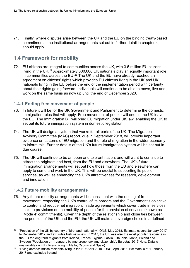71. Finally, where disputes arise between the UK and the EU on the binding treaty-based commitments, the institutional arrangements set out in further detail in chapter 4 should apply.

## **1.4 Framework for mobility**

72. EU citizens are integral to communities across the UK, with 3.5 million EU citizens living in the UK.[22](#page-35-0) Approximately 800,000 UK nationals play an equally important role in communities across the EU.<sup>[23](#page-35-1)</sup> The UK and the EU have already reached an agreement on citizens' rights which provides EU citizens living in the UK and UK nationals living in the EU before the end of the implementation period with certainty about their rights going forward. Individuals will continue to be able to move, live and work on the same basis as now up until the end of December 2020.

#### **1.4.1 Ending free movement of people**

- 73. In future it will be for the UK Government and Parliament to determine the domestic immigration rules that will apply. Free movement of people will end as the UK leaves the EU. The Immigration Bill will bring EU migration under UK law, enabling the UK to set out its future immigration system in domestic legislation.
- 74. The UK will design a system that works for all parts of the UK. The Migration Advisory Committee (MAC) report, due in September 2018, will provide important evidence on patterns of EU migration and the role of migration in the wider economy to inform this. Further details of the UK's future immigration system will be set out in due course.
- 75. The UK will continue to be an open and tolerant nation, and will want to continue to attract the brightest and best, from the EU and elsewhere. The UK's future immigration arrangements will set out how those from the EU and elsewhere can apply to come and work in the UK. This will be crucial to supporting its public services, as well as enhancing the UK's attractiveness for research, development and innovation.

#### **1.4.2 Future mobility arrangements**

76. Any future mobility arrangements will be consistent with the ending of free movement, respecting the UK's control of its borders and the Government's objective to control and reduce net migration. Trade agreements which cover trade in services include provisions on the mobility of people for the provision of services (known as 'Mode 4' commitments). Given the depth of the relationship and close ties between the peoples of the UK and the EU, the UK will make a sovereign choice in a defined

<span id="page-35-0"></span><sup>&</sup>lt;sup>22</sup> ['Population of the UK by country of birth and nationality'](https://www.ons.gov.uk/peoplepopulationandcommunity/populationandmigration/internationalmigration/datasets/populationoftheunitedkingdombycountryofbirthandnationality), ONS, May 2018. Estimate covers January 2017 to December 2017 and excludes Irish nationals. In 2017, the UK was also the most popular residence in the EU for long-term migrants from Ireland, France, Cyprus, Latvia, Lithuania, Malta, Poland and Sweden (Population on 1 January by age group, sex and citizenship', Eurostat, 2017 Note: Data is unavailable on EU citizens living in Malta, Cyprus and Spain)  $\overline{a}$ 

<span id="page-35-1"></span><sup>&</sup>lt;sup>23</sup> ['Living abroad: British residents living in the EU: April 2018',](https://www.ons.gov.uk/peoplepopulationandcommunity/populationandmigration/internationalmigration/articles/livingabroad/april2018) ONS, April 2018. Estimate is at 1 January 2017 and excludes Ireland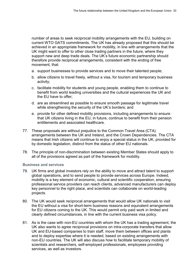number of areas to seek reciprocal mobility arrangements with the EU, building on current WTO GATS commitments. The UK has already proposed that this should be achieved in an appropriate framework for mobility, in line with arrangements that the UK might want to offer to other close trading partners in the future, where they support new and deep trade deals. The UK's future economic partnership should therefore provide reciprocal arrangements, consistent with the ending of free movement, that:

- a. support businesses to provide services and to move their talented people;
- b. allow citizens to travel freely, without a visa, for tourism and temporary business activity;
- c. facilitate mobility for students and young people, enabling them to continue to benefit from world leading universities and the cultural experiences the UK and the EU have to offer;
- d. are as streamlined as possible to ensure smooth passage for legitimate travel while strengthening the security of the UK's borders; and
- e. provide for other defined mobility provisions, including arrangements to ensure that UK citizens living in the EU, in future, continue to benefit from their pension entitlements and associated healthcare.
- 77. These proposals are without prejudice to the Common Travel Area (CTA) arrangements between the UK and Ireland, and the Crown Dependencies. The CTA means that Irish citizens will continue to enjoy a special status in the UK, provided for by domestic legislation, distinct from the status of other EU nationals.
- 78. The principle of non-discrimination between existing Member States should apply to all of the provisions agreed as part of the framework for mobility.

#### **Business and services**

- 79. UK firms and global investors rely on the ability to move and attract talent to support global operations, and to send people to provide services across Europe. Indeed, mobility is a key element of economic, cultural and scientific cooperation, ensuring professional service providers can reach clients, advanced manufacturers can deploy key personnel to the right place, and scientists can collaborate on world-leading projects.
- 80. The UK would seek reciprocal arrangements that would allow UK nationals to visit the EU without a visa for short-term business reasons and equivalent arrangements for EU citizens coming to the UK. This would permit only paid work in limited and clearly defined circumstances, in line with the current business visa policy.
- 81. As is the case with non-EU countries with whom the UK has a trading agreement, the UK also wants to agree reciprocal provisions on intra-corporate transfers that allow UK and EU-based companies to train staff, move them between offices and plants and to deploy expertise where it is needed, based on existing arrangements with non-EU countries. The UK will also discuss how to facilitate temporary mobility of scientists and researchers, self-employed professionals, employees providing services, as well as investors.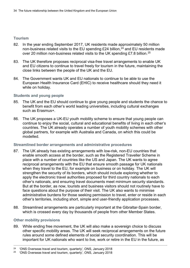#### **Tourism**

- 82. In the year ending September 2017, UK residents made approximately 50 million non-business related visits to the EU spending  $£24$  $£24$  billion,<sup>24</sup> and EU residents made over 20 million non-business related visits to the UK spending £7.8 billion.<sup>[25](#page-37-1)</sup>
- 83. The UK therefore proposes reciprocal visa-free travel arrangements to enable UK and EU citizens to continue to travel freely for tourism in the future, maintaining the close links between the people of the UK and the EU.
- 84. The Government wants UK and EU nationals to continue to be able to use the European Health Insurance Card (EHIC) to receive healthcare should they need it while on holiday.

#### **Students and young people**

- 85. The UK and the EU should continue to give young people and students the chance to benefit from each other's world leading universities, including cultural exchanges such as Erasmus+.
- 86. The UK proposes a UK-EU youth mobility scheme to ensure that young people can continue to enjoy the social, cultural and educational benefits of living in each other's countries. The UK already operates a number of youth mobility schemes with other global partners, for example with Australia and Canada, on which this could be modelled.

### **Streamlined border arrangements and administrative procedures**

- 87. The UK already has existing arrangements with low-risk, non-EU countries that enable smooth access at the border, such as the Registered Traveller Scheme in place with a number of countries like the US and Japan. The UK wants to agree reciprocal arrangements with the EU that ensure smooth passage for UK nationals when they travel to the EU, for example on business or on holiday. The UK will strengthen the security of its borders, which should include exploring whether to apply the electronic travel authorities proposed for third country nationals to each other's nationals, and ensuring travel documents meet minimum security standards. But at the border, as now, tourists and business visitors should not routinely have to face questions about the purpose of their visit. The UK also wants to minimise administrative burdens for those seeking permission to travel, enter or reside in each other's territories, including short, simple and user-friendly application processes.
- 88. Streamlined arrangements are particularly important at the Gibraltar-Spain border, which is crossed every day by thousands of people from other Member States.

### **Other mobility provisions**

 $\overline{a}$ 

89. While ending free movement, the UK will also make a sovereign choice to discuss other specific mobility areas. The UK will seek reciprocal arrangements on the future rules around some defined elements of social security coordination. This will be important for UK nationals who want to live, work or retire in the EU in the future, as

<span id="page-37-0"></span><sup>&</sup>lt;sup>24</sup> ['ONS Overseas travel and tourism, quarterly',](https://www.ons.gov.uk/peoplepopulationandcommunity/leisureandtourism/datasets/overseastravelandtourism) ONS, January 2018

<span id="page-37-1"></span><sup>25</sup> ['ONS Overseas travel and tourism, quarterly',](https://www.ons.gov.uk/peoplepopulationandcommunity/leisureandtourism/datasets/overseastravelandtourism) ONS, January 2018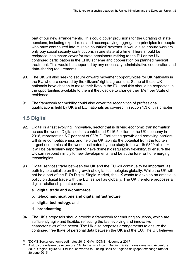part of our new arrangements. This could cover provisions for the uprating of state pensions, including export rules and accompanying aggregation principles for people who have contributed into multiple countries' systems. It would also ensure workers only pay social security contributions in one state at a time. There should be reciprocal healthcare cover for state pensioners retiring to the EU or the UK, continued participation in the EHIC scheme and cooperation on planned medical treatment. This would be supported by any necessary administrative cooperation and data-sharing requirements.

- 90. The UK will also seek to secure onward movement opportunities for UK nationals in the EU who are covered by the citizens' rights agreement. Some of these UK nationals have chosen to make their lives in the EU, and this should be respected in the opportunities available to them if they decide to change their Member State of residence.
- 91. The framework for mobility could also cover the recognition of professional qualifications held by UK and EU nationals as covered in section 1.3 of this chapter.

# **1.5 Digital**

- 92. Digital is a fast evolving, innovative, sector that is driving economic transformation across the world. Digital sectors contributed £116.5 billion to the UK economy in 2016, representing 6.7 per cent of GVA.<sup>[26](#page-38-0)</sup> Facilitating growth and removing barriers will drive competitiveness and help the UK tap into the potential from the top ten largest economies of the world, estimated by one study to be worth £890 billion.<sup>[27](#page-38-1)</sup> It will be particularly important to have domestic regulatory flexibility, to ensure the UK can respond nimbly to new developments, and be at the forefront of emerging technologies.
- 93. Digital services trade between the UK and the EU will continue to be important, as both try to capitalise on the growth of digital technologies globally. While the UK will not be a part of the EU's Digital Single Market, the UK wants to develop an ambitious policy on digital trade with the EU, as well as globally. The UK therefore proposes a digital relationship that covers:
	- a. **digital trade and e-commerce**;
	- b. **telecommunications and digital infrastructure**;
	- c. **digital technology**; and
	- d. **broadcasting**.

 $\overline{a}$ 

94. The UK's proposals should provide a framework for enduring solutions, which are sufficiently agile and flexible, reflecting the fast evolving and innovative characteristics of the sector. The UK also proposes arrangements to ensure the continued free flows of personal data between the UK and the EU. The UK believes

<span id="page-38-0"></span><sup>26</sup> ['DCMS Sector economic estimates 2016: GVA',](https://www.gov.uk/government/statistics/dcms-sectors-economic-estimates-2016-gva) DCMS, November 2017

<span id="page-38-1"></span><sup>&</sup>lt;sup>27</sup> A study undertaken by Accenture: ['Digital Density Index: Guiding Digital Transformation',](https://www.accenture.com/t20150523T023959__w__/it-it/_acnmedia/Accenture/Conversion-Assets/DotCom/Documents/Global/PDF/Dualpub_13/Accenture-Digital-Density-Index-Guiding-Digital-Transformation.pdf) Accenture, 2015. Original figure \$1.4 trillion, converted to £ using Bank of England daily spot exchange rate for 30 June 2015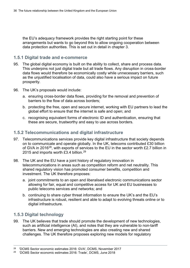the EU's adequacy framework provides the right starting point for these arrangements but wants to go beyond this to allow ongoing cooperation between data protection authorities. This is set out in detail in chapter 3.

### **1.5.1 Digital trade and e-commerce**

- 95. The global digital economy is built on the ability to collect, share and process data. This underpins not just digital trade but all trade flows. Any disruption in cross-border data flows would therefore be economically costly while unnecessary barriers, such as the unjustified localisation of data, could also have a serious impact on future prosperity.
- 96. The UK's proposals would include:
	- a. ensuring cross-border data flows, providing for the removal and prevention of barriers to the flow of data across borders;
	- b. protecting the free, open and secure internet, working with EU partners to lead the global effort to ensure that the internet is safe and open; and
	- c. recognising equivalent forms of electronic ID and authentication, ensuring that these are secure, trustworthy and easy to use across borders.

# **1.5.2 Telecommunications and digital infrastructure**

- 97. Telecommunications services provide key digital infrastructure that society depends on to communicate and operate globally. In the UK, telecoms contributed £30 billion of GVA in 2016<sup>28</sup>, with exports of services to the EU in the sector worth £2.7 billion in 2015 and imports worth £3.4 billion.<sup>[29](#page-39-1)</sup>
- 98. The UK and the EU have a joint history of regulatory innovation in telecommunications in areas such as competition reform and net neutrality. This shared regulatory vision has promoted consumer benefits, competition and investment. The UK therefore proposes:
	- a. joint commitments to an open and liberalised electronic communications sector allowing for fair, equal and competitive access for UK and EU businesses to public telecoms services and networks; and
	- b. continuing to share cyber threat information to ensure the UK's and the EU's infrastructure is robust, resilient and able to adapt to evolving threats online or to digital infrastructure.

# **1.5.3 Digital technology**

 $\overline{a}$ 

99. The UK believes that trade should promote the development of new technologies, such as artificial intelligence (AI), and notes that they are vulnerable to non-tariff barriers. New and emerging technologies are also creating new and shared challenges. The UK therefore proposes exploring new models for regulatory

<span id="page-39-0"></span><sup>28</sup> ['DCMS Sector economic estimates 2016: GVA',](https://www.gov.uk/government/statistics/dcms-sectors-economic-estimates-2016-gva) DCMS, November 2017

<span id="page-39-1"></span><sup>29</sup> ['DCMS Sector economic estimates 2016: Trade',](https://www.gov.uk/government/statistics/dcms-sectors-economic-estimates-2016-trade) DCMS, June 2018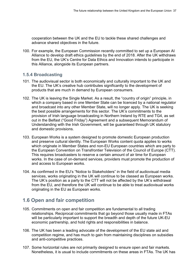cooperation between the UK and the EU to tackle these shared challenges and advance shared objectives in the future.

100. For example, the European Commission recently committed to set up a European AI Alliance to develop draft ethics guidelines by the end of 2018. After the UK withdraws from the EU, the UK's Centre for Data Ethics and Innovation intends to participate in this Alliance, alongside its European partners.

### **1.5.4 Broadcasting**

- 101. The audiovisual sector is both economically and culturally important to the UK and the EU. The UK's creative hub contributes significantly to the development of products that are much in demand by European consumers.
- 102. The UK is leaving the Single Market. As a result, the "country of origin" principle, in which a company based in one Member State can be licenced by a national regulator and broadcast into any other Member State, will no longer apply. The UK is seeking the best possible arrangements for this sector. The UK's commitments to the provision of Irish language broadcasting in Northern Ireland by RTE and TG4, as set out in the Belfast ("Good Friday") Agreement and a subsequent Memorandum of Understanding with the Irish Government, will be guaranteed through UK statutory and domestic provisions.
- 103. European Works is a system designed to promote domestic European production and preserve cultural identity. The European Works content quota applies to works which originate in Member States and non-EU European countries which are party to the European Convention on Transfrontier Television of the Council of Europe (CTT). This requires broadcasters to reserve a certain amount of air time for European works. In the case of on-demand services, providers must promote the production of and access to European works.
- 104. As confirmed in the EU's "Notice to Stakeholders" in the field of audiovisual media services, works originating in the UK will continue to be classed as European works. The UK's position as a party to the CTT will not be affected by the UK's withdrawal from the EU, and therefore the UK will continue to be able to treat audiovisual works originating in the EU as European works.

# **1.6 Open and fair competition**

- 105. Commitments on open and fair competition are fundamental to all trading relationships. Reciprocal commitments that go beyond those usually made in FTAs will be particularly important to support the breadth and depth of the future UK-EU economic partnership, and hold rights and responsibilities in balance.
- 106. The UK has been a leading advocate of the development of the EU state aid and competition regime, and has much to gain from maintaining disciplines on subsidies and anti-competitive practices.
- 107. Some horizontal rules are not primarily designed to ensure open and fair markets. Nonetheless, it is usual to include commitments on these areas in FTAs. The UK has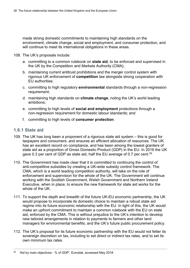made strong domestic commitments to maintaining high standards on the environment, climate change, social and employment, and consumer protection, and will continue to meet its international obligations in these areas.

- 108. The UK's proposals include:
	- a. committing to a common rulebook on **state aid**, to be enforced and supervised in the UK by the Competition and Markets Authority (CMA);
	- b. maintaining current antitrust prohibitions and the merger control system with rigorous UK enforcement of **competition** law alongside strong cooperation with EU authorities;
	- c. committing to high regulatory **environmental** standards through a non-regression requirement;
	- d. maintaining high standards on **climate change**, noting the UK's world leading ambitions;
	- e. committing to high levels of **social and employment** protections through a non-regression requirement for domestic labour standards; and
	- f. committing to high levels of **consumer protection**.

# **1.6.1 State aid**

- 109. The UK has long been a proponent of a rigorous state aid system this is good for taxpayers and consumers, and ensures an efficient allocation of resources. The UK has an excellent record on compliance, and has been among the lowest granters of state aid as a proportion of Gross Domestic Product (GDP) in the EU. In 2016 the UK gave 0.3 per cent of GDP as state aid, half the EU average of 0.7 per cent.<sup>[30](#page-41-0)</sup>
- 110. The Government has made clear that it is committed to continuing the control of anti-competitive subsidies by creating a UK-wide subsidy control framework. The CMA, which is a world leading competition authority, will take on the role of enforcement and supervision for the whole of the UK. The Government will continue working with the Scottish Government, Welsh Government and Northern Ireland Executive, when in place, to ensure the new framework for state aid works for the whole of the UK.
- 111. To support the depth and breadth of the future UK-EU economic partnership, the UK would propose to incorporate its domestic choice to maintain a robust state aid regime into its future economic relationship with the EU. In light of this, the UK would make an upfront commitment to maintain a common rulebook with the EU on state aid, enforced by the CMA. This is without prejudice to the UK's intention to develop new tailored arrangements in relation to payments to farmers and other land managers for environmental benefits, and the UK's future public procurement policy.
- 112. The UK's proposal for its future economic partnership with the EU would not fetter its sovereign discretion on tax, including to set direct or indirect tax rates, and to set its own minimum tax rates.

<span id="page-41-0"></span><sup>30</sup> ['Aid by main objectives -](http://ec.europa.eu/eurostat/tgm_comp/table.do?tab=table&init=1&language=en&pcode=comp_sa_02&plugin=1) % of GDP', Eurostat, accessed May 2018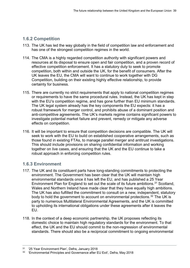# **1.6.2 Competition**

- 113. The UK has led the way globally in the field of competition law and enforcement and has one of the strongest competition regimes in the world.
- 114. The CMA is a highly regarded competition authority with significant powers and resources at its disposal to ensure open and fair competition, and a proven record of effective competition enforcement. It has a statutory duty to seek to promote competition, both within and outside the UK, for the benefit of consumers. After the UK leaves the EU, the CMA will want to continue to work together with DG Competition, building on their existing highly effective relationship, to provide certainty for business.
- 115. There are currently no strict requirements that apply to national competition regimes or requirements to have the same procedural rules. Instead, the UK has kept in step with the EU's competition regime, and has gone further than EU minimum standards. The UK legal system already has the key components the EU expects: it has a robust framework for merger control, and prohibits abuse of a dominant position and anti-competitive agreements. The UK's markets regime contains significant powers to investigate potential market failure and prevent, remedy or mitigate any adverse effects on competition.
- 116. It will be important to ensure that competition decisions are compatible. The UK will seek to work with the EU to build on established cooperative arrangements, such as those found in existing FTAs, to manage parallel merger and antitrust investigations. This should include provisions on sharing confidential information and working together on live cases, and ensuring that the UK and the EU continue to take a robust approach in enforcing competition rules.

# **1.6.3 Environment**

- 117. The UK and its constituent parts have long-standing commitments to protecting the environment. The Government has been clear that the UK will maintain high environmental standards once it has left the EU, and has published a 25 Year Environment Plan for England to set out the scale of its future ambitions.<sup>[31](#page-42-0)</sup> Scotland, Wales and Northern Ireland have made clear that they have equally high ambitions. The UK has also fulfilled the commitment to consult on a new, independent, statutory body to hold the government to account on environmental protections.<sup>[32](#page-42-1)</sup> The UK is party to numerous Multilateral Environmental Agreements, and the UK is committed to upholding its international obligations under these agreements after it leaves the EU.
- 118. In the context of a deep economic partnership, the UK proposes reflecting its domestic choice to maintain high regulatory standards for the environment. To that effect, the UK and the EU should commit to the non-regression of environmental standards. There should also be a reciprocal commitment to ongoing environmental

<span id="page-42-0"></span><sup>31</sup> ['25 Year Environment Plan',](https://www.gov.uk/government/publications/25-year-environment-plan) Defra, January 2018

<span id="page-42-1"></span><sup>&</sup>lt;sup>32</sup> ['Environmental Principles and Governance after EU Exit',](https://consult.defra.gov.uk/eu/environmental-principles-and-governance/) Defra, May 2018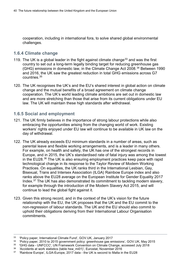cooperation, including in international fora, to solve shared global environmental challenges.

# **1.6.4 Climate change**

- 119. The UK is a global leader in the fight against climate change<sup>[33](#page-43-0)</sup> and was the first country to set out a long-term legally binding target for reducing greenhouse gas (GHG) emissions in domestic law, in the Climate Change Act 2008.[34](#page-43-1) Between 1990 and 2016, the UK saw the greatest reduction in total GHG emissions across G7 countries[.35](#page-43-2)
- 120. The UK recognises the UK's and the EU's shared interest in global action on climate change and the mutual benefits of a broad agreement on climate change cooperation. The UK's world leading climate ambitions are set out in domestic law and are more stretching than those that arise from its current obligations under EU law. The UK will maintain these high standards after withdrawal.

# **1.6.5 Social and employment**

- 121. The UK firmly believes in the importance of strong labour protections while also embracing the opportunities arising from the changing world of work. Existing workers' rights enjoyed under EU law will continue to be available in UK law on the day of withdrawal.
- 122. The UK already exceeds EU minimum standards in a number of areas, such as parental leave and flexible working arrangements, and is a leader in many others. For example, on health and safety, the UK has one of the strongest records in Europe, and in 2015, the UK's standardised rate of fatal injury was among the lowest in the EU28.[36](#page-43-3) The UK is also ensuring employment practices keep pace with rapid technological change in its response to the Taylor Review of Modern Working Practices. On equalities, the UK ranks third in the International Lesbian, Gay, Bisexual, Trans and Intersex Association (ILGA) Rainbow Europe index and also ranks above the EU28 average on the European Institute for Gender Equality 2017 Index.[37](#page-43-4) The UK has also demonstrated its commitment to tackling modern slavery, for example through the introduction of the Modern Slavery Act 2015, and will continue to lead the global fight against it.
- 123. Given this strong record, and in the context of the UK's vision for the future relationship with the EU, the UK proposes that the UK and the EU commit to the non-regression of labour standards. The UK and the EU should also commit to uphold their obligations deriving from their International Labour Organisation commitments.

<span id="page-43-0"></span><sup>&</sup>lt;sup>33</sup> ['Policy paper, International Climate Fund',](https://www.gov.uk/guidance/international-climate-finance) GOV.UK, January 2017<br><sup>34</sup> 'Policy paper, 2010 to 2015 government policy, greenboure ass are

<span id="page-43-1"></span><sup>&</sup>lt;sup>34</sup> ['Policy paper, 2010 to 2015 government policy: greenhouse gas emissions'](https://www.gov.uk/government/publications/2010-to-2015-government-policy-greenhouse-gas-emissions/2010-to-2015-government-policy-greenhouse-gas-emissions), GOV.UK, May 2015<br><sup>35</sup> 'GHG data - UNECCC' UN Framework Convention on Climate Change, accessed July 2018

<span id="page-43-2"></span> $35$  'GHG data - [UNFCCC', UN Framework Convention on Climate Change, accessed July 2018](http://di.unfccc.int/time_series)

<sup>36</sup> ['Accidents at work statistics \(table hsw\\_mi01\)',](http://ec.europa.eu/eurostat/statistics-explained/index.php/Accidents_at_work_statistics) Eurostat, November 2016

<span id="page-43-4"></span><span id="page-43-3"></span><sup>&</sup>lt;sup>37</sup> ['Rainbow Europe', I](https://rainbow-europe.org/country-ranking%23eu)LGA-Europe, 2017 data - the UK is second to Malta in the EU28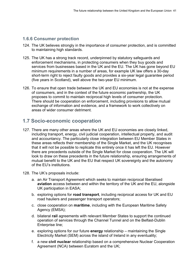# **1.6.6 Consumer protection**

- 124. The UK believes strongly in the importance of consumer protection, and is committed to maintaining high standards.
- 125. The UK has a strong track record, underpinned by statutory safeguards and enforcement mechanisms, in protecting consumers when they buy goods and services from businesses based in the UK and the EU. The UK has gone beyond EU minimum requirements in a number of areas, for example UK law offers a 30-day short-term right to reject faulty goods and provides a six-year legal guarantee period (five years in Scotland), well above the two-year EU minimum.
- 126. To ensure that open trade between the UK and EU economies is not at the expense of consumers, and in the context of the future economic partnership, the UK proposes to commit to maintain reciprocal high levels of consumer protection. There should be cooperation on enforcement, including provisions to allow mutual exchange of information and evidence, and a framework to work collectively on areas of wider consumer detriment.

# **1.7 Socio-economic cooperation**

- 127. There are many other areas where the UK and EU economies are closely linked, including transport, energy, civil judicial cooperation, intellectual property, and audit and accountancy. The particularly close integration between EU Member States in these areas reflects their membership of the Single Market, and the UK recognises that it will not be possible to replicate this entirely once it has left the EU. However there are precedents outside of the Single Market for close cooperation. The UK will look to draw on these precedents in the future relationship, ensuring arrangements of mutual benefit to the UK and the EU that respect UK sovereignty and the autonomy of the EU's institutions.
- 128. The UK's proposals include:
	- a. an Air Transport Agreement which seeks to maintain reciprocal liberalised **aviation** access between and within the territory of the UK and the EU, alongside UK participation in EASA;
	- b. exploring options for **road transport**, including reciprocal access for UK and EU road hauliers and passenger transport operators;
	- c. close cooperation on **maritime**, including with the European Maritime Safety Agency (EMSA);
	- d. bilateral **rail** agreements with relevant Member States to support the continued operation of services through the Channel Tunnel and on the Belfast-Dublin Enterprise line;
	- e. exploring options for our future **energy** relationship maintaining the Single Electricity Market (SEM) across the island of Ireland in any eventuality;
	- f. a new **civil nuclear** relationship based on a comprehensive Nuclear Cooperation Agreement (NCA) between Euratom and the UK;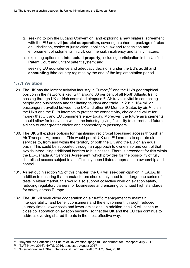- g. seeking to join the Lugano Convention, and exploring a new bilateral agreement with the EU on **civil judicial cooperation,** covering a coherent package of rules on jurisdiction, choice of jurisdiction, applicable law and recognition and enforcement of judgments in civil, commercial, insolvency and family matters;
- h. exploring options on **intellectual property**, including participation in the Unified Patent Court and unitary patent system; and
- i. seeking EU equivalence and adequacy decisions under the EU's **audit and accounting** third country regimes by the end of the implementation period.

# **1.7.1 Aviation**

- 129. The UK has the largest aviation industry in Europe,<sup>[38](#page-45-0)</sup> and the UK's geographical position in the network is key, with around 80 per cent of all North Atlantic traffic passing through UK or Irish controlled airspace.<sup>[39](#page-45-1)</sup> Air travel is vital in connecting people and businesses and facilitating tourism and trade. In 2017, 164 million passengers travelled between the UK and other EU Member States by air.<sup>[40](#page-45-2)</sup> It is in the UK's and the EU's interests to protect the connectivity, choice and value for money that UK and EU consumers enjoy today. Moreover, the future arrangements should allow for innovation within the industry, giving flexibility to current and future airlines to offer greater choice and connectivity to passengers.
- 130. The UK will explore options for maintaining reciprocal liberalised access through an Air Transport Agreement. This would permit UK and EU carriers to operate air services to, from and within the territory of both the UK and the EU on an equal basis. This could be supported through an approach to ownership and control that avoids introducing additional barriers to businesses. There is precedent for this within the EU-Canada Air Services Agreement, which provides for the possibility of fully liberalised access subject to a sufficiently open bilateral approach to ownership and control.
- 131. As set out in section 1.2 of this chapter, the UK will seek participation in EASA. In addition to ensuring that manufacturers should only need to undergo one series of tests in either market, this would also support collective work on aviation safety, reducing regulatory barriers for businesses and ensuring continued high standards for safety across Europe.
- 132. The UK will seek close cooperation on air traffic management to maintain interoperability, and benefit consumers and the environment, through reduced journey times, lower costs and lower emissions. In addition, the UK will continue close collaboration on aviation security, so that the UK and the EU can continue to address evolving shared threats in the most effective way.

<span id="page-45-0"></span><sup>38</sup> ['Beyond the Horizon: The Future of UK Aviation'](https://www.gov.uk/government/uploads/system/uploads/attachment_data/file/631036/aviation-strategy-call-for-evidence.pdf) (page 8), Department for Transport, July 2017

<span id="page-45-2"></span><span id="page-45-1"></span> $39$  ['NAT News 2016', N](https://www.nats.aero/news/uk-ireland-fab-completes-trial-of-sesar-concept-of-cross-border-dynamic-sectorisation/)ATS, 2016, accessed August 2017<br> $40$  'International and Other International Terminal Traffic 2017

<sup>40</sup> ['International and Other International Terminal Traffic 2017'](https://www.caa.co.uk/uploadedFiles/CAA/Content/Standard_Content/Data_and_analysis/Datasets/Airport_stats/Airport_data_2017_annual/Table_10_1_EU_and_Other_Intl_Pax_Traffic.pdf), CAA, 2018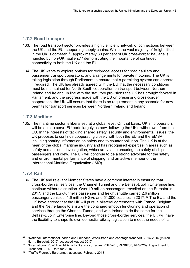# **1.7.2 Road transport**

- 133. The road transport sector provides a highly efficient network of connections between the UK and the EU, supporting supply chains. While the vast majority of freight lifted in the UK is domestic. $41$  approximately 80 per cent of UK cross-border haulage is handled by non-UK hauliers,<sup>[42](#page-46-1)</sup> demonstrating the importance of continued connectivity to both the UK and the EU.
- 134. The UK wants to explore options for reciprocal access for road hauliers and passenger transport operators, and arrangements for private motoring. The UK is taking legislation through Parliament to ensure that a permitting system can operate if required. The UK has already agreed with the EU that the necessary conditions must be maintained for North-South cooperation on transport between Northern Ireland and Ireland. In line with the statutory provisions the UK has brought forward in Parliament, and the progress made with the EU on preserving cross-border cooperation, the UK will ensure that there is no requirement in any scenario for new permits for transport services between Northern Ireland and Ireland.

# **1.7.3 Maritime**

135. The maritime sector is liberalised at a global level. On that basis, UK ship operators will be able to serve EU ports largely as now, following the UK's withdrawal from the EU. In the interests of tackling shared safety, security and environmental issues, the UK proposes to continue cooperating closely with both the EU and the EMSA, including sharing information on safety and to counter pollution. The UK is at the heart of the global maritime industry and has recognised expertise in areas such as safety and accident investigation, which are vital to ensuring the safety of ships, passengers and crew. The UK will continue to be a strong advocate for the safety and environmental performance of shipping, and an active member of the International Maritime Organization (IMO).

# **1.7.4 Rail**

 $\overline{a}$ 

136. The UK and relevant Member States have a common interest in ensuring that cross-border rail services, the Channel Tunnel and the Belfast-Dublin Enterprise line, continue without disruption. Over 10 million passengers travelled on the Eurostar in 2017, and the Eurotunnel's passenger and freight shuttle carried 2.6 million passenger vehicles, 1.6 million HGVs and 51,000 coaches in 2017.<sup>[43](#page-46-2)</sup> The EU and the UK have agreed that the UK will pursue bilateral agreements with France, Belgium and the Netherlands to ensure the continued smooth functioning and operation of services through the Channel Tunnel, and with Ireland to do the same for the Belfast-Dublin Enterprise line. Beyond those cross-border services, the UK will have the flexibility to shape its own domestic railway legislation to meet the needs of its

<span id="page-46-0"></span><sup>41</sup> ['National, international loaded and unloaded, cross-trade and cabotage transport, 2014-2015 \(million](http://ec.europa.eu/eurostat/statistics-explained/index.php/File:National,_international_loaded_and_unloaded,_cross-trade_and_cabotage_transport,_2014-2015_(million_tkm)T-1.png)  [tkm\)',](http://ec.europa.eu/eurostat/statistics-explained/index.php/File:National,_international_loaded_and_unloaded,_cross-trade_and_cabotage_transport,_2014-2015_(million_tkm)T-1.png) Eurostat, 2017, accessed August 2017

<span id="page-46-1"></span><sup>42</sup> ['International Road Freight Activity Statistics',](https://www.gov.uk/government/statistical-data-sets/rfs02-international-road-haulage%23table-rfs0206) Tables RSF0201, RFS0208, RFS0209, Department for Transport, 2017. Data for 2015

<span id="page-46-2"></span><sup>43</sup> ['Traffic Figures',](https://www.getlinkgroup.com/uk/eurotunnel-group/operations/traffic-figures/) Eurotunnel, accessed February 2018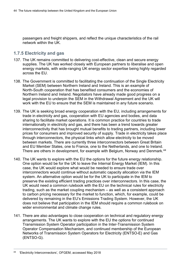passengers and freight shippers, and reflect the unique characteristics of the rail network within the UK.

# **1.7.5 Electricity and gas**

- 137. The UK remains committed to delivering cost-effective, clean and secure energy supplies. The UK has worked closely with European partners to liberalise and open energy markets, with wide-ranging UK energy sector expertise being highly regarded across the EU.
- 138. The Government is committed to facilitating the continuation of the Single Electricity Market (SEM) between Northern Ireland and Ireland. This is an example of North-South cooperation that has benefited consumers and the economies of Northern Ireland and Ireland. Negotiators have already made good progress on a legal provision to underpin the SEM in the Withdrawal Agreement and the UK will work with the EU to ensure that the SEM is maintained in any future scenario.
- 139. The UK is seeking broad energy cooperation with the EU, including arrangements for trade in electricity and gas, cooperation with EU agencies and bodies, and data sharing to facilitate market operations. It is common practice for countries to trade internationally in electricity and gas, and there has been a trend towards greater interconnectivity that has brought mutual benefits to trading partners, including lower prices for consumers and improved security of supply. Trade in electricity takes place through interconnectors, the physical links which allow electricity to be moved between markets. There are currently three interconnectors between Great Britain and EU Member States, one to France, one to the Netherlands, and one to Ireland. There are others in development, for example with Belgium, Norway and Denmark.<sup>[44](#page-47-0)</sup>
- 140. The UK wants to explore with the EU the options for the future energy relationship. One option would be for the UK to leave the Internal Energy Market (IEM). In this case, the UK would explore what would be needed to ensure trade over interconnectors would continue without automatic capacity allocation via the IEM system. An alternative option would be for the UK to participate in the IEM to preserve the existing efficient trading practices over interconnectors. In this case, the UK would need a common rulebook with the EU on the technical rules for electricity trading, such as the market coupling mechanism – as well as a consistent approach to carbon pricing necessary for the market to function, which, for example, could be delivered by remaining in the EU's Emissions Trading System. However, the UK does not believe that participation in the IEM should require a common rulebook on wider environmental and climate change rules.
- <span id="page-47-0"></span>141. There are also advantages to close cooperation on technical and regulatory energy arrangements. The UK wants to explore with the EU the options for continued Transmission System Operator participation in the Inter-Transmission System Operator Compensation Mechanism, and continued membership of the European Networks of Transmission System Operators for Electricity (ENTSO-E) and Gas (ENTSO-G).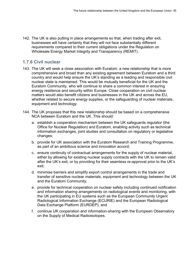142. The UK is also putting in place arrangements so that, when trading after exit, businesses will have certainty that they will not face substantially different requirements compared to their current obligations under the Regulation on Wholesale Energy Market Integrity and Transparency (REMIT).

### **1.7.6 Civil nuclear**

- 143. The UK will seek a close association with Euratom: a new relationship that is more comprehensive and broad than any existing agreement between Euratom and a third country and would help ensure the UK's standing as a leading and responsible civil nuclear state is maintained. This would be mutually beneficial for the UK and the Euratom Community, who will continue to share a common interest in ensuring energy resilience and security within Europe. Close cooperation on civil nuclear matters would also benefit citizens and businesses in the UK and across the EU, whether related to secure energy supplies, or the safeguarding of nuclear materials, equipment and technology.
- 144. The UK proposes that this new relationship should be based on a comprehensive NCA between Euratom and the UK. This should:
	- a. establish a cooperation mechanism between the UK safeguards regulator (the Office for Nuclear Regulation) and Euratom, enabling activity such as technical information exchanges, joint studies and consultation on regulatory or legislative changes;
	- b. provide for UK association with the Euratom Research and Training Programme, as part of an ambitious science and innovation accord;
	- c. ensure continuity of contractual arrangements for the supply of nuclear material, either by allowing for existing nuclear supply contracts with the UK to remain valid after the UK's exit, or by providing for their seamless re-approval prior to the UK's exit;
	- d. minimise barriers and simplify export control arrangements in the trade and transfer of sensitive nuclear materials, equipment and technology between the UK and the Euratom Community;
	- e. provide for technical cooperation on nuclear safety including continued notification and information sharing arrangements on radiological events and monitoring, with the UK participating in EU systems such as the European Community Urgent Radiological Information Exchange (ECURIE) and the European Radiological Data Exchange Platform (EURDEP); and
	- f. continue UK cooperation and information-sharing with the European Observatory on the Supply of Medical Radioisotopes.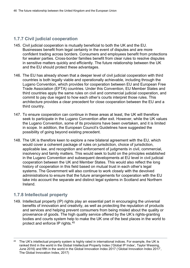# **1.7.7 Civil judicial cooperation**

- 145. Civil judicial cooperation is mutually beneficial to both the UK and the EU. Businesses benefit from legal certainty in the event of disputes and are more confident trading across borders. Consumers and employees benefit from protections for weaker parties. Cross-border families benefit from clear rules to resolve disputes in sensitive matters quickly and efficiently. The future relationship between the UK and the EU should protect these advantages.
- 146. The EU has already shown that a deeper level of civil judicial cooperation with third countries is both legally viable and operationally achievable, including through the Lugano Convention, which provides for cooperation between EU and European Free Trade Association (EFTA) countries. Under this Convention, EU Member States and third countries apply the same rules on civil and commercial judicial cooperation, and commit to pay due regard to how each other's courts interpret those rules. This architecture provides a clear precedent for close cooperation between the EU and a third country.
- 147. To ensure cooperation can continue in these areas at least, the UK will therefore seek to participate in the Lugano Convention after exit. However, while the UK values the Lugano Convention, some of its provisions have been overtaken, and it is limited in scope. In addition, the European Council's Guidelines have suggested the possibility of going beyond existing precedent.
- 148. The UK is therefore keen to explore a new bilateral agreement with the EU, which would cover a coherent package of rules on jurisdiction, choice of jurisdiction, applicable law, and recognition and enforcement of judgments in civil, commercial, insolvency and family matters. This would seek to build on the principles established in the Lugano Convention and subsequent developments at EU level in civil judicial cooperation between the UK and Member States. This would also reflect the long history of cooperation in this field based on mutual trust in each other's legal systems. The Government will also continue to work closely with the devolved administrations to ensure that the future arrangements for cooperation with the EU take into account the separate and distinct legal systems in Scotland and Northern Ireland.

# **1.7.8 Intellectual property**

 $\overline{a}$ 

149. Intellectual property (IP) rights play an essential part in encouraging the universal benefits of innovation and creativity, as well as protecting the reputation of products and services and helping prevent consumers from being misled about the quality or provenance of goods. The high quality service offered by the UK's rights-granting bodies and courts system help to make the UK one of the best places in the world to protect and enforce IP rights.[45](#page-49-0)

<span id="page-49-0"></span><sup>45</sup> The UK's intellectual property system is highly rated in international indices. For example, the UK is ranked third in the world in the Global Intellectual Property Index [\('Global IP Index',](https://united-kingdom.taylorwessing.com/documents/get/576/gipi5-report.pdf/show_on_screen) Taylor Wessing, June 2016) and fifth in the world in the Global Innovation Index 2017 [\('Global Innovation Index 2017',](https://www.globalinnovationindex.org/gii-2017-report) The Global Innovation Index, 2017)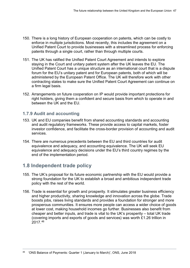- 150. There is a long history of European cooperation on patents, which can be costly to enforce in multiple jurisdictions. Most recently, this includes the agreement on a Unified Patent Court to provide businesses with a streamlined process for enforcing patents through a single court, rather than through multiple courts.
- 151. The UK has ratified the Unified Patent Court Agreement and intends to explore staying in the Court and unitary patent system after the UK leaves the EU. The Unified Patent Court has a unique structure as an international court that is a dispute forum for the EU's unitary patent and for European patents, both of which will be administered by the European Patent Office. The UK will therefore work with other contracting states to make sure the Unified Patent Court Agreement can continue on a firm legal basis.
- 152. Arrangements on future cooperation on IP would provide important protections for right holders, giving them a confident and secure basis from which to operate in and between the UK and the EU.

# **1.7.9 Audit and accounting**

- 153. UK and EU companies benefit from shared accounting standards and accounting and audit regulatory frameworks. These provide access to capital markets, foster investor confidence, and facilitate the cross-border provision of accounting and audit services.
- 154. There are numerous precedents between the EU and third countries for audit equivalence and adequacy, and accounting equivalence. The UK will seek EU equivalence and adequacy decisions under the EU's third country regimes by the end of the implementation period.

# **1.8 Independent trade policy**

- 155. The UK's proposal for its future economic partnership with the EU would provide a strong foundation for the UK to establish a broad and ambitious independent trade policy with the rest of the world.
- <span id="page-50-0"></span>156. Trade is essential for growth and prosperity. It stimulates greater business efficiency and higher productivity, sharing knowledge and innovation across the globe. Trade boosts jobs, raises living standards and provides a foundation for stronger and more prosperous communities. It ensures more people can access a wider choice of goods at lower cost, making household incomes go further. Businesses also benefit from cheaper and better inputs, and trade is vital to the UK's prosperity – total UK trade (covering imports and exports of goods and services) was worth £1.26 trillion in 2017.[46](#page-50-0)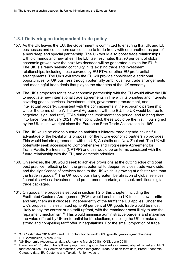# **1.8.1 Delivering an independent trade policy**

- 157. As the UK leaves the EU, the Government is committed to ensuring that UK and EU businesses and consumers can continue to trade freely with one another, as part of a new deep and special partnership. The UK would also boost trade relationships with old friends and new allies. The EU itself estimates that 90 per cent of global economic growth over the next two decades will be generated outside the EU.<sup>[47](#page-51-0)</sup> The UK is already seeking continuity in its existing trade and investment relationships, including those covered by EU FTAs or other EU preferential arrangements. The UK's exit from the EU will provide considerable additional opportunities for UK business through potentially ambitious new trade arrangements and meaningful trade deals that play to the strengths of the UK economy.
- 158. The UK's proposals for its new economic partnership with the EU would allow the UK to negotiate new international trade agreements in line with its priorities and interests covering goods, services, investment, data, government procurement, and intellectual property, consistent with the commitments in the economic partnership. Under the terms of the Withdrawal Agreement with the EU, the UK would be free to negotiate, sign, and ratify FTAs during the implementation period, and to bring them into force from January 2021. When concluded, these would be the first FTAs signed by the UK in its own right since the European Free Trade Association in 1960.
- 159. The UK would be able to pursue an ambitious bilateral trade agenda, taking full advantage of the flexibility its proposal for the future economic partnership provides. This would include agreements with the US, Australia and New Zealand. The UK will potentially seek accession to Comprehensive and Progressive Agreement for Trans-Pacific Partnership (CPTPP) and this would be on terms consistent with the future relationship with the EU, and domestic priorities.
- 160. On services, the UK would seek to achieve provisions at the cutting edge of global best practice, reflecting both the great potential to deepen services trade worldwide, and the significance of services trade to the UK which is growing at a faster rate than the trade in goods.<sup>[48](#page-51-1)</sup> The UK would push for greater liberalisation of global services, financial services, investment and procurement markets, and seek ambitious digital trade packages.
- 161. On goods, the proposals set out in section 1.2 of this chapter, including the Facilitated Customs Arrangement (FCA), would enable the UK to set its own tariffs and vary them as it chooses, independently of the tariffs the EU applies. Under the UK's proposal, it is estimated up to 96 per cent of UK goods trade would be most likely to pay the correct or no tariff upfront, with the remainder most likely to use the repayment mechanism.[49](#page-51-2) This would minimise administrative burdens and maximise the value offered by UK preferential tariff reductions, enabling the UK to make a strong and compelling tariff offer in negotiations. For the small proportion of trade

<span id="page-51-0"></span><sup>47</sup> ['GDP estimates 2014-2020 and EU contribution to world GDP growth \(year-on-year changes\)'](http://www.europarl.europa.eu/RegData/questions/reponses_qe/2015/014997/P8_RE(2015)014997(ANN)_XL.pdf), EU Commission, March 2016  $\overline{a}$ 

<span id="page-51-1"></span><sup>48</sup> ['UK Economic Accounts: all data \(January to March 2018\)',](https://www.ons.gov.uk/economy/nationalaccounts/uksectoraccounts/datasets/ukeconomicaccounts) ONS, June 2018<br>49 Based on 2017 data on trade flows, proportion of goods classified as interme

<span id="page-51-2"></span>Based on 2017 data on trade flows, proportion of goods classified as intermediate/unfinished and MFN tariff schedules. [UN Comtrade statistics,](https://comtrade.un.org/) [World Integrated Trade Solution tariff data,](https://wits.worldbank.org/wits/wits/witshelp/content/data_retrieval/p/intro/c2.types_of_tariffs.htm) [Broad Economic](https://unstats.un.org/unsd/tradekb/Knowledgebase/50089/Classification-by-Broad-Economic-Categories-Rev4)  [Category data,](https://unstats.un.org/unsd/tradekb/Knowledgebase/50089/Classification-by-Broad-Economic-Categories-Rev4) [EU Customs and Taxation Union website](https://ec.europa.eu/taxation_customs/home_en)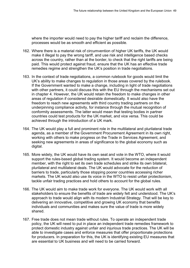where the importer would need to pay the higher tariff and reclaim the difference, processes would be as smooth and efficient as possible.

- 162. Where there is a material risk of circumvention of higher UK tariffs, the UK would make it illegal to pay the wrong tariff, and use risk and intelligence based checks across the country, rather than at the border, to check that the right tariffs are being paid. This would protect against fraud, ensure that the UK has an effective trade remedies regime and strengthen the UK's position in trade negotiations.
- 163. In the context of trade negotiations, a common rulebook for goods would limit the UK's ability to make changes to regulation in those areas covered by the rulebook. If the Government wanted to make a change, including in light of trade negotiations with other partners, it could discuss this with the EU through the mechanisms set out in chapter 4. However, the UK would retain the freedom to make changes in other areas of regulation if considered desirable domestically. It would also have the freedom to reach new agreements with third country trading partners on the underpinning compliance activity, for instance through the mutual recognition of conformity assessments. The latter would mean that testing bodies in partner countries could test products for the UK market, and vice versa. This could be achieved through the introduction of a UK mark.
- 164. The UK would play a full and prominent role in the multilateral and plurilateral trade agenda, as a member of the Government Procurement Agreement in its own right, working with others to make progress on the Trade in Services Agreement, and seeking new agreements in areas of significance to the global economy such as digital.
- 165. More widely, the UK would have its own seat and vote in the WTO, where it would support the rules-based global trading system. It would become an independent member, with the right to set its own trade schedules and strike its own bilateral, plurilateral and multilateral deals. The UK would advocate for the reduction of barriers to trade, particularly those stopping poorer countries accessing richer markets. The UK would also use its voice in the WTO to resist unfair protectionism, tackle unfair trading practices and hold others to account for the global rules.
- 166. The UK would aim to make trade work for everyone. The UK would work with all stakeholders to ensure the benefits of trade are widely felt and understood. The UK's approach to trade would align with its modern Industrial Strategy. That will be key to delivering an innovative, competitive and growing UK economy that benefits individuals and communities and makes sure the value of trade is more widely shared.
- 167. Free trade does not mean trade without rules. To operate an independent trade policy, the UK will need to put in place an independent trade remedies framework to protect domestic industry against unfair and injurious trade practices. The UK will be able to investigate cases and enforce measures that offer proportionate protections for producers. In preparation for this, the UK is identifying existing EU measures that are essential to UK business and will need to be carried forward.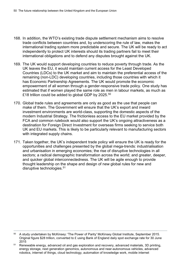- 168. In addition, the WTO's existing trade dispute settlement mechanism aims to resolve trade conflicts between countries and, by underscoring the rule of law, makes the international trading system more predictable and secure. The UK will be ready to act independently to protect UK interests should its trading partners fail to meet their international obligations and to defend any disputes brought against the UK.
- 169. The UK would support developing countries to reduce poverty through trade. As the UK leaves the EU, it would maintain current access for the Least Developed Countries (LDCs) to the UK market and aim to maintain the preferential access of the remaining (non-LDC) developing countries, including those countries with which it has Economic Partnership Agreements. The UK would promote the economic empowerment of all women through a gender-responsive trade policy. One study has estimated that if women played the same role as men in labour markets, as much as £18 trillion could be added to global GDP by 2025.<sup>[50](#page-53-0)</sup>
- 170. Global trade rules and agreements are only as good as the use that people can make of them. The Government will ensure that the UK's export and inward investment environments are world-class, supporting the domestic aspects of the modern Industrial Strategy. The frictionless access to the EU market provided by the FCA and common rulebook would also support the UK's ongoing attractiveness as a destination for Foreign Direct Investment for overseas firms seeking to service both UK and EU markets. This is likely to be particularly relevant to manufacturing sectors with integrated supply chains.
- 171. Taken together, the UK's independent trade policy will ensure the UK is ready for the opportunities and challenges presented by the global mega-trends: industrialisation and urbanisation in emerging economies; the rise of disruptive technologies in all sectors; a radical demographic transformation across the world; and greater, deeper, and quicker global interconnectedness. The UK will be agile enough to provide thought leadership on the shape and design of new global rules for new and disruptive technologies.<sup>[51](#page-53-1)</sup>

<span id="page-53-0"></span><sup>50</sup> A study undertaken by McKinsey: ['The Power of Parity'](https://www.mckinsey.com/%7E/media/McKinsey/Featured%20Insights/Employment%20and%20Growth/How%20advancing%20womens%20equality%20can%20add%2012%20trillion%20to%20global%20growth/MGI%20Power%20of%20parity_Full%20report_September%202015.ashx) McKinsey Global Institute, September 2015. Original figure \$28 trillion, converted to £ using Bank of England daily spot exchange rate for 30 June 2015  $\overline{a}$ 

<span id="page-53-1"></span><sup>51</sup> Renewable energy, advanced oil and gas exploration and recovery, advanced materials, 3D printing, energy storage, next generation genomics, autonomous and near-autonomous vehicles, advanced robotics, internet of things, cloud technology, automation of knowledge work, mobile internet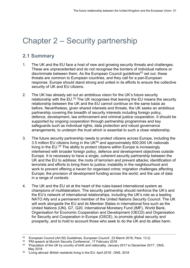# Chapter 2 – Security partnership

# **2.1 Summary**

- 1. The UK and the EU face a host of new and growing security threats and challenges. These are unprecedented and do not recognise the borders of individual nations or discriminate between them. As the European Council guidelines<sup>[52](#page-54-0)</sup> set out, these threats are common to European countries, and they call for a pan-European response. Europe should stand strong and united in its efforts to ensure the collective security of UK and EU citizens.
- 2. The UK has already set out an ambitious vision for the UK's future security relationship with the EU.<sup>[53](#page-54-1)</sup> The UK recognises that leaving the EU means the security relationship between the UK and the EU cannot continue on the same basis as before. Nevertheless, given shared interests and threats, the UK seeks an ambitious partnership covering the breadth of security interests including foreign policy, defence, development, law enforcement and criminal justice cooperation. It should be supported by ongoing cooperation through partnership programmes and key safeguards such as individual rights, data protection and robust governance arrangements, to underpin the trust which is essential to such a close relationship.
- 3. The future security partnership needs to protect citizens across Europe, including the 3.5 million EU citizens living in the UK<sup>54</sup> and approximately 800,000 UK nationals living in the EU.[55](#page-54-3) The ability to protect citizens within Europe is increasingly intertwined with broader foreign policy, defence and development objectives outside Europe. It is necessary to have a single, coherent security partnership between the UK and the EU to address: the roots of terrorism and prevent attacks; identification of terrorists and efforts to bring them to justice; instability in the neighbourhood and work to prevent offering a haven for organised crime; migration challenges affecting Europe; the provision of development funding across the world; and the use of data in a range of contexts.
- 4. The UK and the EU sit at the heart of the rules-based international system as champions of multilateralism. The security partnership should reinforce the UK's and the EU's network of international relationships, including the UK's role as a leading NATO Ally and a permanent member of the United Nations Security Council. The UK will work alongside the EU and its Member States in international fora such as the United Nations (UN), G7, G20, International Monetary Fund (IMF), World Bank, Organisation for Economic Cooperation and Development (OECD) and Organisation for Security and Cooperation in Europe (OSCE), to promote global security and prosperity, and to hold to account those who seek to do the UK and its allies harm.

<span id="page-54-0"></span><sup>&</sup>lt;sup>52</sup> ['European Council \(Art.50\) Guidelines, European Council',](http://www.consilium.europa.eu/en/press/press-releases/2018/03/23/european-council-art-50-guidelines-on-the-framework-for-the-future-eu-uk-relationship-23-march-2018/) 23 March 2018, Para. 13 (i)<br><sup>53</sup> 'PM speech at Munich Security Conference', 17 February 2018

<span id="page-54-1"></span><sup>53</sup> ['PM speech at Munich Security Conference',](https://www.gov.uk/government/speeches/pm-speech-at-munich-security-conference-17-february-2018) 17 February 2018

<span id="page-54-2"></span><sup>54</sup> ['Population of the UK by country of birth and nationality, January 2017 to December 2017',](https://www.ons.gov.uk/peoplepopulationandcommunity/populationandmigration/internationalmigration/datasets/populationoftheunitedkingdombycountryofbirthandnationality) ONS, May 2018

<span id="page-54-3"></span><sup>55</sup> ['Living abroad: British residents living in the EU: April 2018', ONS, 2018](https://www.ons.gov.uk/peoplepopulationandcommunity/populationandmigration/internationalmigration/articles/livingabroad/april2018)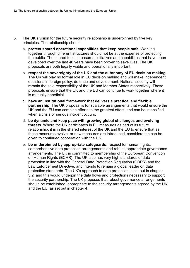- 5. The UK's vision for the future security relationship is underpinned by five key principles. The relationship should:
	- a. **protect shared operational capabilities that keep people safe**. Working together through different structures should not be at the expense of protecting the public. The shared tools, measures, initiatives and capabilities that have been developed over the last 40 years have been proven to save lives. The UK proposals are both legally viable and operationally important.
	- b. **respect the sovereignty of the UK and the autonomy of EU decision making**. The UK will play no formal role in EU decision making and will make independent decisions in foreign policy, defence and development. National security will remain the sole responsibility of the UK and Member States respectively. These proposals ensure that the UK and the EU can continue to work together where it is mutually beneficial.
	- c. **have an institutional framework that delivers a practical and flexible partnership**. The UK proposal is for scalable arrangements that would ensure the UK and the EU can combine efforts to the greatest effect, and can be intensified when a crisis or serious incident occurs.
	- d. **be dynamic and keep pace with growing global challenges and evolving threats**. Where the UK participates in EU measures as part of its future relationship, it is in the shared interest of the UK and the EU to ensure that as these measures evolve, or new measures are introduced, consideration can be given to continued cooperation with the UK.
	- e. **be underpinned by appropriate safeguards:** respect for human rights, comprehensive data protection arrangements and robust, appropriate governance arrangements. The UK is committed to membership of the European Convention on Human Rights (ECHR). The UK also has very high standards of data protection in line with the General Data Protection Regulation (GDPR) and the Law Enforcement Directive, and intends to remain a global leader on data protection standards. The UK's approach to data protection is set out in chapter 3.2, and this would underpin the data flows and protections necessary to support the security partnership. The UK proposes that robust governance arrangements should be established, appropriate to the security arrangements agreed by the UK and the EU, as set out in chapter 4.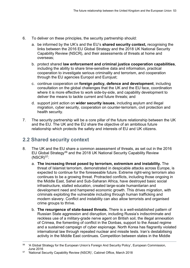- 6. To deliver on these principles, the security partnership should:
	- a. be informed by the UK's and the EU's **shared security context,** recognising the links between the 2016 EU Global Strategy and the 2018 UK National Security Capability Review (NSCR), and their assessments of threats at home and overseas;
	- b. protect shared **law enforcement and criminal justice cooperation capabilities**, including the ability to share time-sensitive data and information, practical cooperation to investigate serious criminality and terrorism, and cooperation through the EU agencies Europol and Eurojust;
	- c. continue cooperation on **foreign policy, defence and development**, including consultation on the global challenges that the UK and the EU face, coordination where it is more effective to work side-by-side, and capability development to deliver the means to tackle current and future threats; and
	- d. support joint action on **wider security issues**, including asylum and illegal migration, cyber security, cooperation on counter-terrorism, civil protection and health security.
- 7. The security partnership will be a core pillar of the future relationship between the UK and the EU. The UK and the EU share the objective of an ambitious future relationship which protects the safety and interests of EU and UK citizens.

# **2.2 Shared security context**

- 8. The UK and the EU share a common assessment of threats, as set out in the 2016 EU Global Strategy<sup>[56](#page-56-0)</sup> and the 2018 UK National Security Capability Review  $(NSCR)^{57}$ :
	- a. **The increasing threat posed by terrorism, extremism and instability.** The threat of Islamist terrorism, demonstrated in despicable attacks across Europe, is expected to continue for the foreseeable future. Extreme right-wing terrorism also continues to be a growing threat. Protracted conflicts, including those ongoing in the Middle East, Sahel and Sub-Saharan Africa, have destroyed basic social infrastructure, stalled education, created large-scale humanitarian and development need and hampered economic growth. This drives migration, with criminals exploiting the vulnerable including through human trafficking and modern slavery. Conflict and instability can also allow terrorists and organised crime groups to thrive.
	- b. **The resurgence of state-based threats.** There is a well-established pattern of Russian State aggression and disruption, including Russia's indiscriminate and reckless use of a military-grade nerve agent on British soil, the illegal annexation of Crimea, the fomenting of conflict in the Donbas, support to the Assad regime and a sustained campaign of cyber espionage. North Korea has flagrantly violated international law through repeated nuclear and missile tests. Iran's destabilising activity in the Middle East continues. Competition between states in the Middle

<span id="page-56-0"></span><sup>56</sup> ['A Global Strategy for the European Union's Foreign And Security Policy',](https://europa.eu/globalstrategy/en/global-strategy-foreign-and-security-policy-european-union) European Commission, June 2016

<span id="page-56-1"></span><sup>57</sup> ['National Security Capability Review \(NSCR\)',](https://www.gov.uk/government/publications/national-security-capability-review-nscr) Cabinet Office, March 2018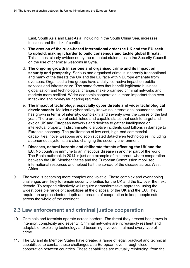East, South Asia and East Asia, including in the South China Sea, increases tensions and the risk of conflict.

- c. **The erosion of the rules-based international order the UK and the EU seek to uphold, making it harder to build consensus and tackle global threats.** This is most clearly evidenced by the repeated stalemates in the Security Council on the use of chemical weapons in Syria.
- d. **The ongoing growth in serious and organised crime and its impact on security and prosperity.** Serious and organised crime is inherently transnational and many of the threats the UK and the EU face within Europe emanate from overseas. Organised crime groups have a daily, corrosive impact on public services and infrastructure. The same forces that benefit legitimate business, globalisation and technological change, make organised criminal networks and markets more resilient. Wider economic cooperation is more important than ever in tackling anti money laundering regimes.
- e. **The impact of technology, especially cyber threats and wider technological developments.** Malicious cyber activity knows no international boundaries and has grown in terms of intensity, complexity and severity over the course of the last year. There are several established and capable states that seek to target and exploit UK and European networks and devices to gather intelligence or intellectual property. Indiscriminate, disruptive incidents cost billions in damage to Europe's economy. The proliferation of low-cost, high-end commercial capabilities, novel weapons and sophisticated data-driven technologies, including autonomous systems are also changing the security environment.
- f. **Diseases, natural hazards and deliberate threats affecting the UK and the EU.** No country is immune to an infectious disease in another part of the world. The Ebola outbreak in 2014 is just one example of this threat, where cooperation between the UK, Member States and the European Commission mobilised international resources and helped halt the spread of the disease across West Africa.
- 9. The world is becoming more complex and volatile. These complex and overlapping challenges are likely to remain security priorities for the UK and the EU over the next decade. To respond effectively will require a transformative approach, using the widest possible range of capabilities at the disposal of the UK and the EU. They require an unprecedented depth and breadth of cooperation to keep people safe across the whole of the continent.

# **2.3 Law enforcement and criminal justice cooperation**

- 10. Criminals and terrorists operate across borders. The threat they present has grown in intensity, complexity and severity. Criminal networks are increasingly resilient and adaptable, exploiting technology and becoming involved in almost every type of crime.
- 11. The EU and its Member States have created a range of legal, practical and technical capabilities to combat these challenges at a European level through close cooperation between countries. These capabilities are mutually reinforcing, from the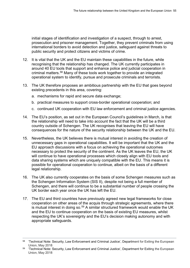initial stages of identification and investigation of a suspect, through to arrest, prosecution and prisoner management. Together, they prevent criminals from using international borders to avoid detection and justice, safeguard against threats to public security and protect citizens and victims of crime.

- 12. It is vital that the UK and the EU maintain these capabilities in the future, while recognising that the relationship has changed. The UK currently participates in around 40 EU tools that support and enhance police and judicial cooperation in criminal matters.[58](#page-58-0) Many of these tools work together to provide an integrated operational system to identify, pursue and prosecute criminals and terrorists.
- 13. The UK therefore proposes an ambitious partnership with the EU that goes beyond existing precedents in this area, covering:
	- a. mechanisms for rapid and secure data exchange;
	- b. practical measures to support cross-border operational cooperation; and
	- c. continued UK cooperation with EU law enforcement and criminal justice agencies.
- 14. The EU's position, as set out in the European Council's guidelines in March, is that the relationship will need to take into account the fact that the UK will be a third country outside of Schengen. The UK recognises that leaving the EU will have consequences for the nature of the security relationship between the UK and the EU.
- 15. Nevertheless, the UK believes there is mutual interest in avoiding the creation of unnecessary gaps in operational capabilities. It will be important that the UK and the EU approach discussions with a focus on achieving the operational outcomes necessary to protect the security of the continent. As the UK leaves the EU, the UK will continue to have operational processes which closely align with EU tools and data sharing systems which are uniquely compatible with the EU. This means it is possible for operational cooperation to continue, albeit on the basis of a different legal relationship.
- 16. The UK also currently cooperates on the basis of some Schengen measures such as the Schengen Information System (SIS II), despite not being a full member of Schengen, and there will continue to be a substantial number of people crossing the UK border each year once the UK has left the EU.
- 17. The EU and third countries have previously agreed new legal frameworks for close cooperation on other areas of the acquis through strategic agreements, where there is mutual interest in doing so.<sup>[59](#page-58-1)</sup> A similar structured framework would enable the UK and the EU to continue cooperation on the basis of existing EU measures, whilst respecting the UK's sovereignty and the EU's decision making autonomy and with appropriate safeguards.

<span id="page-58-0"></span><sup>&</sup>lt;sup>58</sup> ['Technical Note: Security, Law Enforcement and Criminal Justice',](https://assets.publishing.service.gov.uk/government/uploads/system/uploads/attachment_data/file/710802/FINAL_INTERNAL_SECURITY_COMBINED.pdf) Department for Exiting the European Union, May 2018

<span id="page-58-1"></span><sup>59</sup> ['Technical Note: Security, Law Enforcement and Criminal Justice',](https://assets.publishing.service.gov.uk/government/uploads/system/uploads/attachment_data/file/710802/FINAL_INTERNAL_SECURITY_COMBINED.pdf) Department for Exiting the European Union, May 2018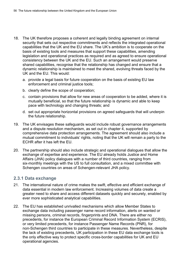- 18. The UK therefore proposes a coherent and legally binding agreement on internal security that sets out respective commitments and reflects the integrated operational capabilities that the UK and the EU share. The UK's ambition is to cooperate on the basis of existing tools and measures that support these capabilities, amending legislation and operational practices as required and as agreed to ensure operational consistency between the UK and the EU. Such an arrangement would preserve shared capabilities, recognise that the relationship has changed and ensure that a dynamic relationship is maintained to meet the shared, evolving threats faced by the UK and the EU. This would:
	- a. provide a legal basis for future cooperation on the basis of existing EU law enforcement and criminal justice tools;
	- b. clearly define the scope of cooperation;
	- c. contain provisions that allow for new areas of cooperation to be added, where it is mutually beneficial, so that the future relationship is dynamic and able to keep pace with technology and changing threats; and
	- d. set out appropriate horizontal provisions on agreed safeguards that will underpin the future relationship.
- 19. The UK envisages these safeguards would include robust governance arrangements and a dispute resolution mechanism, as set out in chapter 4, supported by comprehensive data protection arrangements. The agreement should also include a mutual commitment to individuals' rights, noting that the UK will remain a party to the ECHR after it has left the EU.
- 20. The partnership should also include strategic and operational dialogues that allow the exchange of expertise and experience. The EU already holds Justice and Home Affairs (JHA) policy dialogues with a number of third countries, ranging from six-monthly meetings with the US to full consultation, and a mixed committee with Schengen countries on areas of Schengen-relevant JHA policy.

### **2.3.1 Data exchange**

- 21. The international nature of crime makes the swift, effective and efficient exchange of data essential in modern law enforcement. Increasing volumes of data create a greater need to share and access different datasets quickly and securely, enabled by ever more sophisticated analytical capabilities.
- 22. The EU has established unrivalled mechanisms which allow Member States to exchange data including passenger name record information, alerts on wanted or missing persons, criminal records, fingerprints and DNA. There are either no precedents, for instance the European Criminal Record Information System (ECRIS), or very limited precedents, for instance Passenger Name Records (PNR), for non-Schengen third countries to participate in these measures. Nevertheless, despite the lack of existing precedents, UK participation in these EU data exchange tools is the only effective way to protect specific cross-border capabilities for UK and EU operational agencies.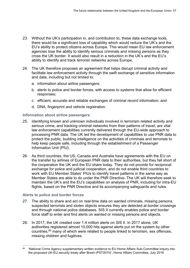- 23. Without the UK's participation in, and contribution to, these data exchange tools, there would be a significant loss of capability which would reduce the UK's and the EU's ability to protect citizens across Europe. This would mean EU law enforcement agencies lose the ability to identify serious criminals and missing persons as they cross the UK border. It would also result in a reduction in the UK's and the EU's ability to identify and track terrorist networks across Europe.
- 24. The UK therefore proposes an agreement that helps disrupt criminal activity and facilitate law enforcement activity through the swift exchange of sensitive information and data, including but not limited to:
	- a. information about airline passengers;
	- b. alerts to police and border forces, with access to systems that allow for efficient responses;
	- c. efficient, accurate and reliable exchanges of criminal record information; and
	- d. DNA, fingerprint and vehicle registration.

### **Information about airline passengers**

- 25. Identifying known and unknown individuals involved in terrorism related activity and serious crime, and tracking criminal networks from their patterns of travel, are vital law enforcement capabilities currently delivered through the EU-wide approach to processing PNR data. The UK led the development of capabilities to use PNR data to protect the public, building intelligence on the activities of criminals and terrorists to help keep people safe, including through the establishment of a Passenger Information Unit (PIU).
- 26. As third countries, the US, Canada and Australia have agreements with the EU on the transfer by airlines of European PNR data to their authorities, but they fall short of the cooperation the UK and the EU share today. They do not provide for reciprocal exchange for police and judicial cooperation, and do not enable third countries to work with EU Member States' PIUs to identify travel patterns in the same way as Member States are able to do under the PNR Directive. The UK will therefore seek to maintain the UK's and the EU's capabilities on analysis of PNR, including for intra-EU flights, based on the PNR Directive and its accompanying safeguards and rules.

### **Alerts to police and border forces**

- 27. The ability to share and act on real-time data on wanted criminals, missing persons, suspected terrorists and stolen objects ensures they are detected at border crossings and through national police databases. SIS II currently enables police and border force staff to enter and find alerts on wanted or missing persons and objects.
- 28. In 2017, the UK created over 1.4 million alerts on SIS II. In 2017 alone, UK authorities registered almost 10,000 hits against alerts put on the system by other countries, $60$  many of which were related to people linked to terrorism, sex offences, missing children and fugitives.

<span id="page-60-0"></span><sup>&#</sup>x27;National Crime Agency supplementary written evidence to EU Home Affairs Sub-Committee inquiry into [the proposed UK-EU security treaty after Brexit \(PST0015\)',](http://data.parliament.uk/writtenevidence/committeeevidence.svc/evidencedocument/eu-home-affairs-subcommittee/brexit-the-proposed-ukeu-security-treaty/written/86336.html) Home Affairs Committee, July 2018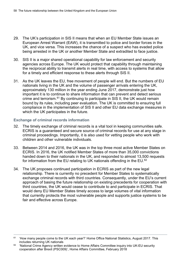- 29. The UK's participation in SIS II means that when an EU Member State issues an European Arrest Warrant (EAW), it is transmitted to police and border forces in the UK, and vice versa. This increases the chance of a suspect who has evaded police being arrested in the UK or another Member State and extradited to face justice.
- 30. SIS II is a major shared operational capability for law enforcement and security agencies across Europe. The UK would protect that capability through maintaining the reciprocal ability to transmit alerts in real time, with access to systems that allow for a timely and efficient response to these alerts through SIS II.
- 31. As the UK leaves the EU, free movement of people will end. But the numbers of EU nationals living in the UK and the volume of passenger arrivals entering the UK, approximately 130 million in the year ending June 2017, demonstrate just how important it is to continue to share information that can prevent and detect serious crime and terrorism. $61$  By continuing to participate in SIS II, the UK would remain bound by its rules, including peer evaluation. The UK is committed to ensuring full compliance in the implementation of SIS II and other EU data exchange measures in which the UK participates in the future.

### **Exchange of criminal records information**

- 32. The timely exchange of criminal records is a vital tool in keeping communities safe. ECRIS is a guaranteed and secure source of criminal records for use at any stage in criminal proceedings. Importantly, it is also used for vetting people who work with children and other vulnerable individuals.
- 33. Between 2014 and 2016, the UK was in the top three most active Member States on ECRIS. In 2016, the UK notified Member States of more than 35,000 convictions handed down to their nationals in the UK, and responded to almost 13,500 requests for information from the EU relating to UK nationals offending in the EU.<sup>[62](#page-61-1)</sup>
- 34. The UK proposes continued participation in ECRIS as part of the new legal relationship. There is currently no precedent for Member States to systematically exchange criminal records with third countries. Consequently, under the EU's current approach of basing the future relationship on existing precedents for cooperation with third countries, the UK would cease to contribute to and participate in ECRIS. That would deny EU Member States timely access to large volumes of vital information that currently protects the most vulnerable people and supports justice systems to be fair and effective across Europe.

<span id="page-61-0"></span><sup>&</sup>lt;sup>61</sup> ['How many people come to the UK each year?'](https://www.gov.uk/government/publications/immigration-statistics-april-to-june-2017/how-many-people-come-to-the-uk-each-year) Home Office National Statistics, August 2017. This includes returning UK nationals

<span id="page-61-1"></span><sup>&</sup>lt;sup>62</sup> 'National Crime Agency written evidence to Home Affairs Committee inquiry into UK-EU security [cooperation after Brexit \(PSC009\)',](http://data.parliament.uk/writtenevidence/committeeevidence.svc/evidencedocument/home-affairs-committee/home-office-delivery-of-brexit-policing-and-security-cooperation/written/78338.pdf) Home Affairs Committee, February 2018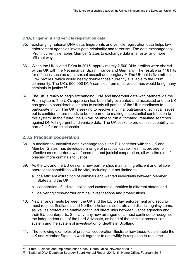### **DNA, fingerprint and vehicle registration data**

- 35. Exchanging national DNA data, fingerprints and vehicle registration data helps law enforcement agencies investigate criminality and terrorism. The data exchange tool 'Prüm' currently enables Member States to exchange data in a faster and more efficient way.
- 36. When the UK piloted Prüm in 2015, approximately 2,500 DNA profiles were shared by the UK with the Netherlands, Spain, France and Germany. The result was 118 hits for offences such as rape, sexual assault and burglary.<sup>[63](#page-62-0)</sup> The UK holds five million DNA profiles, which would nearly double those currently available to the Prüm community. The UK's 500,000 DNA samples from unsolved crimes would bring many criminals to justice.[64](#page-62-1)
- 37. The UK is ready to begin exchanging DNA and fingerprint data with partners via the Prüm system. The UK's approach has been fully evaluated and assessed and the UK has gone to considerable lengths to satisfy all parties of the UK's readiness to participate in full. The UK is seeking to resolve any final outstanding technical issues but is confident there needs to be no barrier to making a substantial contribution to this system. In the future, the UK will be able to run automated, real-time searches against DNA, fingerprint and vehicle data. The UK seeks to protect this capability as part of its future relationship.

### **2.3.2 Practical cooperation**

- 38. In addition to unrivalled data exchange tools, the EU, together with the UK and Member States, has developed a range of practical capabilities that provide for effective cross-border law enforcement and judicial cooperation, all with the aim of bringing more criminals to justice.
- 39. As the UK and the EU design a new partnership, maintaining efficient and reliable operational capabilities will be vital, including but not limited to:
	- a. the efficient extradition of criminals and wanted individuals between Member States and the UK;
	- b. cooperation of judicial, police and customs authorities in different states; and
	- c. delivering cross-border criminal investigations and prosecutions.
- 40. New arrangements between the UK and the EU on law enforcement and security must respect Scotland's and Northern Ireland's separate and distinct legal systems, as well as protect and enable continued direct links between justice agencies and their EU counterparts. Similarly, any new arrangements must continue to recognise the independent role of the Lord Advocate, as head of the criminal prosecutions system and the system of investigation of deaths in Scotland.
- 41. The following examples of practical cooperation illustrate how these tools enable the UK and Member States to work together to act swiftly in response to real-time

<span id="page-62-0"></span><sup>63</sup> ['Prüm Business and Implementation Case',](https://assets.publishing.service.gov.uk/government/uploads/system/uploads/attachment_data/file/480129/prum_business_and_implementation_case.pdf) Home Office, November 2015

<span id="page-62-1"></span><sup>64</sup> ['National DNA Database Strategy Board Annual Report 2015/16',](https://assets.publishing.service.gov.uk/government/uploads/system/uploads/attachment_data/file/594185/58714_Un-Num_Nat_DNA_DB_Accessible.pdf) Home Office, February 2017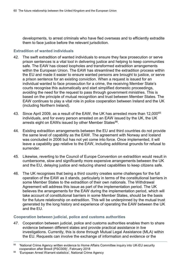developments, to arrest criminals who have fled overseas and to efficiently extradite them to face justice before the relevant jurisdiction.

### **Extradition of wanted individuals**

- 42. The swift extradition of wanted individuals to ensure they face prosecution or serve prison sentences is a vital tool in delivering justice and helping to keep communities safe. The EAW has closed loopholes and transformed extradition arrangements within the European Union. The EAW has streamlined the extradition process within the EU and made it easier to ensure wanted persons are brought to justice, or serve a prison sentence for an existing conviction. When a request is issued for an individual wanted to face prosecution for a crime, the receiving Member State's courts recognise this automatically and start simplified domestic proceedings, avoiding the need for the request to pass through government ministries. This is based on the principle of mutual recognition and trust between Member States. The EAW continues to play a vital role in police cooperation between Ireland and the UK (including Northern Ireland).
- 43. Since April 2009, as a result of the EAW, the UK has arrested more than 12,000<sup>[65](#page-63-0)</sup> individuals, and for every person arrested on an EAW issued by the UK, the UK arrests eight on EAWs issued by other Member States<sup>[66](#page-63-1)</sup>.
- 44. Existing extradition arrangements between the EU and third countries do not provide the same level of capability as the EAW. The agreement with Norway and Iceland was concluded in 2006 but has not yet come into force. Once implemented, it will leave a capability gap relative to the EAW, including additional grounds for refusal to surrender.
- 45. Likewise, reverting to the Council of Europe Convention on extradition would result in cumbersome, slow and significantly more expensive arrangements between the UK and the EU, delaying justice and reducing shared capabilities to keep citizens safe.
- 46. The UK recognises that being a third country creates some challenges for the full operation of the EAW as it stands, particularly in terms of the constitutional barriers in some Member States to the extradition of their own nationals. The Withdrawal Agreement will address this issue as part of the implementation period. The UK believes the arrangements for the EAW during the implementation period, which will take account of constitutional barriers in some Member States, should be the basis for the future relationship on extradition. This will be underpinned by the mutual trust generated by the long history and experience of operating the EAW between the UK and the EU.

### **Cooperation between judicial, police and customs authorities**

47. Cooperation between judicial, police and customs authorities enables them to share evidence between different states and provide practical assistance in live investigations. Currently, this is done through Mutual Legal Assistance (MLA) within the EU. Requests can involve the exchange of information and evidence or the

<span id="page-63-0"></span><sup>&</sup>lt;sup>65</sup> 'National Crime Agency written evidence to Home Affairs Committee inquiry into UK-EU security [cooperation after Brexit \(PSC009\)',](http://data.parliament.uk/writtenevidence/committeeevidence.svc/evidencedocument/home-affairs-committee/home-office-delivery-of-brexit-policing-and-security-cooperation/written/78338.pdf) February 2018

<span id="page-63-1"></span><sup>66</sup> ['European Arrest Warrant statistics',](http://www.nationalcrimeagency.gov.uk/publications/european-arrest-warrant-statistics) National Crime Agency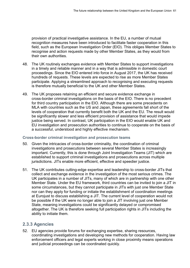provision of practical investigative assistance. In the EU, a number of mutual recognition measures have been introduced to facilitate faster cooperation in this field, such as the European Investigation Order (EIO). This obliges Member States to recognise and action requests made by other Member States, as they would from their own authorities.

- 48. The UK routinely exchanges evidence with Member States to support investigations in a timely and reliable manner and in a way that is admissible in domestic court proceedings. Since the EIO entered into force in August 2017, the UK has received hundreds of requests. These levels are expected to rise as more Member States participate. Applying a streamlined approach to recognising and executing requests is therefore mutually beneficial to the UK and other Member States.
- 49. The UK proposes retaining an efficient and secure evidence exchange in cross-border criminal investigations on the basis of the EIO. There is no precedent for third country participation in the EIO. Although there are some precedents on MLA with countries such as the US and Japan, these agreements fall short of the levels of cooperation that currently benefit both the UK and the EU. The result would be significantly slower and less efficient provision of assistance that would impede justice being served. In contrast, UK participation in the EIO would enable UK and EU investigation and prosecution authorities to continue to cooperate on the basis of a successful, understood and highly effective mechanism.

### **Cross-border criminal investigation and prosecution teams**

- 50. Given the intricacies of cross-border criminality, the coordination of criminal investigations and prosecutions between several Member States is increasingly important. Currently, this is done through Joint Investigation Teams (JIT) which are established to support criminal investigations and prosecutions across multiple jurisdictions. JITs enable more efficient, effective and speedier justice.
- 51. The UK contributes cutting-edge expertise and leadership to cross-border JITs that collect and exchange evidence in the investigation of the most serious crimes. The UK participates in a number of JITs, many of which are in partnership with one other Member State. Under the EU framework, third countries can be invited to join a JIT in some circumstances, but they cannot participate in JITs with just one Member State nor can they apply for funding or initiate the establishment of coordination meetings at Eurojust to discuss establishing a JIT. The current level of cooperation would not be possible if the UK were no longer able to join a JIT involving just one Member State, meaning investigations could be significantly delayed or compromised altogether. The UK is therefore seeking full participation rights in JITs including the ability to initiate them.

### **2.3.3 Agencies**

52. EU agencies provide forums for exchanging expertise, sharing resources, coordinating investigations and developing new methods for cooperation. Having law enforcement officers and legal experts working in close proximity means operations and judicial proceedings can be coordinated quickly.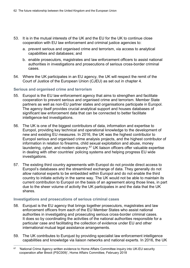- 53. It is in the mutual interests of the UK and the EU for the UK to continue close cooperation with EU law enforcement and criminal justice agencies to:
	- a. prevent serious and organised crime and terrorism, via access to analytical capabilities and databases; and
	- b. enable prosecutors, magistrates and law enforcement officers to assist national authorities in investigations and prosecutions of serious cross-border criminal cases.
- 54. Where the UK participates in an EU agency, the UK will respect the remit of the Court of Justice of the European Union (CJEU) as set out in chapter 4.

### **Serious and organised crime and terrorism**

- 55. Europol is the EU law enforcement agency that aims to strengthen and facilitate cooperation to prevent serious and organised crime and terrorism. Member State partners as well as non-EU partner states and organisations participate in Europol. The agency itself provides crucial analytical support and houses databases of significant law enforcement data that can be connected to better facilitate intelligence-led investigations.
- 56. The UK is one of the biggest contributors of data, information and expertise to Europol, providing key technical and operational knowledge to the development of new and existing EU measures. In 2016, the UK was the highest contributor to Europol serious and organised crime analysis projects, and the highest contributor of information in relation to firearms, child sexual exploitation and abuse, money laundering, cyber, and modern slavery.<sup>[67](#page-65-0)</sup> UK liaison officers offer valuable expertise in dealing with other countries' policing systems and helping progress EU wide investigations.
- 57. The existing third country agreements with Europol do not provide direct access to Europol's databases and the streamlined exchange of data. They generally do not allow national experts to be embedded within Europol and do not enable the third country to initiate activity in the same way. The UK would not be able to maintain its current contribution to Europol on the basis of an agreement along those lines, in part due to the sheer volume of activity the UK participates in and the data that the UK shares.

### **Investigations and prosecutions of serious criminal cases**

- 58. Eurojust is the EU agency that brings together prosecutors, magistrates and law enforcement officers from each of the EU Member States who assist national authorities in investigating and prosecuting serious cross-border criminal cases. It does so by coordinating the activities of the national authorities responsible for a particular case and facilitating the collection of evidence under EU and other international mutual legal assistance arrangements.
- 59. The UK contributes to Eurojust by providing specialist law enforcement intelligence capabilities and knowledge via liaison networks and national experts. In 2016, the UK

<span id="page-65-0"></span><sup>&</sup>lt;sup>67</sup> 'National Crime Agency written evidence to Home Affairs Committee inquiry into UK-EU security [cooperation after Brexit \(PSC009\)',](http://data.parliament.uk/writtenevidence/committeeevidence.svc/evidencedocument/home-affairs-committee/home-office-delivery-of-brexit-policing-and-security-cooperation/written/78338.pdf) Home Affairs Committee, February 2018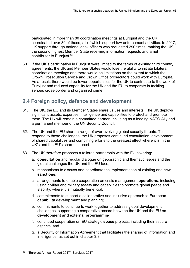participated in more than 80 coordination meetings at Eurojust and the UK coordinated over 30 of these, all of which support law enforcement activities. In 2017, UK support through national desk officers was requested 290 times, making the UK the second highest Member State receiving information requests and a net contributor to Eurojust[.68](#page-66-0)

60. If the UK's participation in Eurojust were limited to the terms of existing third country agreements, the UK and Member States would lose the ability to initiate bilateral coordination meetings and there would be limitations on the extent to which the Crown Prosecution Service and Crown Office prosecutors could work with Eurojust. As a result, there would be fewer opportunities for the UK to contribute to the work of Eurojust and reduced capability for the UK and the EU to cooperate in tackling serious cross-border and organised crime.

# **2.4 Foreign policy, defence and development**

- 61. The UK, the EU and its Member States share values and interests. The UK deploys significant assets, expertise, intelligence and capabilities to protect and promote them. The UK will remain a committed partner, including as a leading NATO Ally and a permanent member of the UN Security Council.
- 62. The UK and the EU share a range of ever-evolving global security threats. To respond to these challenges, the UK proposes continued consultation, development of shared capabilities and combining efforts to the greatest effect where it is in the UK's and the EU's shared interest.
- <span id="page-66-0"></span>63. The UK therefore proposes a tailored partnership with the EU covering:
	- a. **consultation** and regular dialogue on geographic and thematic issues and the global challenges the UK and the EU face;
	- b. mechanisms to discuss and coordinate the implementation of existing and new **sanctions**;
	- c. arrangements to enable cooperation on crisis management **operations**, including using civilian and military assets and capabilities to promote global peace and stability, where it is mutually beneficial;
	- d. commitments to support a collaborative and inclusive approach to European **capability development** and planning;
	- e. commitments to continue to work together to address global development challenges, supporting a cooperative accord between the UK and the EU on **development and external programming**;
	- f. continued cooperation on EU strategic **space** projects, including their secure aspects; and
	- g. a Security of Information Agreement that facilitates the sharing of information and intelligence, as set out in chapter 3.3.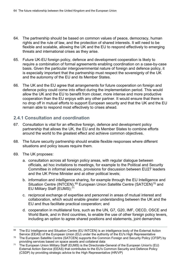- 64. The partnership should be based on common values of peace, democracy, human rights and the rule of law, and the protection of shared interests. It will need to be flexible and scalable, allowing the UK and the EU to respond effectively to emerging threats and international crises as they arise.
- 65. Future UK-EU foreign policy, defence and development cooperation is likely to require a combination of formal agreements enabling coordination on a case-by-case basis. Given the particular intergovernmental nature of foreign and defence policy, it is especially important that the partnership must respect the sovereignty of the UK and the autonomy of the EU and its Member States.
- 66. The UK and the EU agree that arrangements for future cooperation on foreign and defence policy could come into effect during the implementation period. This would allow the UK and the EU to benefit from closer, more intense and more productive cooperation than the EU enjoys with any other partner. It would ensure that there is no drop off in mutual efforts to support European security and that the UK and the EU remain able to respond most effectively to crises ahead.

# **2.4.1 Consultation and coordination**

- 67. Consultation is vital for an effective foreign, defence and development policy partnership that allows the UK, the EU and its Member States to combine efforts around the world to the greatest effect and achieve common objectives.
- 68. The future security partnership should enable flexible responses where different situations and policy issues require them.
- 69. The UK proposes:
	- a. consultation across all foreign policy areas, with regular dialogue between officials, ad hoc invitations to meetings, for example to the Political and Security Committee in informal sessions, provisions for discussion between EU27 leaders and the UK Prime Minister and at other political levels;
	- b. information and intelligence sharing, for example through the EU Intelligence and Situation Centre (INTCEN),<sup>[69](#page-67-0)</sup> European Union Satellite Centre (SATCEN)<sup>[70](#page-67-1)</sup> and EU Military Staff (EUMS);<sup>[71](#page-67-2)</sup>
	- c. reciprocal exchange of expertise and personnel in areas of mutual interest and collaboration, which would enable greater understanding between the UK and the EU and thus facilitate practical cooperation; and
	- d. cooperation in multilateral fora, such as the UN, G7, G20, IMF, OECD, OSCE and World Bank, and in third countries, to enable the use of other foreign policy levers, including an option to agree shared positions and statements, joint demarches

<span id="page-67-0"></span><sup>69</sup> The EU Intelligence and Situation Centre (EU INTCEN) is an intelligence body of the External Action Service (EEAS) of the European Union (EU) under the authority of the EU's High Representative  $\overline{a}$ 

<span id="page-67-1"></span><sup>&</sup>lt;sup>70</sup> The European Satellite Centre (SATCEN) supports the Common Foreign and Security Policy (CFSP) by providing services based on space assets and collateral data

<span id="page-67-2"></span><sup>&</sup>lt;sup>71</sup> The European Union Military Staff (EUMS) is the Directorate-General of the European Union's (EU) External Action Service (EEAS) that contributes to the EU's Common Security and Defence Policy (CSDP) by providing strategic advice to the High Representative (HR/VP)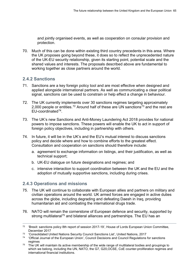and jointly organised events, as well as cooperation on consular provision and protection.

70. Much of this can be done within existing third country precedents in this area. Where the UK proposes going beyond these, it does so to reflect the unprecedented nature of the UK-EU security relationship, given its starting point, potential scale and the shared values and interests. The proposals described above are fundamental to working together as close partners around the world.

# **2.4.2 Sanctions**

- 71. Sanctions are a key foreign policy tool and are most effective when designed and applied alongside international partners. As well as communicating a clear political signal, sanctions can be used to constrain or help effect a change in behaviour.
- 72. The UK currently implements over 30 sanctions regimes targeting approximately 2,000 people or entities.<sup>[72](#page-68-0)</sup> Around half of these are UN sanctions<sup>73</sup> and the rest are EU-coordinated[74](#page-68-2).
- 73. The UK's new Sanctions and Anti-Money Laundering Act 2018 provides for national powers to impose sanctions. These powers will enable the UK to act in support of foreign policy objectives, including in partnership with others.
- 74. In future, it will be in the UK's and the EU's mutual interest to discuss sanctions policy and decide where and how to combine efforts to the greatest effect. Consultation and cooperation on sanctions should therefore include:
	- a. agreement to exchange information on listings, and their justification, as well as technical support;
	- b. UK-EU dialogue on future designations and regimes; and
	- c. intensive interaction to support coordination between the UK and the EU and the adoption of mutually supportive sanctions, including during crises.

# **2.4.3 Operations and missions**

- 75. The UK will continue to collaborate with European allies and partners on military and civilian operations around the world. UK armed forces are engaged in active duties across the globe, including degrading and defeating Daesh in Iraq, providing humanitarian aid and combating the international drugs trade.
- 76. NATO will remain the cornerstone of European defence and security, supported by strong multilateral<sup>[75](#page-68-3)</sup> and bilateral alliances and partnerships. The EU has an

<span id="page-68-0"></span><sup>72</sup> ['Brexit: sanctions policy 8th report of session 2017-19',](https://publications.parliament.uk/pa/ld201719/ldselect/ldeucom/50/50.pdf) House of Lords European Union Committee, December 2017

<span id="page-68-1"></span><sup>73</sup> ['Consolidated United Nations Security Council Sanctions List',](https://www.un.org/sc/suborg/en/sanctions/un-sc-consolidated-list%23individuals) United Nations, 2017

<span id="page-68-2"></span><sup>74</sup> ['Official Journal of the European Union', C](https://eur-lex.europa.eu/homepage.html)ouncil Decisions and Council Regulations for sanctions regimes

<span id="page-68-3"></span><sup>&</sup>lt;sup>75</sup> The UK will maintain its active membership of the wide range of multilateral bodies and groupings to which we belong, including the UN, NATO, the G7, G20,OCSE, CoE counter-proliferation regimes and international financial institutions.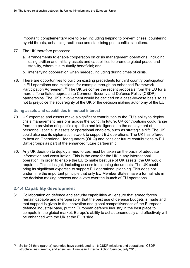important, complementary role to play, including helping to prevent crises, countering hybrid threats, enhancing resilience and stabilising post-conflict situations.

- 77. The UK therefore proposes:
	- a. arrangements to enable cooperation on crisis management operations, including using civilian and military assets and capabilities to promote global peace and stability, where it is mutually beneficial; and
	- b. intensifying cooperation when needed, including during times of crisis.
- 78. There are opportunities to build on existing precedents for third country participation in EU operations and missions, for example through an enhanced Framework Participation Agreement.<sup>[76](#page-69-0)</sup> The UK welcomes the recent proposals from the EU for a more differentiated approach to Common Security and Defence Policy (CSDP) partnerships. The UK's involvement would be decided on a case-by-case basis so as not to prejudice the sovereignty of the UK or the decision making autonomy of the EU.

### **Using assets and capabilities in mutual interest**

- 79. UK expertise and assets make a significant contribution to the EU's ability to deploy crisis management missions across the world. In future, UK contributions could range from the provision of specific expertise and intelligence, to the deployment of personnel, specialist assets or operational enablers, such as strategic airlift. The UK could also use its diplomatic network to support EU operations. The UK has offered to host an Operational Headquarters (OHQ) and consider future contributions to EU Battlegroups as part of the enhanced future partnership.
- 80. Any UK decision to deploy armed forces must be taken on the basis of adequate information and consultation. This is the case for the UK in any international operation. In order to enable the EU to make best use of UK assets, the UK would require sufficient insight, including access to planning documents. The UK could bring its significant expertise to support EU operational planning. This does not undermine the important principle that only EU Member States have a formal role in the decision making process and a vote over the launch of EU operations.

### **2.4.4 Capability development**

 $\overline{a}$ 

81. Collaboration on defence and security capabilities will ensure that armed forces remain capable and interoperable, that the best use of defence budgets is made and that support is given to the innovation and global competitiveness of the European defence industrial base, putting European defence industry in the best place to compete in the global market. Europe's ability to act autonomously and effectively will be enhanced with the UK at the EU's side.

<span id="page-69-0"></span><sup>76</sup> So far 25 third (partner) countries have contributed to 16 CSDP missions and operations. ['CSDP](https://eeas.europa.eu/headquarters/headquarters-homepage/5392/csdp-structure-instruments-and-agencies_en)  [structure, instruments, and agencies',](https://eeas.europa.eu/headquarters/headquarters-homepage/5392/csdp-structure-instruments-and-agencies_en) European External Action Service, July 2016.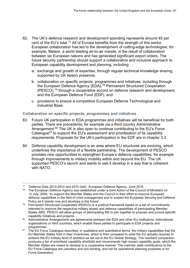- 82. The UK's defence research and development spending represents around 40 per cent of the EU's total.<sup>[77](#page-70-0)</sup> All of Europe benefits from the strength of this sector. European collaboration has led to the development of cutting-edge technologies; for example, Meteor, a world leading air-to-air missile, is the result of collaboration between six European nations and has generated significant export orders. The future security partnership should support a collaborative and inclusive approach to European capability development and planning, including:
	- a. exchange and growth of expertise, through regular technical knowledge sharing, supported by UK liaison presence;
	- b. collaboration on specific projects, programmes and initiatives, including through the European Defence Agency (EDA),<sup>[78](#page-70-1)</sup> Permanent Structured Cooperation (PESCO),[79](#page-70-2) through a cooperative accord on defence research and development, and the European Defence Fund (EDF); and
	- c. provisions to ensure a competitive European Defence Technological and Industrial Base.

### **Collaboration on specific projects, programmes and initiatives**

- 83. Future UK participation in EDA programmes and initiatives will be beneficial for both parties. There are precedents, for example via a third country Administrative Arrangement.<sup>80</sup> The UK is also open to continue contributing to the EU's Force Catalogue<sup>81</sup> to support the EU's assessment and prioritisation of its capability requirements. Proposals for the UK's participation in the EDF are in chapter 3.3.
- 84. Defence capability development is an area where EU structures are evolving, which underlines the importance of a flexible partnership. The development of PESCO provides new opportunities to strengthen Europe's defence capabilities, for example through improvements to military mobility within and beyond the EU. The UK supported PESCO's launch and wants to see it develop in a way that is coherent with NATO.

<sup>77</sup> ['Defence Data 2013-2014 and 2015 \(est\)'](https://eda.europa.eu/docs/default-source/documents/eda-national-defence-data-2013-2014-(2015-est)5397973fa4d264cfa776ff000087ef0f.pdf), European Defence Agency, June 2016  $\overline{a}$ 

<span id="page-70-1"></span><span id="page-70-0"></span><sup>&</sup>lt;sup>78</sup> The European Defence Agency was established under a Joint Action of the Council of Ministers on 12 July, 2004, "to support the Member States and the Council in their effort to improve European defence capabilities in the field of crisis management and to sustain the European Security and Defence Policy as it stands now and develops in the future".

<span id="page-70-2"></span><sup>79</sup> Permanent Structured Cooperated (PESCO) is a political framework based on a set of commitments intended to improve the respective military assets and defence capabilities of participating Member States (MS). PESCO will allow groups of participating MS to join together to propose and pursue specific capability initiatives and projects.

<span id="page-70-3"></span><sup>80</sup> Administrative Arrangements are agreements between the EDA and other EU institutions, international organisations or third countries, which enable these parties to participate in EDA projects and programmes.

<span id="page-70-4"></span><sup>&</sup>lt;sup>81</sup> The EU Force Catalogue describes, in qualitative and quantitative terms, the military capabilities that the EU Member States hold in their inventories, which is then compared to what the EU actually requires to achieve the EU military level of ambition as set out in the EU Global Strategy. The resultant comparison produces a list of prioritised capability shortfalls and recommends high impact capability goals, which the Member States are meant to develop in a cooperative manner. The member state contributions to the EU Force Catalogue are voluntary and non-binding, and not for operational planning purposes or for Force Generation.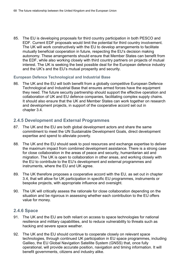85. The EU is developing proposals for third country participation in both PESCO and EDF. Current EDF proposals would limit the potential for third country involvement. The UK will work constructively with the EU to develop arrangements to facilitate mutually beneficial cooperation in future, respecting the EU's decision making autonomy. These arrangements should ensure that Member States can benefit from the EDF, while also working closely with third country partners on projects of mutual interest. The UK is seeking the best possible deal for the European defence industry and the UK's and the EU's mutual prosperity and security.

#### **European Defence Technological and Industrial Base**

86. The UK and the EU will both benefit from a globally competitive European Defence Technological and Industrial Base that ensures armed forces have the equipment they need. The future security partnership should support the effective operation and collaboration of UK and EU defence companies, facilitating complex supply chains. It should also ensure that the UK and Member States can work together on research and development projects, in support of the cooperative accord set out in chapter 3.4.

# **2.4.5 Development and External Programmes**

- 87. The UK and the EU are both global development actors and share the same commitment to meet the UN Sustainable Development Goals, direct development expertise and spend to alleviate poverty.
- 88. The UK and the EU should seek to pool resources and exchange expertise to deliver the maximum impact from combined development assistance. There is a strong case for close collaboration in the areas of peace and security, humanitarian aid and migration. The UK is open to collaboration in other areas, and working closely with the EU to contribute to the EU's development and external programmes and instruments, where the EU and UK agree.
- 89. The UK therefore proposes a cooperative accord with the EU, as set out in chapter 3.4, that will allow for UK participation in specific EU programmes, instruments or bespoke projects, with appropriate influence and oversight.
- 90. The UK will critically assess the rationale for close collaboration depending on the situation and be rigorous in assessing whether each contribution to the EU offers value for money.

### **2.4.6 Space**

- 91. The UK and the EU are both reliant on access to space technologies for national resilience and military capabilities, and to reduce vulnerability to threats such as hacking and severe space weather.
- 92. The UK and the EU should continue to cooperate closely on relevant space technologies, through continued UK participation in EU space programmes, including Galileo, the EU Global Navigation Satellite System (GNSS) that, once fully operational, will provide accurate position, navigation and timing information. It will benefit governments, citizens and industry alike.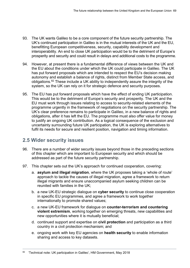- 93. The UK wants Galileo to be a core component of the future security partnership. The UK's continued participation in Galileo is in the mutual interests of the UK and the EU, benefitting European competitiveness, security, capability development and interoperability. An end to close UK participation would be to the detriment of Europe's prosperity and security and could result in delays and additional costs to the programme.
- 94. However, at present there is a fundamental difference of views between the UK and the EU about the conditions under which the UK could participate in Galileo. The UK has put forward proposals which are intended to respect the EU's decision making autonomy and establish a balance of rights, distinct from Member State access, and obligations[.82](#page-72-0) These include a UK ability to independently assure the integrity of the system, so the UK can rely on it for strategic defence and security purposes.
- 95. The EU has put forward proposals which have the effect of ending UK participation. This would be to the detriment of Europe's security and prosperity. The UK and the EU must work through issues relating to access to security-related elements of the programme urgently in the framework of negotiations on the security partnership. The UK's clear preference remains to participate in Galileo, in a new balance of rights and obligations, after it has left the EU. The programme must also offer value for money to justify an ongoing UK contribution. As a logical consequence of the exclusion and uncertainty surrounding future UK participation, the UK is exploring alternatives to fulfil its needs for secure and resilient position, navigation and timing information.

# **2.5 Wider security issues**

- 96. There are a number of wider security issues beyond those in the preceding sections of this chapter which are important to European security and which should be addressed as part of the future security partnership.
- <span id="page-72-0"></span>97. This chapter sets out the UK's approach for continued cooperation, covering:
	- a. **asylum and illegal migration**, where the UK proposes taking a 'whole of route' approach to tackle the causes of illegal migration, agree a framework to return illegal migrants and ensure unaccompanied asylum seeking children can be reunited with families in the UK;
	- b. a new UK-EU strategic dialogue on **cyber security** to continue close cooperation in specific EU programmes, and agree a framework to work together internationally to promote shared values;
	- c. a new UK-EU framework for dialogue on **counter-terrorism and countering violent extremism**, working together on emerging threats, new capabilities and new opportunities where it is mutually beneficial;
	- d. continued support and expertise on **civil protection** and participation as a third country in a civil protection mechanism; and
	- e. ongoing work with key EU agencies on **health security** to enable information sharing and access to key datasets.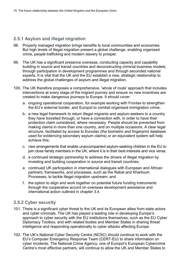## **2.5.1 Asylum and illegal migration**

- 98. Properly managed migration brings benefits to local communities and economies. But high levels of illegal migration present a global challenge, enabling organised crime, people trafficking and modern slavery to prosper.
- 99. The UK has a significant presence overseas, conducting capacity and capability building in source and transit countries and deconstructing criminal business models, through participation in development programmes and through seconded national experts. It is vital that the UK and the EU establish a new, strategic relationship to address the global challenges of asylum and illegal migration.
- 100. The UK therefore proposes a comprehensive, 'whole of route' approach that includes interventions at every stage of the migrant journey and ensure no new incentives are created to make dangerous journeys to Europe. It should cover:
	- a. ongoing operational cooperation, for example working with Frontex to strengthen the EU's external border, and Europol to combat organised immigration crime;
	- b. a new legal framework to return illegal migrants and asylum-seekers to a country they have travelled through, or have a connection with, in order to have their protection claim considered, where necessary. People should be prevented from making claims in more than one country, and on multiple occasions. A clear legal structure, facilitated by access to Eurodac (the biometric and fingerprint database used for evidencing secondary asylum claims) or an equivalent system will help achieve this;
	- c. new arrangements that enable unaccompanied asylum-seeking children in the EU to join close family members in the UK, where it is in their best interests and vice versa;
	- d. a continued strategic partnership to address the drivers of illegal migration by investing and building cooperation in source and transit countries;
	- e. continued UK participation in international dialogues with European and African partners, frameworks, and processes, such as the Rabat and Khartoum Processes, to tackle illegal migration upstream; and
	- f. the option to align and work together on potential future funding instruments through the cooperative accord on overseas development assistance and international action outlined in chapter 3.4.

## **2.5.2 Cyber security**

- 101. There is a significant cyber threat to the UK and its European allies from state actors and cyber criminals. The UK has played a leading role in developing Europe's approach to cyber security with the EU institutions themselves, such as the EU Cyber Diplomacy Toolbox, and with related bodies and Member States in sharing threat intelligence and responding operationally to cyber attacks affecting Europe.
- 102. The UK's National Cyber Security Centre (NCSC) should continue to work with the EU's Computer Emergency Response Team (CERT-EU) to share information on cyber incidents. The National Crime Agency, one of Europol's European Cybercrime Centre's most effective partners, will continue to allow the UK and Member States to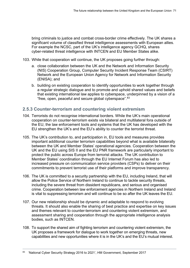bring criminals to justice and combat cross-border crime effectively. The UK shares a significant volume of classified threat intelligence assessments with European allies. For example the NCSC, part of the UK's intelligence agency GCHQ, shares cyber-related threat intelligence with INTCEN and EU Member States alike.

- 103. While that cooperation will continue, the UK proposes going further through:
	- a. close collaboration between the UK and the Network and Information Security (NIS) Cooperation Group, Computer Security Incident Response Team (CSIRT) Network and the European Union Agency for Network and Information Security (ENISA); and
	- b. building on existing cooperation to identify opportunities to work together through a regular strategic dialogue and to promote and uphold shared values and beliefs that existing international law applies to cyberspace, underpinned by a vision of a "free, open, peaceful and secure global cyberspace".[83](#page-74-0)

#### **2.5.3 Counter-terrorism and countering violent extremism**

- 104. Terrorists do not recognise international borders. While the UK's main operational cooperation on counter-terrorism exists via bilateral and multilateral fora outside of the EU, the law enforcement tools and systems that the UK has developed with the EU strengthen the UK's and the EU's ability to counter the terrorist threat.
- 105. The UK's contribution to, and participation in, EU tools and measures provides important additional counter terrorism capabilities beyond what is available bilaterally between the UK and Member States' operational agencies. Cooperation between the UK and the EU using SIS II and the EU PNR framework are particularly important to protect the public across Europe from terrorist attacks. The UK contribution to Member States' coordination through the EU Internet Forum has also led to increased pressure on communication service providers (CSPs) to deliver on their commitments to prevent terrorist use of their platforms and improve transparency.
- 106. The UK is committed to a security partnership with the EU, including Ireland, that will allow the Police Service of Northern Ireland to continue to tackle security threats, including the severe threat from dissident republicans, and serious and organised crime. Cooperation between law enforcement agencies in Northern Ireland and Ireland is vital to suppressing terrorism and will continue to be so after the UK leaves the EU.
- 107. Our new relationship should be dynamic and adaptable to respond to evolving threats. It should also enable the sharing of best practice and expertise on key issues and themes relevant to counter-terrorism and countering violent extremism, and assessment sharing and cooperation through the appropriate intelligence analysis bodies, such as INTCEN.
- <span id="page-74-0"></span>108. To support the shared aim of fighting terrorism and countering violent extremism, the UK proposes a framework for dialogue to work together on emerging threats, new capabilities and new opportunities where it is in the UK's and the EU's mutual interest.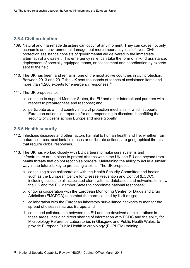# **2.5.4 Civil protection**

- 109. Natural and man-made disasters can occur at any moment. They can cause not only economic and environmental damage, but more importantly loss of lives. Civil protection assistance consists of governmental aid delivered in the immediate aftermath of a disaster. This emergency relief can take the form of in-kind assistance, deployment of specially-equipped teams, or assessment and coordination by experts sent to the field.
- 110. The UK has been, and remains, one of the most active countries in civil protection. Between 2013 and 2017 the UK sent thousands of tonnes of assistance items and more than 1,200 experts for emergency responses.<sup>[84](#page-75-0)</sup>
- 111. The UK proposes to:
	- a. continue to support Member States, the EU and other international partners with respect to preparedness and response; and
	- b. participate as a third country in a civil protection mechanism, which supports European nations in preparing for and responding to disasters, benefitting the security of citizens across Europe and more globally.

#### **2.5.5 Health security**

- 112. Infectious diseases and other factors harmful to human health and life, whether from natural sources, accidental releases or deliberate actions, are geographical threats that require global responses.
- <span id="page-75-0"></span>113. The UK has worked closely with EU partners to make sure systems and infrastructure are in place to protect citizens within the UK, the EU and beyond from health threats that do not recognise borders. Maintaining the ability to act in a similar way in the future is key to protecting citizens. The UK proposes:
	- a. continuing close collaboration with the Health Security Committee and bodies such as the European Centre for Disease Prevention and Control (ECDC), including access to all associated alert systems, databases and networks, to allow the UK and the EU Member States to coordinate national responses;
	- b. ongoing cooperation with the European Monitoring Centre for Drugs and Drug Addiction (EMCDDA) to combat the harm caused by illicit drugs;
	- c. collaboration with the European laboratory surveillance networks to monitor the spread of diseases across Europe; and
	- d. continued collaboration between the EU and the devolved administrations in these areas, including direct sharing of information with ECDC and the ability for Microbiology Reference Laboratories in Glasgow, and Public Health Wales, to provide European Public Health Microbiology (EUPHEM) training.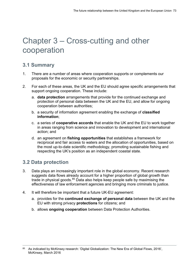# Chapter 3 – Cross-cutting and other cooperation

# **3.1 Summary**

- 1. There are a number of areas where cooperation supports or complements our proposals for the economic or security partnerships.
- 2. For each of these areas, the UK and the EU should agree specific arrangements that support ongoing cooperation. These include:
	- a. **data protection** arrangements that provide for the continued exchange and protection of personal data between the UK and the EU, and allow for ongoing cooperation between authorities;
	- b. a security of information agreement enabling the exchange of **classified information**;
	- c. a series of **cooperative accords** that enable the UK and the EU to work together in areas ranging from science and innovation to development and international action; and
	- d. an agreement on **fishing opportunities** that establishes a framework for reciprocal and fair access to waters and the allocation of opportunities, based on the most up-to-date scientific methodology, promoting sustainable fishing and respecting the UK's position as an independent coastal state.

# **3.2 Data protection**

- 3. Data plays an increasingly important role in the global economy. Recent research suggests data flows already account for a higher proportion of global growth than trade in physical goods. $85$  Data also helps keep people safe by maximising the effectiveness of law enforcement agencies and bringing more criminals to justice.
- 4. It will therefore be important that a future UK-EU agreement:
	- a. provides for the **continued exchange of personal data** between the UK and the EU with strong privacy **protections** for citizens; and
	- b. allows **ongoing cooperation** between Data Protection Authorities.

<span id="page-76-0"></span><sup>85</sup> As indicated by McKinsey research: ['Digital Globalization: The New Era of Global Flows, 2016',](https://www.mckinsey.com/%7E/media/McKinsey/Business%20Functions/McKinsey%20Digital/Our%20Insights/Digital%20globalization%20The%20new%20era%20of%20global%20flows/MGI-Digital-globalization-Full-report.ashx) McKinsey, March 2016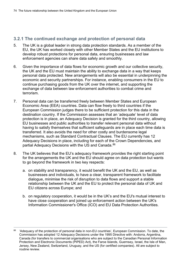# **3.2.1 The continued exchange and protection of personal data**

- 5. The UK is a global leader in strong data protection standards. As a member of the EU, the UK has worked closely with other Member States and the EU institutions to develop robust protections for personal data, ensuring businesses and law enforcement agencies can share data safely and smoothly.
- 6. Given the importance of data flows for economic growth and our collective security, the UK and the EU must maintain the ability to exchange data in a way that keeps personal data protected. New arrangements will also be essential in underpinning the economic and security partnerships. For instance, enabling consumers in the EU to continue purchasing goods from the UK over the internet, and supporting the exchange of data between law enforcement authorities to combat crime and terrorism.
- 7. Personal data can be transferred freely between Member States and European Economic Area (EEA) countries. Data can flow freely to third countries if the European Commission judges there to be sufficient protection for this data in the destination country. If the Commission assesses that an 'adequate' level of data protection is in place, an Adequacy Decision is granted for the third country, allowing EU businesses and public authorities to transfer relevant personal data without having to satisfy themselves that sufficient safeguards are in place each time data is transferred. It also avoids the need for other costly and burdensome legal mechanisms, such as Standard Contractual Clauses. The EU currently has 12 Adequacy Decisions in place, including for each of the Crown Dependencies, and partial Adequacy Decisions with the US and Canada.<sup>[86](#page-77-0)</sup>
- 8. The UK believes that the EU's adequacy framework provides the right starting point for the arrangements the UK and the EU should agree on data protection but wants to go beyond the framework in two key respects:
	- a. on stability and transparency, it would benefit the UK and the EU, as well as businesses and individuals, to have a clear, transparent framework to facilitate dialogue, minimise the risk of disruption to data flows and support a stable relationship between the UK and the EU to protect the personal data of UK and EU citizens across Europe; and
	- b. on regulatory cooperation, it would be in the UK's and the EU's mutual interest to have close cooperation and joined up enforcement action between the UK's Information Commissioner's Office (ICO) and EU Data Protection Authorities.

<span id="page-77-0"></span><sup>86</sup> ['Adequacy of the protection of personal data in non-EU](https://ec.europa.eu/info/law/law-topic/data-protection/data-transfers-outside-eu/adequacy-protection-personal-data-non-eu-countries_en) countries', European Commission. To date, the Commission has adopted 12 Adequacy Decisions under the 1995 Directive with: Andorra, Argentina, Canada (for transfers to commercial organisations who are subject to the Canadian Personal Information Protection and Electronic Documents (PIPED) Act), the Faroe Islands, Guernsey, Israel, the Isle of Man, Jersey, New Zealand, Switzerland, Uruguay, and the US (for certified companies). All are subject to routine review.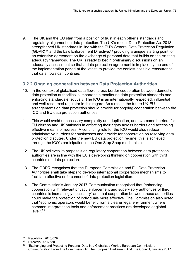9. The UK and the EU start from a position of trust in each other's standards and regulatory alignment on data protection. The UK's recent Data Protection Act 2018 strengthened UK standards in line with the EU's General Data Protection Regulation  $(GDPR)^{87}$  $(GDPR)^{87}$  $(GDPR)^{87}$  and the Law Enforcement Directive,  $88$  providing a unique starting point for an extensive agreement on the exchange of personal data that builds on the existing adequacy framework. The UK is ready to begin preliminary discussions on an adequacy assessment so that a data protection agreement is in place by the end of the implementation period at the latest, to provide the earliest possible reassurance that data flows can continue.

# **3.2.2 Ongoing cooperation between Data Protection Authorities**

- 10. In the context of globalised data flows, cross-border cooperation between domestic data protection authorities is important in monitoring data protection standards and enforcing standards effectively. The ICO is an internationally respected, influential and well-resourced regulator in this regard. As a result, the future UK-EU arrangements on data protection should provide for ongoing cooperation between the ICO and EU data protection authorities.
- 11. This would avoid unnecessary complexity and duplication, and overcome barriers for EU citizens and UK nationals in enforcing their rights across borders and accessing effective means of redress. A continuing role for the ICO would also reduce administrative burdens for businesses and provide for cooperation on resolving data protection disputes. Under the new EU data protection regime, this is achieved through the ICO's participation in the One Stop Shop mechanism.
- 12. The UK believes its proposals on regulatory cooperation between data protection authorities are in line with the EU's developing thinking on cooperation with third countries on data protection.
- 13. The GDPR recognises that the European Commission and EU Data Protection Authorities shall take steps to develop international cooperation mechanisms to facilitate effective enforcement of data protection legislation.
- 14. The Commission's January 2017 Communication recognised that "enhancing cooperation with relevant privacy enforcement and supervisory authorities of third countries is increasingly necessary" and that cooperation between these authorities could make the protection of individuals more effective. The Commission also noted that "economic operators would benefit from a clearer legal environment where common interpretation tools and enforcement practices are developed at global level".[89](#page-78-2)

<sup>87</sup> Regulation 2016/679  $\overline{a}$ 

<span id="page-78-2"></span><span id="page-78-1"></span><span id="page-78-0"></span> $88$  Directive 2016/680

<sup>89</sup> ['Exchanging and Protecting Personal Data in a Globalised World',](http://europa.eu/rapid/press-release_IP-17-16_en.htm) European Commission, Communication From The Commission To The European Parliament And The Council, January 2017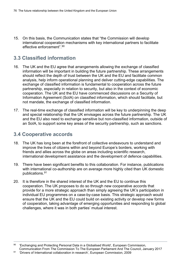15. On this basis, the Communication states that "the Commission will develop international cooperation mechanisms with key international partners to facilitate effective enforcement"[.90](#page-79-0)

# **3.3 Classified information**

- 16. The UK and the EU agree that arrangements allowing the exchange of classified information will be important in building the future partnership. These arrangements should reflect the depth of trust between the UK and the EU and facilitate common analysis, help inform operational planning and deliver cutting-edge capabilities. The exchange of classified information is fundamental to cooperation across the future partnership, especially in relation to security, but also in the context of economic cooperation. The UK and the EU have commenced discussions on a Security of Information Agreement (SoIA) on classified information, which should facilitate, but not mandate, the exchange of classified information.
- 17. The real-time exchange of classified information will be key to underpinning the deep and special relationship that the UK envisages across the future partnership. The UK and the EU also need to exchange sensitive but non-classified information, outside of an SoIA, to support some key areas of the security partnership, such as sanctions.

# **3.4 Cooperative accords**

- 18. The UK has long been at the forefront of collective endeavours to understand and improve the lives of citizens within and beyond Europe's borders, working with friends and allies across the globe on areas including scientific research, international development assistance and the development of defence capabilities.
- 19. There have been significant benefits to this collaboration. For instance, publications with international co-authorship are on average more highly cited than UK domestic publications.[91](#page-79-1)
- 20. It is therefore in the shared interest of the UK and the EU to continue this cooperation. The UK proposes to do so through new cooperative accords that provide for a more strategic approach than simply agreeing the UK's participation in individual EU programmes on a case-by-case basis. This strategic approach would ensure that the UK and the EU could build on existing activity or develop new forms of cooperation, taking advantage of emerging opportunities and responding to global challenges, where it was in both parties' mutual interest.

<span id="page-79-0"></span><sup>90</sup> ['Exchanging and Protecting Personal Data in a Globalised World',](http://europa.eu/rapid/press-release_IP-17-16_en.htm) European Commission, Communication From The Commission To The European Parliament And The Council, January 2017

<span id="page-79-1"></span><sup>91</sup> ['Drivers of International collaboration in research',](https://ec.europa.eu/research/evaluations/pdf/archive/other_reports_studies_and_documents/drivers_of_international_cooperation_in_research.pdf) European Commission, 2009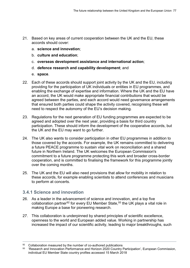- 21. Based on key areas of current cooperation between the UK and the EU, these accords should cover:
	- a. **science and innovation**;
	- b. **culture and education**;
	- c. **overseas development assistance and international action**;
	- d. **defence research and capability development**; and
	- e. **space**.
- 22. Each of these accords should support joint activity by the UK and the EU, including providing for the participation of UK individuals or entities in EU programmes, and enabling the exchange of expertise and information. Where the UK and the EU have an accord, the UK would make appropriate financial contributions that would be agreed between the parties, and each accord would need governance arrangements that ensured both parties could shape the activity covered, recognising these will need to respect the autonomy of the EU's decision making.
- 23. Regulations for the next generation of EU funding programmes are expected to be agreed and adopted over the next year, providing a basis for third country participation. These should inform the development of the cooperative accords, but the UK and the EU may want to go further.
- 24. The UK also wants to consider participation in other EU programmes in addition to those covered by the accords. For example, the UK remains committed to delivering a future PEACE programme to sustain vital work on reconciliation and a shared future in Northern Ireland. The UK welcomes the European Commission's commitment to a future programme protecting this work and broader cross-border cooperation, and is committed to finalising the framework for this programme jointly over the coming months.
- 25. The UK and the EU will also need provisions that allow for mobility in relation to these accords, for example enabling scientists to attend conferences and musicians to perform at concerts.

## **3.4.1 Science and innovation**

- 26. As a leader in the advancement of science and innovation, and a top five collaboration partner<sup>[92](#page-80-0)</sup> for every EU Member State,  $93$  the UK plays a vital role in making Europe a base for pioneering research.
- 27. This collaboration is underpinned by shared principles of scientific excellence, openness to the world and European added value. Working in partnership has increased the impact of our scientific activity, leading to major breakthroughs, such

<span id="page-80-1"></span><span id="page-80-0"></span><sup>92</sup> Collaboration measured by the number of co-authored publications<br>93 Separate and Innovation Performance and Horizon 2020 Country I

[<sup>&#</sup>x27;Research and Innovation Performance and Horizon 2020 Country Participation',](http://ec.europa.eu/research/horizon2020/index_en.cfm?pg=country-profiles) European Commission, individual EU Member State country profiles accessed 15 March 2018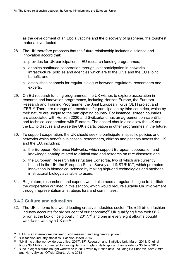as the development of an Ebola vaccine and the discovery of graphene, the toughest material ever tested.

- 28. The UK therefore proposes that the future relationship includes a science and innovation accord that:
	- a. provides for UK participation in EU research funding programmes;
	- b. enables continued cooperation through joint participation in networks, infrastructure, policies and agencies which are to the UK's and the EU's joint benefit; and
	- c. establishes channels for regular dialogue between regulators, researchers and experts.
- 29. On EU research funding programmes, the UK wishes to explore association in research and innovation programmes, including Horizon Europe, the Euratom Research and Training Programme, the Joint European Torus (JET) project and ITER.<sup>[94](#page-81-0)</sup> There are a range of precedents for participation by third countries, which by their nature are unique to the participating country. For instance, sixteen countries are associated with Horizon 2020 and Switzerland has an agreement on scientific and technical cooperation with Euratom. The accord should also allow the UK and the EU to discuss and agree the UK's participation in other programmes in the future.
- 30. To support cooperation, the UK should seek to participate in specific policies and networks which benefit businesses, researchers, citizens and patients across the UK and the EU, including:
	- a. the European Reference Networks, which support European cooperation and knowledge sharing related to clinical care and research on rare diseases; and
	- b. the European Research Infrastructure Consortia, two of which are currently hosted in the UK, the European Social Survey and INSTRUCT, which promotes innovation in biomedical science by making high-end technologies and methods in structural biology available to users.
- 31. Regulators, researchers and experts would also need a regular dialogue to facilitate the cooperation outlined in this section, which would require suitable UK involvement through representation at strategic fora and committees.

# **3.4.2 Culture and education**

32. The UK is home to a world leading creative industries sector. The £66 billion fashion industry accounts for six per cent of our economy;<sup>[95](#page-81-1)</sup> UK qualifying films took £6.2 billion at the box office globally in 2017;<sup>[96](#page-81-2)</sup> and one in every eight albums bought worldwide was by a UK  $act<sup>97</sup>$ .

<sup>94</sup> [ITER](https://www.iter.org/) is an international nuclear fusion research and engineering project  $\overline{a}$ 

<span id="page-81-1"></span><span id="page-81-0"></span><sup>95</sup> ['UK fashion industry statistics',](https://fashionunited.uk/uk-fashion-industry-statistics) FashionUnited 2016

<span id="page-81-2"></span><sup>96</sup> ['UK films at the worldwide box office, 2017',](http://www.bfi.org.uk/sites/bfi.org.uk/files/downloads/bfi-uk-films-at-the-worldwide-box-office-2017-2018-03-22.pdf) BFI Research and Statistics Unit, March 2018. Original figure \$8.1 billion, converted to £ using Bank of England daily spot exchange rate for 30 June 2017

<span id="page-81-3"></span><sup>&</sup>lt;sup>97</sup> 'One in eight albums bought worldwide in 2017 were by British acts, including Ed Sheeran, Sam Smith [and Harry Styles',](http://www.officialcharts.com/chart-news/one-in-eight-albums-bought-worldwide-in-2017-were-by-british-acts-including-ed-sheeran-sam-smith-and-harry-styles__23104/) Official Charts, June 2018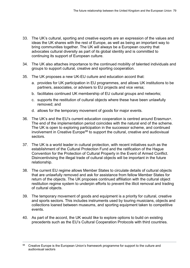- 33. The UK's cultural, sporting and creative exports are an expression of the values and ideas the UK shares with the rest of Europe, as well as being an important way to bring communities together. The UK will always be a European country that advocates cultural diversity as part of its global identity and is committed to continuing its support of European culture.
- 34. The UK also attaches importance to the continued mobility of talented individuals and groups to support cultural, creative and sporting cooperation.
- 35. The UK proposes a new UK-EU culture and education accord that:
	- a. provides for UK participation in EU programmes, and allows UK institutions to be partners, associates, or advisers to EU projects and vice versa;
	- b. facilitates continued UK membership of EU cultural groups and networks;
	- c. supports the restitution of cultural objects where these have been unlawfully removed; and
	- d. allows for the temporary movement of goods for major events.
- 36. The UK's and the EU's current education cooperation is centred around Erasmus+. The end of the implementation period coincides with the natural end of the scheme. The UK is open to exploring participation in the successor scheme, and continued involvement in Creative Europe<sup>[98](#page-82-0)</sup> to support the cultural, creative and audiovisual sectors.
- 37. The UK is a world leader in cultural protection, with recent initiatives such as the establishment of the Cultural Protection Fund and the ratification of the Hague Convention for the Protection of Cultural Property in the Event of Armed Conflict. Disincentivising the illegal trade of cultural objects will be important in the future relationship.
- 38. The current EU regime allows Member States to circulate details of cultural objects that are unlawfully removed and ask for assistance from fellow Member States for return of the objects. The UK proposes continued affiliation with the cultural object restitution regime system to underpin efforts to prevent the illicit removal and trading of cultural objects.
- 39. The temporary movement of goods and equipment is a priority for cultural, creative and sports sectors. This includes instruments used by touring musicians, objects and collections loaned between museums, and sporting equipment taken to competitive events.
- 40. As part of the accord, the UK would like to explore options to build on existing precedents such as the EU's Cultural Cooperation Protocols with third countries.

<span id="page-82-0"></span><sup>98</sup> Creative Europe is the European Union's framework programme for support to the culture and audiovisual sectors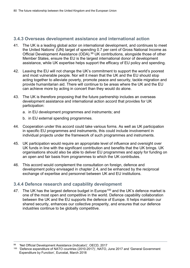#### **3.4.3 Overseas development assistance and international action**

- 41. The UK is a leading global actor on international development, and continues to meet the United Nations' (UN) target of spending 0.7 per cent of Gross National Income as Official Development Assistance (ODA).[99](#page-83-0) UK contributions, alongside those of other Member States, ensure the EU is the largest international donor of development assistance, while UK expertise helps support the efficacy of EU policy and spending.
- 42. Leaving the EU will not change the UK's commitment to support the world's poorest and most vulnerable people. Nor will it mean that the UK and the EU should stop acting together to alleviate poverty, promote peace and security, tackle migration and provide humanitarian aid. There will continue to be areas where the UK and the EU can achieve more by acting in concert than they would do alone.
- 43. The UK is therefore proposing that the future partnership includes an overseas development assistance and international action accord that provides for UK participation:
	- a. in EU development programmes and instruments; and
	- b. in EU external spending programmes.
- 44. Cooperation under this accord could take various forms. As well as UK participation in specific EU programmes and instruments, this could include involvement in individual projects under the framework of such programmes and instruments.
- 45. UK participation would require an appropriate level of influence and oversight over UK funds in line with the significant contribution and benefits that the UK brings. UK organisations should also be able to deliver EU programmes and apply for funding on an open and fair basis from programmes to which the UK contributes.
- 46. This accord would complement the consultation on foreign, defence and development policy envisaged in chapter 2.4, and be enhanced by the reciprocal exchange of expertise and personnel between UK and EU institutions.

## **3.4.4 Defence research and capability development**

 $\overline{a}$ 

47. The UK has the largest defence budget in Europe<sup>[100](#page-83-1)</sup> and the UK's defence market is one of the most open and competitive in the world. Defence capability collaboration between the UK and the EU supports the defence of Europe. It helps maintain our shared security, enhances our collective prosperity, and ensures that our defence industries continue to be globally competitive.

<span id="page-83-1"></span><span id="page-83-0"></span>[<sup>&#</sup>x27;Net Official Development Assistance \(Indicator\)'](https://data.oecd.org/oda/net-oda.htm), OECD, 2017 <sup>100</sup> ['Defence expenditure of NATO countries \(2010-2017\)',](https://www.nato.int/nato_static_fl2014/assets/pdf/pdf_2017_06/20170629_170629-pr2017-111-en.pdf) NATO, June 2017 and ['General Government](http://ec.europa.eu/eurostat/statistics-explained/index.php?title=Government_expenditure_on_defence)  [Expenditure by Function',](http://ec.europa.eu/eurostat/statistics-explained/index.php?title=Government_expenditure_on_defence) Eurostat, March 2018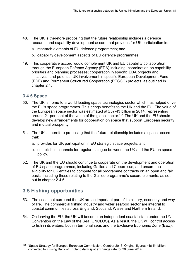- 48. The UK is therefore proposing that the future relationship includes a defence research and capability development accord that provides for UK participation in:
	- a. research elements of EU defence programmes; and
	- b. capability development aspects of EU defence programmes.
- 49. This cooperative accord would complement UK and EU capability collaboration through the European Defence Agency (EDA) including: coordination on capability priorities and planning processes; cooperation in specific EDA projects and initiatives; and potential UK involvement in specific European Development Fund (EDF) and Permanent Structured Cooperation (PESCO) projects, as outlined in chapter 2.4.

#### **3.4.5 Space**

- 50. The UK is home to a world leading space technologies sector which has helped drive the EU's space programmes. This brings benefits to the UK and the EU. The value of the European space sector was estimated at £37-43 billion in 2014, representing around 21 per cent of the value of the global sector.<sup>[101](#page-84-0)</sup> The UK and the EU should develop new arrangements for cooperation on space that support European security and mutual prosperity.
- 51. The UK is therefore proposing that the future relationship includes a space accord that:
	- a. provides for UK participation in EU strategic space projects; and
	- b. establishes channels for regular dialogue between the UK and the EU on space policy.
- 52. The UK and the EU should continue to cooperate on the development and operation of EU space programmes, including Galileo and Copernicus, and ensure the eligibility for UK entities to compete for all programme contracts on an open and fair basis, including those relating to the Galileo programme's secure elements, as set out in chapter 2.4.6.

# **3.5 Fishing opportunities**

- 53. The seas that surround the UK are an important part of its history, economy and way of life. The commercial fishing industry and wider seafood sector are integral to coastal communities across England, Scotland, Wales and Northern Ireland.
- 54. On leaving the EU, the UK will become an independent coastal state under the UN Convention on the Law of the Sea (UNCLOS). As a result, the UK will control access to fish in its waters, both in territorial seas and the Exclusive Economic Zone (EEZ).

<span id="page-84-0"></span><sup>101</sup> ['Space Strategy for Europe',](http://ec.europa.eu/docsroom/documents/19442) European Commission, October 2016. Original figures ¬46-54 billion, converted to £ using Bank of England daily spot exchange rate for 30 June 2014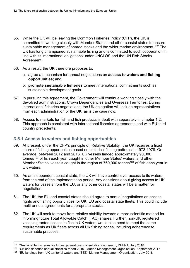- 55. While the UK will be leaving the Common Fisheries Policy (CFP), the UK is committed to working closely with Member States and other coastal states to ensure sustainable management of shared stocks and the wider marine environment.<sup>[102](#page-85-0)</sup> The UK has long championed sustainable fishing and is committed to such cooperation in line with its international obligations under UNCLOS and the UN Fish Stocks Agreement.
- 56. As a result, the UK therefore proposes to:
	- a. agree a mechanism for annual negotiations on **access to waters and fishing opportunities**; and
	- b. **promote sustainable fisheries** to meet international commitments such as sustainable development goals.
- 57. In pursuing this agreement, the Government will continue working closely with the devolved administrations, Crown Dependencies and Overseas Territories. During international fisheries negotiations, the UK delegation will include representatives from each administration of the UK, as is the case now.
- 58. Access to markets for fish and fish products is dealt with separately in chapter 1.2. This approach is consistent with international fisheries agreements and with EU-third country precedents.

#### **3.5.1 Access to waters and fishing opportunities**

- 59. At present, under the CFP's principle of 'Relative Stability', the UK receives a fixed share of fishing opportunities based on historical fishing patterns in 1973-1978. On average, between 2012 and 2016, UK vessels landed approximately 90,000 tonnes<sup>[103](#page-85-1)</sup> of fish each year caught in other Member States' waters, and other Member States' vessels caught in the region of  $760,000$  tonnes<sup>[104](#page-85-2)</sup> of fish each year in UK waters.
- 60. As an independent coastal state, the UK will have control over access to its waters from the end of the implementation period. Any decisions about giving access to UK waters for vessels from the EU, or any other coastal states will be a matter for negotiation.
- 61. The UK, the EU and coastal states should agree to annual negotiations on access rights and fishing opportunities for UK, EU and coastal state fleets. This could include multi-annual agreements for appropriate stocks.
- 62. The UK will seek to move from relative stability towards a more scientific method for informing future Total Allowable Catch (TAC) shares. Further, non-UK registered vessels granted access to fish in UK waters would also need to meet the same requirements as UK fleets across all UK fishing zones, including adherence to sustainable practices.

 $\overline{a}$ 

<span id="page-85-2"></span><sup>104</sup> ['EU landings from UK territorial waters and EEZ,](https://www.gov.uk/government/statistics/announcements/landings-by-non-uk-eu-member-states-fishing-vessels-from-the-uks-territorial-waters-and-exclusive-economic-zone-2012-2016)' Marine Management Organisation, July 2018

<span id="page-85-0"></span><sup>102</sup> ['Sustainable Fisheries for future generations: consultation document',](https://www.gov.uk/government/consultations/fisheries-white-paper-sustainable-fisheries-for-future-generations/sustainable-fisheries-for-future-generations-consultation-document) DEFRA, July 2018

<span id="page-85-1"></span><sup>103</sup> ['UK sea fisheries annual statistics report 2016',](https://www.gov.uk/government/statistics/uk-sea-fisheries-annual-statistics-report-2016) Marine Management Organisation, September 2017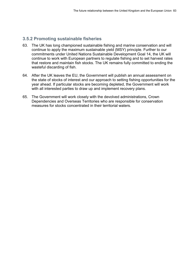## **3.5.2 Promoting sustainable fisheries**

- 63. The UK has long championed sustainable fishing and marine conservation and will continue to apply the maximum sustainable yield (MSY) principle. Further to our commitments under United Nations Sustainable Development Goal 14, the UK will continue to work with European partners to regulate fishing and to set harvest rates that restore and maintain fish stocks. The UK remains fully committed to ending the wasteful discarding of fish.
- 64. After the UK leaves the EU, the Government will publish an annual assessment on the state of stocks of interest and our approach to setting fishing opportunities for the year ahead. If particular stocks are becoming depleted, the Government will work with all interested parties to draw up and implement recovery plans.
- 65. The Government will work closely with the devolved administrations, Crown Dependencies and Overseas Territories who are responsible for conservation measures for stocks concentrated in their territorial waters.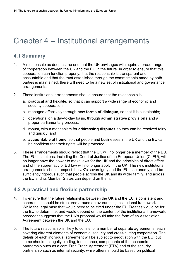# Chapter 4 – Institutional arrangements

# **4.1 Summary**

- 1. A relationship as deep as the one that the UK envisages will require a broad range of cooperation between the UK and the EU in the future. In order to ensure that this cooperation can function properly, that the relationship is transparent and accountable and that the trust established through the commitments made by both parties is maintained, there will need to be a new set of institutional and governance arrangements.
- 2. These institutional arrangements should ensure that the relationship is:
	- a. **practical and flexible,** so that it can support a wide range of economic and security cooperation;
	- b. managed effectively through **new forms of dialogue**, so that it is sustainable;
	- c. operational on a day-to-day basis, through **administrative provisions** and a proper parliamentary process;
	- d. robust, with a mechanism for **addressing disputes** so they can be resolved fairly and quickly; and
	- e. **accountable at home**, so that people and businesses in the UK and the EU can be confident that their rights will be protected.
- 3. These arrangements should reflect that the UK will no longer be a member of the EU. The EU institutions, including the Court of Justice of the European Union (CJEU), will no longer have the power to make laws for the UK and the principles of direct effect and of the supremacy of EU law will no longer apply in the UK. The new institutional arrangements should respect the UK's sovereignty and the EU's autonomy, and be sufficiently rigorous such that people across the UK and its wider family, and across the EU and its Member States can depend on them.

# **4.2 A practical and flexible partnership**

- 4. To ensure that the future relationship between the UK and the EU is consistent and coherent, it should be structured around an overarching institutional framework. While the legal base that would need to be cited under the EU Treaties would be for the EU to determine, and would depend on the content of the institutional framework, precedent suggests that the UK's proposal would take the form of an Association Agreement between the UK and the EU.
- 5. The future relationship is likely to consist of a number of separate agreements, each covering different elements of economic, security and cross-cutting cooperation. The details of each individual agreement will be subject to negotiation with the EU, but some should be legally binding, for instance, components of the economic partnership such as a core Free Trade Agreement (FTA) and of the security partnership such as internal security, while others should be based on political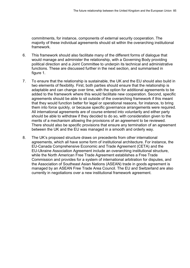commitments, for instance, components of external security cooperation. The majority of these individual agreements should sit within the overarching institutional framework.

- 6. This framework should also facilitate many of the different forms of dialogue that would manage and administer the relationship, with a Governing Body providing political direction and a Joint Committee to underpin its technical and administrative functions. These are discussed further in the next section, and summarised in figure 1.
- 7. To ensure that the relationship is sustainable, the UK and the EU should also build in two elements of flexibility. First, both parties should ensure that the relationship is adaptable and can change over time, with the option for additional agreements to be added to the framework where this would facilitate new cooperation. Second, specific agreements should be able to sit outside of the overarching framework if this meant that they would function better for legal or operational reasons, for instance, to bring them into force quickly, or because specific governance arrangements were required. All international agreements are of course entered into voluntarily and either party should be able to withdraw if they decided to do so, with consideration given to the merits of a mechanism allowing the provisions of an agreement to be reviewed. There should also be specific provisions that ensure any termination of an agreement between the UK and the EU was managed in a smooth and orderly way.
- 8. The UK's proposed structure draws on precedents from other international agreements, which all have some form of institutional architecture. For instance, the EU-Canada Comprehensive Economic and Trade Agreement (CETA) and the EU-Ukraine Association Agreement include an overarching institutional structure, while the North American Free Trade Agreement establishes a Free Trade Commission and provides for a system of international arbitration for disputes, and the Association of Southeast Asian Nations (ASEAN) trade in goods agreement is managed by an ASEAN Free Trade Area Council. The EU and Switzerland are also currently in negotiations over a new institutional framework agreement.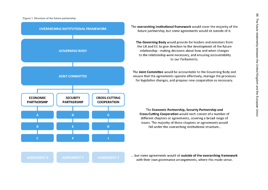#### **Figure 1. Structure of the future partnership**



The overarching institutional framework would cover the majority of the future partnership, but some agreements would sit outside of it.

The Governing Body would provide for leaders and ministers from the UK and EU to give direction to the development of the future relationship - making decisions about how and when changes to the relationship were necessary, and ensuring accountability to our Parliaments.

The Joint Committee would be accountable to the Governing Body and ensure that the agreements operate effectively, manage the processes for legislative changes, and propose new cooperation as necessary.

The Economic Partnership, Security Partnership and Cross-Cutting Cooperation would each consist of a number of different chapters or agreements, covering a broad range of issues. The majority of these chapters or agreements would fall under the overarching institutional structure...

... but some agreements would sit outside of the overarching framework with their own governance arrangements, where this made sense.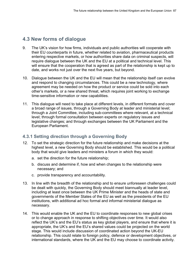# **4.3 New forms of dialogue**

- 9. The UK's vision for how firms, individuals and public authorities will cooperate with their EU counterparts in future, whether related to aviation, pharmaceutical products entering respective markets, or how authorities share data on criminal suspects, will require dialogue between the UK and the EU at a political and technical level. This will ensure that the cooperation that is agreed as part of the relationship is kept up to date, and works not just over the next five years, but beyond.
- 10. Dialogue between the UK and the EU will mean that the relationship itself can evolve and respond to changing circumstances. This could be a new technology, where agreement may be needed on how the product or service could be sold into each other's markets, or a new shared threat, which requires joint working to exchange time-sensitive information or new capabilities.
- 11. This dialogue will need to take place at different levels, in different formats and cover a broad range of issues, through a Governing Body at leader and ministerial level; through a Joint Committee, including sub-committees where relevant, at a technical level; through formal consultation between experts on regulatory issues and legislative changes; and through exchanges between the UK Parliament and the European Parliament.

## **4.3.1 Setting direction through a Governing Body**

- 12. To set the strategic direction for the future relationship and make decisions at the highest level, a new Governing Body should be established. This would be a political body that would give leaders and ministers a forum in which they would:
	- a. set the direction for the future relationship;
	- b. discuss and determine if, how and when changes to the relationship were necessary; and
	- c. provide transparency and accountability.
- 13. In line with the breadth of the relationship and to ensure unforeseen challenges could be dealt with quickly, the Governing Body should meet biannually at leader level, including at least once between the UK Prime Minister and the heads of state and governments of the Member States of the EU as well as the presidents of the EU institutions, with additional ad hoc formal and informal ministerial dialogue as necessary.
- 14. This would enable the UK and the EU to coordinate responses to new global crises or to change approach in response to shifting objectives over time. It would also reflect the UK's and the EU's status as key global players, and ensure that where it is appropriate, the UK's and the EU's shared values could be projected on the world stage. This would include discussion of coordinated action beyond the UK-EU relationship. This could relate to foreign policy, defence or development objectives, or international standards, where the UK and the EU may choose to coordinate activity.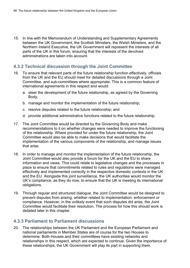15. In line with the Memorandum of Understanding and Supplementary Agreements between the UK Government, the Scottish Ministers, the Welsh Ministers, and the Northern Ireland Executive, the UK Government will represent the interests of all parts of the UK in this forum, ensuring that the interests of the devolved administrations are taken into account.

#### **4.3.2 Technical discussion through the Joint Committee**

- 16. To ensure that relevant parts of the future relationship function effectively, officials from the UK and the EU should meet for detailed discussions through a Joint Committee, and sub-committees where appropriate. This is a common feature of international agreements in this respect and would:
	- a. steer the development of the future relationship, as agreed by the Governing Body;
	- b. manage and monitor the implementation of the future relationship;
	- c. resolve disputes related to the future relationship; and
	- d. provide additional administrative functions related to the future relationship.
- 17. The Joint Committee would be directed by the Governing Body and make recommendations to it on whether changes were needed to improve the functioning of the relationship. Where provided for under the future relationship, the Joint Committee would also be able to make decisions that would facilitate the implementation of the various components of the relationship, and manage issues that arise.
- 18. In order to manage and monitor the implementation of the future relationship, the Joint Committee would also provide a forum for the UK and the EU to share information and views. This could relate to legislative changes and the processes in place to ensure that commitments related to rules and regulations were managed effectively and implemented correctly in the respective domestic contexts in the UK and the EU. Alongside this joint surveillance, the UK authorities would monitor the UK's compliance, as they do now, to ensure that the UK is meeting its international obligations.
- 19. Through regular and structured dialogue, the Joint Committee would be designed to prevent disputes from arising, whether related to implementation, enforcement or compliance. However, in the unlikely event that such disputes did arise, the Joint Committee would facilitate their resolution. The process for how this should work is detailed later in this chapter.

## **4.3.3 Parliament to Parliament discussions**

20. The relationships between the UK Parliament and the European Parliament and national parliaments in Member States are of course for the two Houses to determine. Both Houses and their committees have existing networks and relationships in this respect, which are expected to continue. Given the importance of these relationships, the UK Government will play its part in supporting them.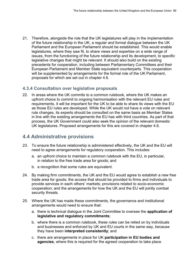21. Therefore, alongside the role that the UK legislatures will play in the implementation of the future relationship in the UK, a regular and formal dialogue between the UK Parliament and the European Parliament should be established. This would enable legislatures, where they saw fit, to share views and expertise on a wide range of issues, from the functioning of the future relationship and its development, to specific legislative changes that might be relevant. It should also build on the existing precedents for cooperation, including between Parliamentary Committees and their European Parliament and Member State equivalent counterparts. This cooperation will be supplemented by arrangements for the formal role of the UK Parliament, proposals for which are set out in chapter 4.6.

#### **4.3.4 Consultation over legislative proposals**

22. In areas where the UK commits to a common rulebook, where the UK makes an upfront choice to commit to ongoing harmonisation with the relevant EU rules and requirements, it will be important for the UK to be able to share its views with the EU as those EU rules are developed. While the UK would not have a vote on relevant rule changes, its experts should be consulted on the same basis as Member States in line with the existing arrangements the EU has with third countries. As part of that process, the UK Government could also seek the opinion of the relevant domestic UK legislatures. Proposed arrangements for this are covered in chapter 4.6.

# **4.4 Administrative provisions**

- 23. To ensure the future relationship is administered effectively, the UK and the EU will need to agree arrangements for regulatory cooperation. This includes:
	- a. an upfront choice to maintain a common rulebook with the EU, in particular, in relation to the free trade area for goods; and
	- b. a recognition that some rules are equivalent.
- 24. By making firm commitments, the UK and the EU would agree to establish a new free trade area for goods; the access that should be provided to firms and individuals to provide services in each others' markets; provisions related to socio-economic cooperation; and the arrangements for how the UK and the EU will jointly combat security threats.
- 25. Where the UK has made these commitments, the governance and institutional arrangements would need to ensure that:
	- a. there is technical dialogue in the Joint Committee to oversee the **application of legislative and regulatory commitments**;
	- b. where there is a common rulebook, these rules can be relied on by individuals and businesses and enforced by UK and EU courts in the same way, because they have been **interpreted consistently**; and
	- c. there are arrangements in place for UK **participation in EU bodies and agencies**, where this is required for the agreed cooperation to take place.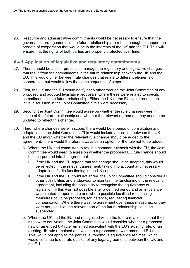26. Resource and administrative commitments would be necessary to ensure that the governance arrangements in the future relationship are robust enough to support the breadth of cooperation that would be in the interests of the UK and the EU. This will ensure that the rights of both parties are properly protected over time.

#### **4.4.1 Application of legislative and regulatory commitments**

- 27. There should be a clear process to manage the regulatory and legislative changes that result from the commitments in the future relationship between the UK and the EU. This would differ between rule changes that relate to different elements of cooperation, but would follow the same sequence of steps.
- 28. First, the UK and the EU would notify each other through the Joint Committee of any proposed and adopted legislative proposals, where these were related to specific commitments in the future relationship. Either the UK or the EU could request an initial discussion in the Joint Committee if this were necessary.
- 29. Second, the Joint Committee would agree on whether the rule changes were in scope of the future relationship and whether the relevant agreement may need to be updated to reflect this change.
- 30. Third, where changes were in scope, there would be a period of consultation and adaptation in the Joint Committee. This would include a decision between the UK and the EU about whether the relevant rule change should be added to the agreement. There would therefore always be an option for the rule not to be added.
	- a. Where the UK had committed to retain a common rulebook with the EU, the Joint Committee would need to agree on whether the proposed EU rule change should be incorporated into the agreement.
		- i. If the UK and the EU agreed that the change should be adopted, this would be reflected in the relevant agreement, taking into account any necessary adaptations for its functioning in the UK context.
		- ii. If the UK and the EU could not agree, the Joint Committee should consider all other possibilities and endeavour to maintain the functioning of the relevant agreement, including the possibility to recognise the equivalence of legislation. If this was not possible after a defined period and an imbalance was created, proportionate and where possible localised rebalancing measures could be proposed, for instance, requesting financial compensation. Where there was no agreement over these measures, or they were not possible, the relevant part of the future relationship could be suspended.
	- b. Where the UK and the EU had recognised within the future relationship that their rules were equivalent, the Joint Committee would consider whether a proposed new or amended UK rule remained equivalent with the EU's existing rule, or an existing UK rule remained equivalent to a proposed new or amended EU rule. This would not apply to the parties' autonomous equivalence regimes, which would continue to operate outside of any legal agreements between the UK and the EU.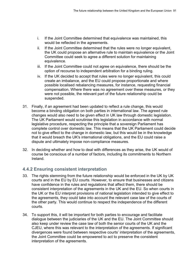- i. If the Joint Committee determined that equivalence was maintained, this would be reflected in the agreements.
- ii. If the Joint Committee determined that the rules were no longer equivalent, the UK could propose an alternative rule to maintain equivalence or the Joint Committee could seek to agree a different solution for maintaining equivalence.
- iii. If the Joint Committee could not agree on equivalence, there should be the option of recourse to independent arbitration for a binding ruling.
- iv. If the UK decided to accept that rules were no longer equivalent, this could create an imbalance, and the EU could propose proportionate and where possible localised rebalancing measures, for instance, requesting financial compensation. Where there was no agreement over these measures, or they were not possible, the relevant part of the future relationship could be suspended.
- 31. Finally, if an agreement had been updated to reflect a rule change, this would become a binding obligation on both parties in international law. The agreed rule changes would also need to be given effect in UK law through domestic legislation. The UK Parliament would scrutinise this legislation in accordance with normal legislative procedure, respecting the principle that a sovereign Parliament has complete control over domestic law. This means that the UK Parliament could decide not to give effect to the change in domestic law, but this would be in the knowledge that it would breach the UK's international obligations, and the EU could raise a dispute and ultimately impose non-compliance measures.
- 32. In deciding whether and how to deal with differences as they arise, the UK would of course be conscious of a number of factors, including its commitments to Northern Ireland.

## **4.4.2 Ensuring consistent interpretation**

- 33. The rights stemming from the future relationship would be enforced in the UK by UK courts and in the EU by EU courts. However, to ensure that businesses and citizens have confidence in the rules and regulations that affect them, there should be consistent interpretation of the agreements in the UK and the EU. So when courts in the UK or the EU interpret provisions of national legislation intended to give effect to the agreements, they could take into account the relevant case law of the courts of the other party. This would continue to respect the independence of the different courts.
- 34. To support this, it will be important for both parties to encourage and facilitate dialogue between the judiciaries of the UK and the EU. The Joint Committee should also keep under review the case law of both the senior courts of the UK and the CJEU, where this was relevant to the interpretation of the agreements. If significant divergences were found between respective courts' interpretation of the agreements, the Joint Committee could be empowered to act to preserve the consistent interpretation of the agreements.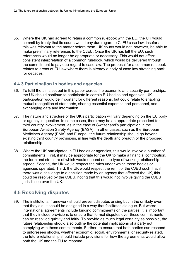35. Where the UK had agreed to retain a common rulebook with the EU, the UK would commit by treaty that its courts would pay due regard to CJEU case law, insofar as this was relevant to the matter before them. UK courts would not, however, be able to make preliminary references to the CJEU. Once the UK has left the EU, such references would no longer be appropriate or necessary. This would not affect consistent interpretation of a common rulebook, which would be delivered through the commitment to pay due regard to case law. The proposal for a common rulebook relates to areas of EU law where there is already a body of case law stretching back for decades.

# **4.4.3 Participation in bodies and agencies**

- 36. To fulfil the aims set out in this paper across the economic and security partnerships, the UK should continue to participate in certain EU bodies and agencies. UK participation would be important for different reasons, but could relate to enabling mutual recognition of standards, sharing essential expertise and personnel, and exchanging data and information.
- 37. The nature and structure of the UK's participation will vary depending on the EU body or agency in question. In some cases, there may be an appropriate precedent for third country involvement, as in the case of Switzerland's participation in the European Aviation Safety Agency (EASA). In other cases, such as the European Medicines Agency (EMA) and Europol, the future relationship should go beyond existing third country provisions, in line with the depth and breadth of the proposed relationship.
- 38. Where the UK participated in EU bodies or agencies, this would involve a number of commitments. First, it may be appropriate for the UK to make a financial contribution, the form and structure of which would depend on the type of working relationship agreed. Second, the UK would respect the rules under which those bodies or agencies operated. Third, the UK would respect the remit of the CJEU such that if there was a challenge to a decision made by an agency that affected the UK, this could be resolved by the CJEU, noting that this would not involve giving the CJEU jurisdiction over the UK.

# **4.5 Resolving disputes**

39. The institutional framework should prevent disputes arising but in the unlikely event that they did, it should be designed in a way that facilitates dialogue. But where international agreements include binding commitments on the parties, it is important that they include provisions to ensure that formal disputes over these commitments can be resolved quickly and fairly. To provide as much legal certainty as possible, the future relationship should also outline the potential implications of a party not complying with these commitments. Further, to ensure that both parties can respond to unforeseen shocks, whether economic, social, environmental or security related, the future relationship should include provisions for how the agreements would allow both the UK and the EU to respond.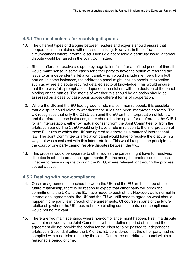# **4.5.1 The mechanisms for resolving disputes**

- 40. The different types of dialogue between leaders and experts should ensure that cooperation is maintained without issues arising. However, in those few circumstances where informal discussions did not resolve a particular issue, a formal dispute would be raised in the Joint Committee.
- 41. Should efforts to resolve a dispute by negotiation fail after a defined period of time, it would make sense in some cases for either party to have the option of referring the issue to an independent arbitration panel, which would include members from both parties. In some instances, the arbitration panel might include specialist expertise such as where a dispute required detailed sectoral knowledge. This would ensure that there was fair, prompt and independent resolution, with the decision of the panel binding on the parties. The merits of whether this should be an option should be assessed on a case by case basis across different forms of cooperation.
- 42. Where the UK and the EU had agreed to retain a common rulebook, it is possible that a dispute could relate to whether these rules had been interpreted correctly. The UK recognises that only the CJEU can bind the EU on the interpretation of EU law, and therefore in these instances, there should be the option for a referral to the CJEU for an interpretation, either by mutual consent from the Joint Committee, or from the arbitration panel. The CJEU would only have a role in relation to the interpretation of those EU rules to which the UK had agreed to adhere as a matter of international law. The Joint Committee or arbitration panel would have to resolve the dispute in a way that was consistent with this interpretation. This would respect the principle that the court of one party cannot resolve disputes between the two.
- 43. This process would be separate to other routes the parties might have for resolving disputes in other international agreements. For instance, the parties could choose whether to raise a dispute through the WTO, where relevant, or through the process set out above.

## **4.5.2 Dealing with non-compliance**

- 44. Once an agreement is reached between the UK and the EU on the shape of the future relationship, there is no reason to expect that either party will break the commitments the UK and the EU have made to each other. However, as is normal in international agreements, the UK and the EU will still need to agree on what should happen if one party is in breach of the agreements. Of course in parts of the future relationship where the UK does not make binding commitments, non-compliance would not be relevant.
- 45. There are two main scenarios where non-compliance might happen. First, if a dispute was not resolved by the Joint Committee within a defined period of time and the agreement did not provide the option for the dispute to be passed to independent arbitration. Second, if either the UK or the EU considered that the other party had not complied with a decision made by the Joint Committee or arbitration panel within a reasonable period of time.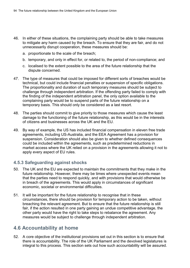- 46. In either of these situations, the complaining party should be able to take measures to mitigate any harm caused by the breach. To ensure that they are fair, and do not unnecessarily disrupt cooperation, these measures should be:
	- a. proportionate to the scale of the breach;
	- b. temporary, and only in effect for, or related to, the period of non-compliance; and
	- c. localised to the extent possible to the area of the future relationship that the dispute concerned.
- 47. The type of measures that could be imposed for different sorts of breaches would be technical, but could include financial penalties or suspension of specific obligations. The proportionality and duration of such temporary measures should be subject to challenge through independent arbitration. If the offending party failed to comply with the finding of the independent arbitration panel, the only option available to the complaining party would be to suspend parts of the future relationship on a temporary basis. This should only be considered as a last resort.
- 48. The parties should commit to give priority to those measures which cause the least damage to the functioning of the future relationship, as this would be in the interests of citizens and businesses across the UK and the EU.
- 49. By way of example, the US has included financial compensation in eleven free trade agreements, including US-Australia, and the EEA Agreement has a provision for suspension. Consideration should also be given to whether defined consequences could be included within the agreements, such as predetermined reductions in market access where the UK relied on a provision in the agreements allowing it not to apply every aspect of EU rules.

#### **4.5.3 Safeguarding against shocks**

- 50. The UK and the EU are expected to maintain the commitments that they make in the future relationship. However, there may be times where unexpected events mean that the parties need to respond quickly, and with provisions that would otherwise be in breach of the agreements. This would apply in circumstances of significant economic, societal or environmental difficulties.
- 51. It will be important for the future relationship to recognise that in these circumstances, there should be provision for temporary action to be taken, without breaching the relevant agreement. But to ensure that the future relationship is still fair, if the action resulted in one party gaining an undue competitive advantage, the other party would have the right to take steps to rebalance the agreement. Any measures would be subject to challenge through independent arbitration.

# **4.6 Accountability at home**

52. A core objective of the institutional provisions set out in this section is to ensure that there is accountability. The role of the UK Parliament and the devolved legislatures is integral to this process. This section sets out how such accountability will be assured.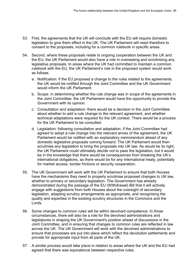- 53. First, the agreements that the UK will conclude with the EU will require domestic legislation to give them effect in the UK. The UK Parliament will need therefore to consent to the proposals, including for a common rulebook in specific areas.
- 54. Second, where these proposals relate to ongoing cooperation between the UK and the EU, the UK Parliament would also have a role in overseeing and scrutinising any legislative proposals. In areas where the UK had committed to maintain a common rulebook with the EU, the UK Parliament's role in the proposed system would work as follows.
	- a. Notification: if the EU proposed a change to the rules related to the agreements, the UK would be notified through the Joint Committee and the UK Government would inform the UK Parliament.
	- b. Scope: in determining whether the rule change was in scope of the agreements in the Joint Committee, the UK Parliament would have the opportunity to provide the Government with its opinion.
	- c. Consultation and adaptation: there would be a decision in the Joint Committee about whether to add a rule change to the relevant agreement, and whether technical adaptations were required for the UK context. There would be a process for the UK Parliament to be consulted.
	- d. Legislation: following consultation and adaptation, if the Joint Committee had agreed to adopt a rule change into the relevant annex of the agreement, the UK Parliament would be notified with an explanatory memorandum ahead of any domestic legislative proposals coming forward. The UK Parliament would then scrutinise any legislation to bring the proposals into UK law. As would be its right, the UK Parliament could ultimately decide not to pass the legislation, but it would be in the knowledge that there would be consequences from breaking the UK's international obligations, as there would be for any international treaty, potentially for market access, border frictions or security cooperation.
- 55. The UK Government will work with the UK Parliament to ensure that both Houses have the mechanisms they need to properly scrutinise proposed changes to UK law, whether to primary or secondary legislation. The Government has already demonstrated during the passage of the EU (Withdrawal) Bill that it will actively engage with suggestions from both Houses about the oversight of secondary legislation, adapting scrutiny arrangements as appropriate, and recognising the quality and expertise in the existing scrutiny structures in the Commons and the Lords.
- 56. Some changes to common rules will be within devolved competence. In those circumstances, there will also be a role for the devolved administrations and legislatures in shaping the UK Government's position ahead of discussions in the Joint Committee, and in ensuring that changes to common rules are reflected in law across the UK. The UK Government will work with the devolved administrations to ensure that processes are put into place which reflect the devolution settlements and provide for appropriate input from all parts of the UK.
- 57. A similar process would take place in relation to areas where the UK and the EU had agreed that there was equivalence between respective rules.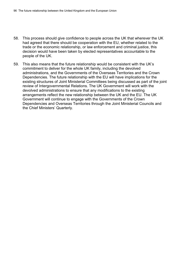- 58. This process should give confidence to people across the UK that wherever the UK had agreed that there should be cooperation with the EU, whether related to the trade or the economic relationship, or law enforcement and criminal justice, this decision would have been taken by elected representatives accountable to the people of the UK.
- 59. This also means that the future relationship would be consistent with the UK's commitment to deliver for the whole UK family, including the devolved administrations, and the Governments of the Overseas Territories and the Crown Dependencies. The future relationship with the EU will have implications for the existing structures of Joint Ministerial Committees being discussed as part of the joint review of Intergovernmental Relations. The UK Government will work with the devolved administrations to ensure that any modifications to the existing arrangements reflect the new relationship between the UK and the EU. The UK Government will continue to engage with the Governments of the Crown Dependencies and Overseas Territories through the Joint Ministerial Councils and the Chief Ministers' Quarterly.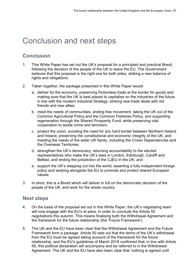# Conclusion and next steps

# **Conclusion**

- 1. This White Paper has set out the UK's proposal for a principled and practical Brexit, following the decision of the people of the UK to leave the EU. The Government believes that this proposal is the right one for both sides, striking a new balance of rights and obligations.
- 2. Taken together, the package presented in this White Paper would:
	- a. deliver for the economy, preserving frictionless trade at the border for goods and making sure that the UK is best placed to capitalise on the industries of the future in line with the modern Industrial Strategy, striking new trade deals with old friends and new allies;
	- b. meet the needs of communities, ending free movement, taking the UK out of the Common Agricultural Policy and the Common Fisheries Policy, and supporting regeneration through the Shared Prosperity Fund, while preserving vital cooperation to tackle crime and terrorism;
	- c. protect the union, avoiding the need for any hard border between Northern Ireland and Ireland, preserving the constitutional and economic integrity of the UK, and meeting the needs of the wider UK family, including the Crown Dependencies and the Overseas Territories;
	- d. strengthen the UK's democracy, returning accountability to the elected representatives who make the UK's laws in London, Edinburgh, Cardiff and Belfast, and ending the jurisdiction of the CJEU in the UK; and
	- e. support the UK's stepping out into the world, asserting a fully independent foreign policy and working alongside the EU to promote and protect shared European values.
- 3. In short, this is a Brexit which will deliver in full on the democratic decision of the people of the UK, and work for the whole country.

# **Next steps**

- 4. On the basis of the proposal set out in this White Paper, the UK's negotiating team will now engage with the EU's at pace, in order to conclude the Article 50 negotiations this autumn. This means finalising both the Withdrawal Agreement and the framework for the future relationship (the 'Future Framework').
- 5. The UK and the EU have been clear that the Withdrawal Agreement and the Future Framework form a package. Article 50 sets out that the terms of the UK's withdrawal from the EU must be agreed taking account of the framework for the future relationship, and the EU's guidelines of March 2018 confirmed that, in line with Article 50, this political declaration will accompany and be referred to in the Withdrawal Agreement. The UK and the EU have also been clear that 'nothing is agreed until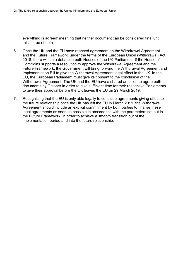everything is agreed' meaning that neither document can be considered final until this is true of both.

- 6. Once the UK and the EU have reached agreement on the Withdrawal Agreement and the Future Framework, under the terms of the European Union (Withdrawal) Act 2018, there will be a debate in both Houses of the UK Parliament. If the House of Commons supports a resolution to approve the Withdrawal Agreement and the Future Framework, the Government will bring forward the Withdrawal Agreement and Implementation Bill to give the Withdrawal Agreement legal effect in the UK. In the EU, the European Parliament must give its consent to the conclusion of the Withdrawal Agreement. The UK and the EU have a shared ambition to agree both documents by October in order to give sufficient time for their respective Parliaments to give their approval before the UK leaves the EU on 29 March 2019.
- 7. Recognising that the EU is only able legally to conclude agreements giving effect to the future relationship once the UK has left the EU in March 2019, the Withdrawal Agreement should include an explicit commitment by both parties to finalise these legal agreements as soon as possible in accordance with the parameters set out in the Future Framework, in order to achieve a smooth transition out of the implementation period and into the future relationship.